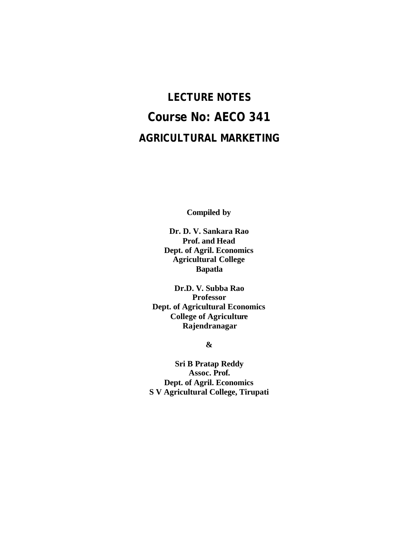# **LECTURE NOTES Course No: AECO 341 AGRICULTURAL MARKETING**

**Compiled by**

**Dr. D. V. Sankara Rao Prof. and Head Dept. of Agril. Economics Agricultural College Bapatla**

**Dr.D. V. Subba Rao Professor Dept. of Agricultural Economics College of Agriculture Rajendranagar**

**&**

**Sri B Pratap Reddy Assoc. Prof. Dept. of Agril. Economics S V Agricultural College, Tirupati**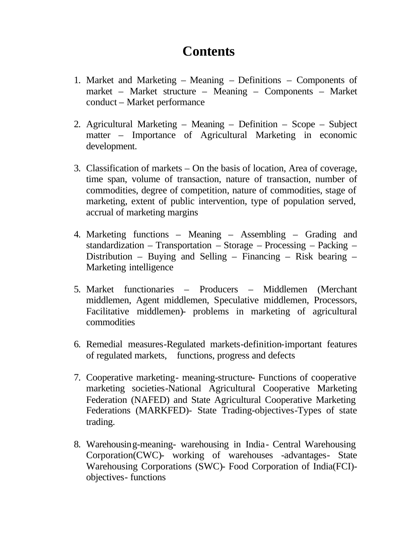## **Contents**

- 1. Market and Marketing Meaning Definitions Components of market – Market structure – Meaning – Components – Market conduct – Market performance
- 2. Agricultural Marketing Meaning Definition Scope Subject matter – Importance of Agricultural Marketing in economic development.
- 3. Classification of markets On the basis of location, Area of coverage, time span, volume of transaction, nature of transaction, number of commodities, degree of competition, nature of commodities, stage of marketing, extent of public intervention, type of population served, accrual of marketing margins
- 4. Marketing functions Meaning Assembling Grading and standardization – Transportation – Storage – Processing – Packing – Distribution – Buying and Selling – Financing – Risk bearing – Marketing intelligence
- 5. Market functionaries Producers Middlemen (Merchant middlemen, Agent middlemen, Speculative middlemen, Processors, Facilitative middlemen)- problems in marketing of agricultural commodities
- 6. Remedial measures-Regulated markets-definition-important features of regulated markets, functions, progress and defects
- 7. Cooperative marketing- meaning-structure- Functions of cooperative marketing societies-National Agricultural Cooperative Marketing Federation (NAFED) and State Agricultural Cooperative Marketing Federations (MARKFED)- State Trading-objectives-Types of state trading.
- 8. Warehousing-meaning- warehousing in India- Central Warehousing Corporation(CWC)- working of warehouses -advantages- State Warehousing Corporations (SWC)- Food Corporation of India(FCI) objectives- functions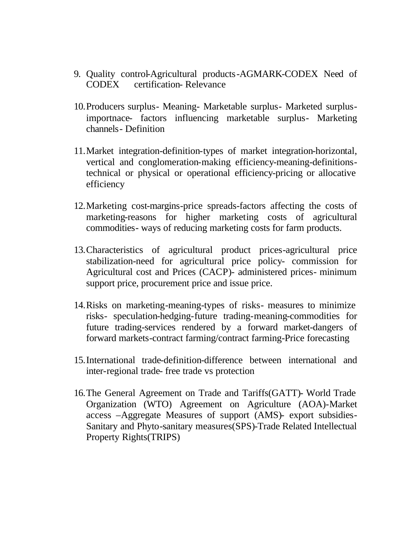- 9. Quality control-Agricultural products-AGMARK-CODEX Need of CODEX certification- Relevance
- 10.Producers surplus- Meaning- Marketable surplus- Marketed surplusimportnace- factors influencing marketable surplus- Marketing channels- Definition
- 11.Market integration-definition-types of market integration-horizontal, vertical and conglomeration-making efficiency-meaning-definitionstechnical or physical or operational efficiency-pricing or allocative efficiency
- 12.Marketing cost-margins-price spreads-factors affecting the costs of marketing-reasons for higher marketing costs of agricultural commodities- ways of reducing marketing costs for farm products.
- 13.Characteristics of agricultural product prices-agricultural price stabilization-need for agricultural price policy- commission for Agricultural cost and Prices (CACP)- administered prices- minimum support price, procurement price and issue price.
- 14.Risks on marketing-meaning-types of risks- measures to minimize risks- speculation-hedging-future trading-meaning-commodities for future trading-services rendered by a forward market-dangers of forward markets-contract farming/contract farming-Price forecasting
- 15.International trade-definition-difference between international and inter-regional trade- free trade vs protection
- 16.The General Agreement on Trade and Tariffs(GATT)- World Trade Organization (WTO) Agreement on Agriculture (AOA)-Market access –Aggregate Measures of support (AMS)- export subsidies-Sanitary and Phyto-sanitary measures(SPS)-Trade Related Intellectual Property Rights(TRIPS)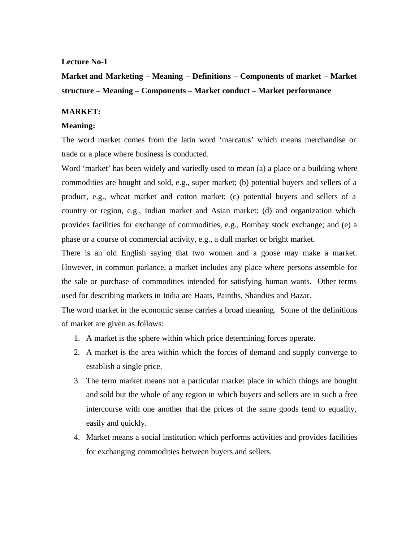#### **Lecture No-1**

**Market and Marketing – Meaning – Definitions – Components of market – Market structure – Meaning – Components – Market conduct – Market performance**

#### **MARKET:**

#### **Meaning:**

The word market comes from the latin word 'marcatus' which means merchandise or trade or a place where business is conducted.

Word 'market' has been widely and variedly used to mean (a) a place or a building where commodities are bought and sold, e.g., super market; (b) potential buyers and sellers of a product, e.g., wheat market and cotton market; (c) potential buyers and sellers of a country or region, e.g., Indian market and Asian market; (d) and organization which provides facilities for exchange of commodities, e.g., Bombay stock exchange; and (e) a phase or a course of commercial activity, e.g., a dull market or bright market.

There is an old English saying that two women and a goose may make a market. However, in common parlance, a market includes any place where persons assemble for the sale or purchase of commodities intended for satisfying human wants. Other terms used for describing markets in India are Haats, Painths, Shandies and Bazar.

The word market in the economic sense carries a broad meaning. Some of the definitions of market are given as follows:

- 1. A market is the sphere within which price determining forces operate.
- 2. A market is the area within which the forces of demand and supply converge to establish a single price.
- 3. The term market means not a particular market place in which things are bought and sold but the whole of any region in which buyers and sellers are in such a free intercourse with one another that the prices of the same goods tend to equality, easily and quickly.
- 4. Market means a social institution which performs activities and provides facilities for exchanging commodities between buyers and sellers.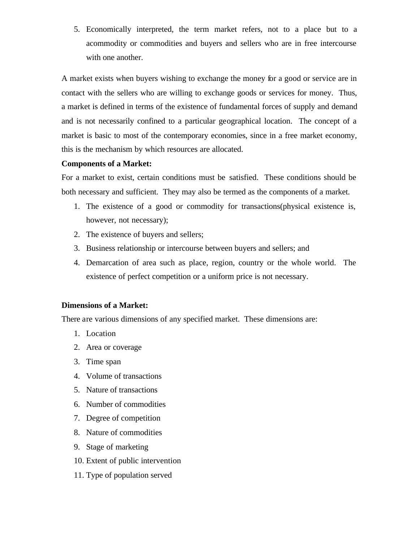5. Economically interpreted, the term market refers, not to a place but to a acommodity or commodities and buyers and sellers who are in free intercourse with one another.

A market exists when buyers wishing to exchange the money for a good or service are in contact with the sellers who are willing to exchange goods or services for money. Thus, a market is defined in terms of the existence of fundamental forces of supply and demand and is not necessarily confined to a particular geographical location. The concept of a market is basic to most of the contemporary economies, since in a free market economy, this is the mechanism by which resources are allocated.

## **Components of a Market:**

For a market to exist, certain conditions must be satisfied. These conditions should be both necessary and sufficient. They may also be termed as the components of a market.

- 1. The existence of a good or commodity for transactions(physical existence is, however, not necessary);
- 2. The existence of buyers and sellers;
- 3. Business relationship or intercourse between buyers and sellers; and
- 4. Demarcation of area such as place, region, country or the whole world. The existence of perfect competition or a uniform price is not necessary.

## **Dimensions of a Market:**

There are various dimensions of any specified market. These dimensions are:

- 1. Location
- 2. Area or coverage
- 3. Time span
- 4. Volume of transactions
- 5. Nature of transactions
- 6. Number of commodities
- 7. Degree of competition
- 8. Nature of commodities
- 9. Stage of marketing
- 10. Extent of public intervention
- 11. Type of population served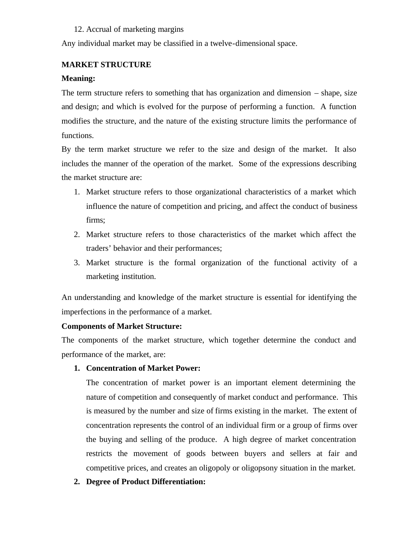## 12. Accrual of marketing margins

Any individual market may be classified in a twelve-dimensional space.

## **MARKET STRUCTURE**

#### **Meaning:**

The term structure refers to something that has organization and dimension – shape, size and design; and which is evolved for the purpose of performing a function. A function modifies the structure, and the nature of the existing structure limits the performance of functions.

By the term market structure we refer to the size and design of the market. It also includes the manner of the operation of the market. Some of the expressions describing the market structure are:

- 1. Market structure refers to those organizational characteristics of a market which influence the nature of competition and pricing, and affect the conduct of business firms;
- 2. Market structure refers to those characteristics of the market which affect the traders' behavior and their performances;
- 3. Market structure is the formal organization of the functional activity of a marketing institution.

An understanding and knowledge of the market structure is essential for identifying the imperfections in the performance of a market.

#### **Components of Market Structure:**

The components of the market structure, which together determine the conduct and performance of the market, are:

## **1. Concentration of Market Power:**

The concentration of market power is an important element determining the nature of competition and consequently of market conduct and performance. This is measured by the number and size of firms existing in the market. The extent of concentration represents the control of an individual firm or a group of firms over the buying and selling of the produce. A high degree of market concentration restricts the movement of goods between buyers and sellers at fair and competitive prices, and creates an oligopoly or oligopsony situation in the market.

## **2. Degree of Product Differentiation:**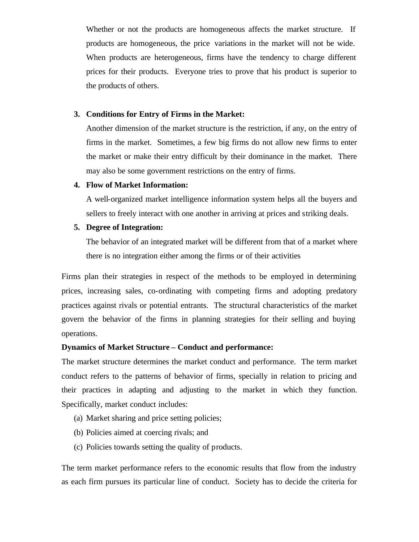Whether or not the products are homogeneous affects the market structure. If products are homogeneous, the price variations in the market will not be wide. When products are heterogeneous, firms have the tendency to charge different prices for their products. Everyone tries to prove that his product is superior to the products of others.

#### **3. Conditions for Entry of Firms in the Market:**

Another dimension of the market structure is the restriction, if any, on the entry of firms in the market. Sometimes, a few big firms do not allow new firms to enter the market or make their entry difficult by their dominance in the market. There may also be some government restrictions on the entry of firms.

## **4. Flow of Market Information:**

A well-organized market intelligence information system helps all the buyers and sellers to freely interact with one another in arriving at prices and striking deals.

#### **5. Degree of Integration:**

The behavior of an integrated market will be different from that of a market where there is no integration either among the firms or of their activities

Firms plan their strategies in respect of the methods to be employed in determining prices, increasing sales, co-ordinating with competing firms and adopting predatory practices against rivals or potential entrants. The structural characteristics of the market govern the behavior of the firms in planning strategies for their selling and buying operations.

#### **Dynamics of Market Structure – Conduct and performance:**

The market structure determines the market conduct and performance. The term market conduct refers to the patterns of behavior of firms, specially in relation to pricing and their practices in adapting and adjusting to the market in which they function. Specifically, market conduct includes:

- (a) Market sharing and price setting policies;
- (b) Policies aimed at coercing rivals; and
- (c) Policies towards setting the quality of products.

The term market performance refers to the economic results that flow from the industry as each firm pursues its particular line of conduct. Society has to decide the criteria for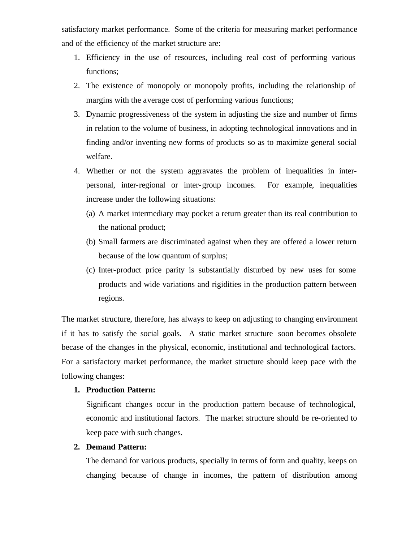satisfactory market performance. Some of the criteria for measuring market performance and of the efficiency of the market structure are:

- 1. Efficiency in the use of resources, including real cost of performing various functions;
- 2. The existence of monopoly or monopoly profits, including the relationship of margins with the average cost of performing various functions;
- 3. Dynamic progressiveness of the system in adjusting the size and number of firms in relation to the volume of business, in adopting technological innovations and in finding and/or inventing new forms of products so as to maximize general social welfare.
- 4. Whether or not the system aggravates the problem of inequalities in interpersonal, inter-regional or inter-group incomes. For example, inequalities increase under the following situations:
	- (a) A market intermediary may pocket a return greater than its real contribution to the national product;
	- (b) Small farmers are discriminated against when they are offered a lower return because of the low quantum of surplus;
	- (c) Inter-product price parity is substantially disturbed by new uses for some products and wide variations and rigidities in the production pattern between regions.

The market structure, therefore, has always to keep on adjusting to changing environment if it has to satisfy the social goals. A static market structure soon becomes obsolete becase of the changes in the physical, economic, institutional and technological factors. For a satisfactory market performance, the market structure should keep pace with the following changes:

#### **1. Production Pattern:**

Significant changes occur in the production pattern because of technological, economic and institutional factors. The market structure should be re-oriented to keep pace with such changes.

#### **2. Demand Pattern:**

The demand for various products, specially in terms of form and quality, keeps on changing because of change in incomes, the pattern of distribution among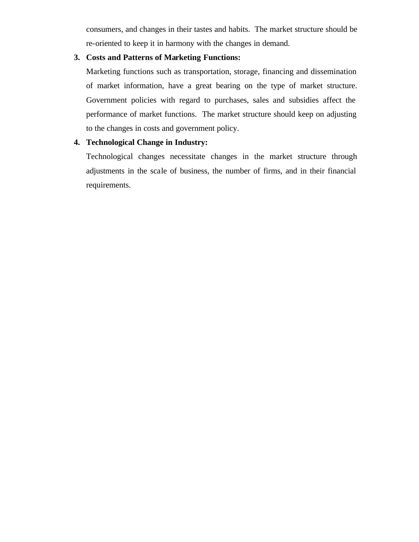consumers, and changes in their tastes and habits. The market structure should be re-oriented to keep it in harmony with the changes in demand.

## **3. Costs and Patterns of Marketing Functions:**

Marketing functions such as transportation, storage, financing and dissemination of market information, have a great bearing on the type of market structure. Government policies with regard to purchases, sales and subsidies affect the performance of market functions. The market structure should keep on adjusting to the changes in costs and government policy.

## **4. Technological Change in Industry:**

Technological changes necessitate changes in the market structure through adjustments in the scale of business, the number of firms, and in their financial requirements.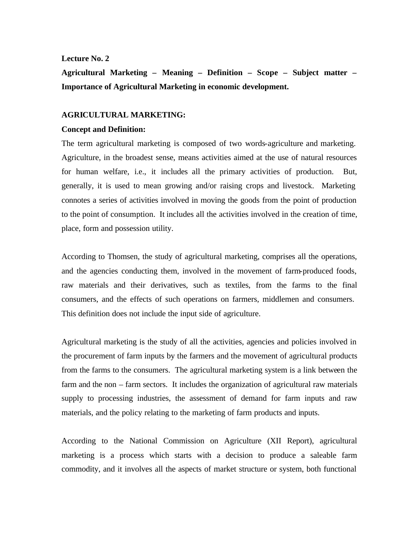#### **Lecture No. 2**

**Agricultural Marketing – Meaning – Definition – Scope – Subject matter – Importance of Agricultural Marketing in economic development.**

#### **AGRICULTURAL MARKETING:**

#### **Concept and Definition:**

The term agricultural marketing is composed of two words-agriculture and marketing. Agriculture, in the broadest sense, means activities aimed at the use of natural resources for human welfare, i.e., it includes all the primary activities of production. But, generally, it is used to mean growing and/or raising crops and livestock. Marketing connotes a series of activities involved in moving the goods from the point of production to the point of consumption. It includes all the activities involved in the creation of time, place, form and possession utility.

According to Thomsen, the study of agricultural marketing, comprises all the operations, and the agencies conducting them, involved in the movement of farm-produced foods, raw materials and their derivatives, such as textiles, from the farms to the final consumers, and the effects of such operations on farmers, middlemen and consumers. This definition does not include the input side of agriculture.

Agricultural marketing is the study of all the activities, agencies and policies involved in the procurement of farm inputs by the farmers and the movement of agricultural products from the farms to the consumers. The agricultural marketing system is a link between the farm and the non – farm sectors. It includes the organization of agricultural raw materials supply to processing industries, the assessment of demand for farm inputs and raw materials, and the policy relating to the marketing of farm products and inputs.

According to the National Commission on Agriculture (XII Report), agricultural marketing is a process which starts with a decision to produce a saleable farm commodity, and it involves all the aspects of market structure or system, both functional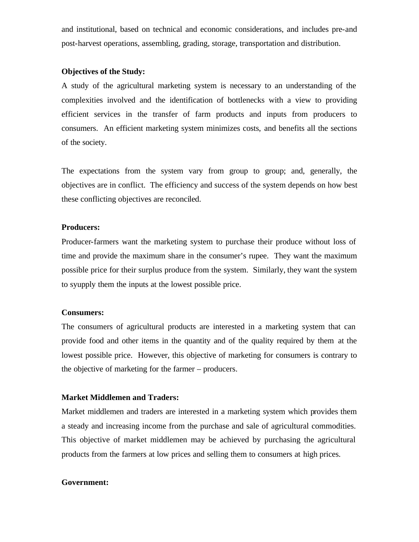and institutional, based on technical and economic considerations, and includes pre-and post-harvest operations, assembling, grading, storage, transportation and distribution.

## **Objectives of the Study:**

A study of the agricultural marketing system is necessary to an understanding of the complexities involved and the identification of bottlenecks with a view to providing efficient services in the transfer of farm products and inputs from producers to consumers. An efficient marketing system minimizes costs, and benefits all the sections of the society.

The expectations from the system vary from group to group; and, generally, the objectives are in conflict. The efficiency and success of the system depends on how best these conflicting objectives are reconciled.

#### **Producers:**

Producer-farmers want the marketing system to purchase their produce without loss of time and provide the maximum share in the consumer's rupee. They want the maximum possible price for their surplus produce from the system. Similarly, they want the system to syupply them the inputs at the lowest possible price.

#### **Consumers:**

The consumers of agricultural products are interested in a marketing system that can provide food and other items in the quantity and of the quality required by them at the lowest possible price. However, this objective of marketing for consumers is contrary to the objective of marketing for the farmer – producers.

#### **Market Middlemen and Traders:**

Market middlemen and traders are interested in a marketing system which provides them a steady and increasing income from the purchase and sale of agricultural commodities. This objective of market middlemen may be achieved by purchasing the agricultural products from the farmers at low prices and selling them to consumers at high prices.

#### **Government:**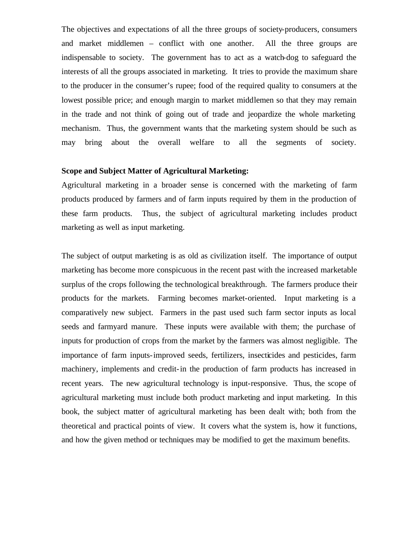The objectives and expectations of all the three groups of society-producers, consumers and market middlemen – conflict with one another. All the three groups are indispensable to society. The government has to act as a watch-dog to safeguard the interests of all the groups associated in marketing. It tries to provide the maximum share to the producer in the consumer's rupee; food of the required quality to consumers at the lowest possible price; and enough margin to market middlemen so that they may remain in the trade and not think of going out of trade and jeopardize the whole marketing mechanism. Thus, the government wants that the marketing system should be such as may bring about the overall welfare to all the segments of society.

## **Scope and Subject Matter of Agricultural Marketing:**

Agricultural marketing in a broader sense is concerned with the marketing of farm products produced by farmers and of farm inputs required by them in the production of these farm products. Thus, the subject of agricultural marketing includes product marketing as well as input marketing.

The subject of output marketing is as old as civilization itself. The importance of output marketing has become more conspicuous in the recent past with the increased marketable surplus of the crops following the technological breakthrough. The farmers produce their products for the markets. Farming becomes market-oriented. Input marketing is a comparatively new subject. Farmers in the past used such farm sector inputs as local seeds and farmyard manure. These inputs were available with them; the purchase of inputs for production of crops from the market by the farmers was almost negligible. The importance of farm inputs-improved seeds, fertilizers, insecticides and pesticides, farm machinery, implements and credit-in the production of farm products has increased in recent years. The new agricultural technology is input-responsive. Thus, the scope of agricultural marketing must include both product marketing and input marketing. In this book, the subject matter of agricultural marketing has been dealt with; both from the theoretical and practical points of view. It covers what the system is, how it functions, and how the given method or techniques may be modified to get the maximum benefits.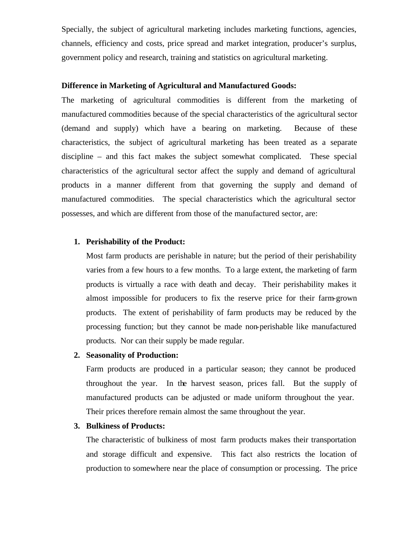Specially, the subject of agricultural marketing includes marketing functions, agencies, channels, efficiency and costs, price spread and market integration, producer's surplus, government policy and research, training and statistics on agricultural marketing.

#### **Difference in Marketing of Agricultural and Manufactured Goods:**

The marketing of agricultural commodities is different from the marketing of manufactured commodities because of the special characteristics of the agricultural sector (demand and supply) which have a bearing on marketing. Because of these characteristics, the subject of agricultural marketing has been treated as a separate discipline – and this fact makes the subject somewhat complicated. These special characteristics of the agricultural sector affect the supply and demand of agricultural products in a manner different from that governing the supply and demand of manufactured commodities. The special characteristics which the agricultural sector possesses, and which are different from those of the manufactured sector, are:

## **1. Perishability of the Product:**

Most farm products are perishable in nature; but the period of their perishability varies from a few hours to a few months. To a large extent, the marketing of farm products is virtually a race with death and decay. Their perishability makes it almost impossible for producers to fix the reserve price for their farm-grown products. The extent of perishability of farm products may be reduced by the processing function; but they cannot be made non-perishable like manufactured products. Nor can their supply be made regular.

## **2. Seasonality of Production:**

Farm products are produced in a particular season; they cannot be produced throughout the year. In the harvest season, prices fall. But the supply of manufactured products can be adjusted or made uniform throughout the year. Their prices therefore remain almost the same throughout the year.

#### **3. Bulkiness of Products:**

The characteristic of bulkiness of most farm products makes their transportation and storage difficult and expensive. This fact also restricts the location of production to somewhere near the place of consumption or processing. The price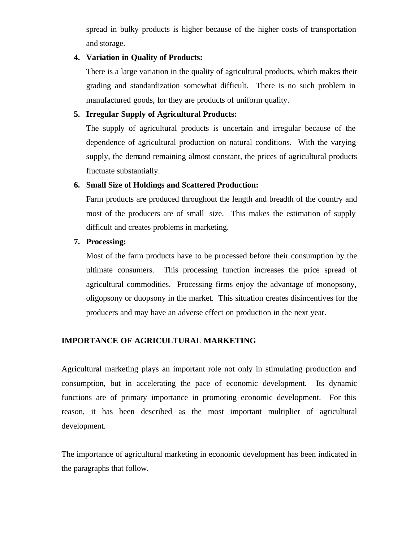spread in bulky products is higher because of the higher costs of transportation and storage.

## **4. Variation in Quality of Products:**

There is a large variation in the quality of agricultural products, which makes their grading and standardization somewhat difficult. There is no such problem in manufactured goods, for they are products of uniform quality.

## **5. Irregular Supply of Agricultural Products:**

The supply of agricultural products is uncertain and irregular because of the dependence of agricultural production on natural conditions. With the varying supply, the demand remaining almost constant, the prices of agricultural products fluctuate substantially.

## **6. Small Size of Holdings and Scattered Production:**

Farm products are produced throughout the length and breadth of the country and most of the producers are of small size. This makes the estimation of supply difficult and creates problems in marketing.

## **7. Processing:**

Most of the farm products have to be processed before their consumption by the ultimate consumers. This processing function increases the price spread of agricultural commodities. Processing firms enjoy the advantage of monopsony, oligopsony or duopsony in the market. This situation creates disincentives for the producers and may have an adverse effect on production in the next year.

## **IMPORTANCE OF AGRICULTURAL MARKETING**

Agricultural marketing plays an important role not only in stimulating production and consumption, but in accelerating the pace of economic development. Its dynamic functions are of primary importance in promoting economic development. For this reason, it has been described as the most important multiplier of agricultural development.

The importance of agricultural marketing in economic development has been indicated in the paragraphs that follow.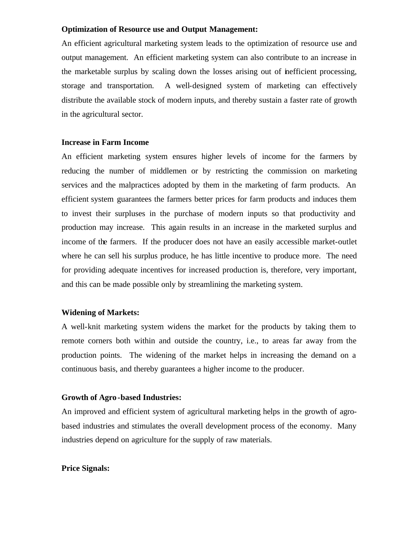#### **Optimization of Resource use and Output Management:**

An efficient agricultural marketing system leads to the optimization of resource use and output management. An efficient marketing system can also contribute to an increase in the marketable surplus by scaling down the losses arising out of inefficient processing, storage and transportation. A well-designed system of marketing can effectively distribute the available stock of modern inputs, and thereby sustain a faster rate of growth in the agricultural sector.

#### **Increase in Farm Income**

An efficient marketing system ensures higher levels of income for the farmers by reducing the number of middlemen or by restricting the commission on marketing services and the malpractices adopted by them in the marketing of farm products. An efficient system guarantees the farmers better prices for farm products and induces them to invest their surpluses in the purchase of modern inputs so that productivity and production may increase. This again results in an increase in the marketed surplus and income of the farmers. If the producer does not have an easily accessible market-outlet where he can sell his surplus produce, he has little incentive to produce more. The need for providing adequate incentives for increased production is, therefore, very important, and this can be made possible only by streamlining the marketing system.

## **Widening of Markets:**

A well-knit marketing system widens the market for the products by taking them to remote corners both within and outside the country, i.e., to areas far away from the production points. The widening of the market helps in increasing the demand on a continuous basis, and thereby guarantees a higher income to the producer.

## **Growth of Agro-based Industries:**

An improved and efficient system of agricultural marketing helps in the growth of agrobased industries and stimulates the overall development process of the economy. Many industries depend on agriculture for the supply of raw materials.

## **Price Signals:**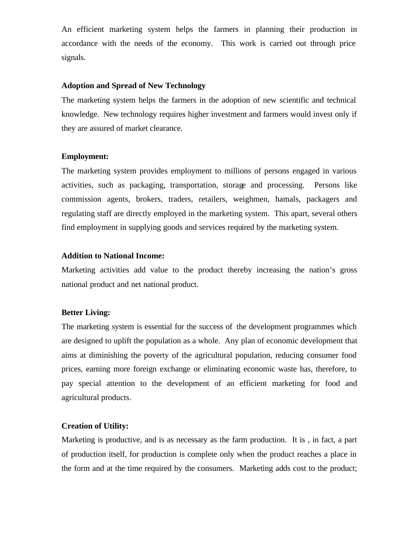An efficient marketing system helps the farmers in planning their production in accordance with the needs of the economy. This work is carried out through price signals.

#### **Adoption and Spread of New Technology**

The marketing system helps the farmers in the adoption of new scientific and technical knowledge. New technology requires higher investment and farmers would invest only if they are assured of market clearance.

#### **Employment:**

The marketing system provides employment to millions of persons engaged in various activities, such as packaging, transportation, storage and processing. Persons like commission agents, brokers, traders, retailers, weighmen, hamals, packagers and regulating staff are directly employed in the marketing system. This apart, several others find employment in supplying goods and services required by the marketing system.

## **Addition to National Income:**

Marketing activities add value to the product thereby increasing the nation's gross national product and net national product.

## **Better Living:**

The marketing system is essential for the success of the development programmes which are designed to uplift the population as a whole. Any plan of economic development that aims at diminishing the poverty of the agricultural population, reducing consumer food prices, earning more foreign exchange or eliminating economic waste has, therefore, to pay special attention to the development of an efficient marketing for food and agricultural products.

## **Creation of Utility:**

Marketing is productive, and is as necessary as the farm production. It is , in fact, a part of production itself, for production is complete only when the product reaches a place in the form and at the time required by the consumers. Marketing adds cost to the product;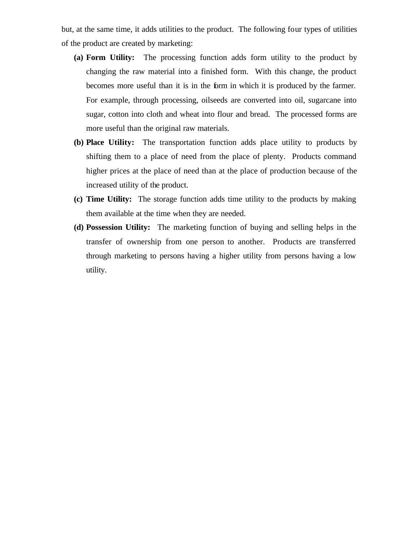but, at the same time, it adds utilities to the product. The following four types of utilities of the product are created by marketing:

- **(a) Form Utility:** The processing function adds form utility to the product by changing the raw material into a finished form. With this change, the product becomes more useful than it is in the form in which it is produced by the farmer. For example, through processing, oilseeds are converted into oil, sugarcane into sugar, cotton into cloth and wheat into flour and bread. The processed forms are more useful than the original raw materials.
- **(b) Place Utility:** The transportation function adds place utility to products by shifting them to a place of need from the place of plenty. Products command higher prices at the place of need than at the place of production because of the increased utility of the product.
- **(c) Time Utility:** The storage function adds time utility to the products by making them available at the time when they are needed.
- **(d) Possession Utility:** The marketing function of buying and selling helps in the transfer of ownership from one person to another. Products are transferred through marketing to persons having a higher utility from persons having a low utility.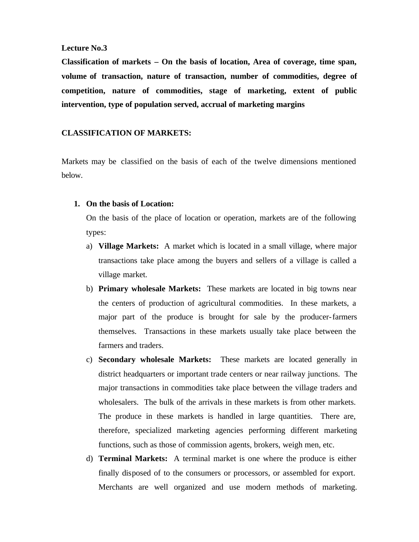#### **Lecture No.3**

**Classification of markets – On the basis of location, Area of coverage, time span, volume of transaction, nature of transaction, number of commodities, degree of competition, nature of commodities, stage of marketing, extent of public intervention, type of population served, accrual of marketing margins**

## **CLASSIFICATION OF MARKETS:**

Markets may be classified on the basis of each of the twelve dimensions mentioned below.

#### **1. On the basis of Location:**

On the basis of the place of location or operation, markets are of the following types:

- a) **Village Markets:** A market which is located in a small village, where major transactions take place among the buyers and sellers of a village is called a village market.
- b) **Primary wholesale Markets:** These markets are located in big towns near the centers of production of agricultural commodities. In these markets, a major part of the produce is brought for sale by the producer-farmers themselves. Transactions in these markets usually take place between the farmers and traders.
- c) **Secondary wholesale Markets:** These markets are located generally in district headquarters or important trade centers or near railway junctions. The major transactions in commodities take place between the village traders and wholesalers. The bulk of the arrivals in these markets is from other markets. The produce in these markets is handled in large quantities. There are, therefore, specialized marketing agencies performing different marketing functions, such as those of commission agents, brokers, weigh men, etc.
- d) **Terminal Markets:** A terminal market is one where the produce is either finally disposed of to the consumers or processors, or assembled for export. Merchants are well organized and use modern methods of marketing.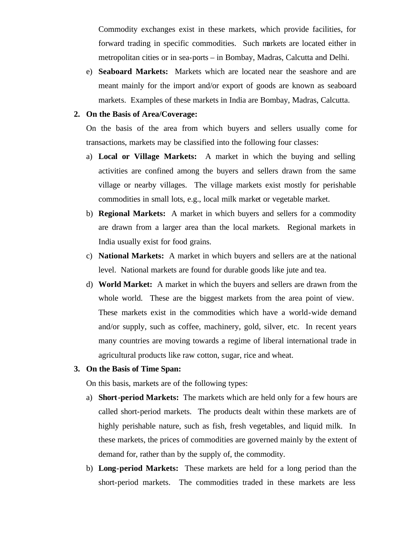Commodity exchanges exist in these markets, which provide facilities, for forward trading in specific commodities. Such markets are located either in metropolitan cities or in sea-ports – in Bombay, Madras, Calcutta and Delhi.

e) **Seaboard Markets:** Markets which are located near the seashore and are meant mainly for the import and/or export of goods are known as seaboard markets. Examples of these markets in India are Bombay, Madras, Calcutta.

#### **2. On the Basis of Area/Coverage:**

On the basis of the area from which buyers and sellers usually come for transactions, markets may be classified into the following four classes:

- a) **Local or Village Markets:** A market in which the buying and selling activities are confined among the buyers and sellers drawn from the same village or nearby villages. The village markets exist mostly for perishable commodities in small lots, e.g., local milk market or vegetable market.
- b) **Regional Markets:** A market in which buyers and sellers for a commodity are drawn from a larger area than the local markets. Regional markets in India usually exist for food grains.
- c) **National Markets:** A market in which buyers and sellers are at the national level. National markets are found for durable goods like jute and tea.
- d) **World Market:** A market in which the buyers and sellers are drawn from the whole world. These are the biggest markets from the area point of view. These markets exist in the commodities which have a world-wide demand and/or supply, such as coffee, machinery, gold, silver, etc. In recent years many countries are moving towards a regime of liberal international trade in agricultural products like raw cotton, sugar, rice and wheat.

#### **3. On the Basis of Time Span:**

On this basis, markets are of the following types:

- a) **Short-period Markets:** The markets which are held only for a few hours are called short-period markets. The products dealt within these markets are of highly perishable nature, such as fish, fresh vegetables, and liquid milk. In these markets, the prices of commodities are governed mainly by the extent of demand for, rather than by the supply of, the commodity.
- b) **Long-period Markets:** These markets are held for a long period than the short-period markets. The commodities traded in these markets are less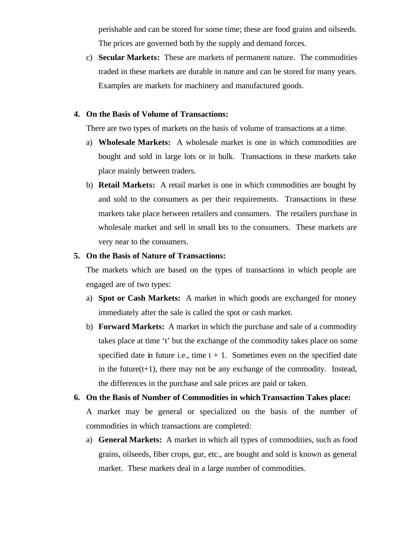perishable and can be stored for some time; these are food grains and oilseeds. The prices are governed both by the supply and demand forces.

c) **Secular Markets:** These are markets of permanent nature. The commodities traded in these markets are durable in nature and can be stored for many years. Examples are markets for machinery and manufactured goods.

## **4. On the Basis of Volume of Transactions:**

There are two types of markets on the basis of volume of transactions at a time.

- a) **Wholesale Markets:** A wholesale market is one in which commodities are bought and sold in large lots or in bulk. Transactions in these markets take place mainly between traders.
- b) **Retail Markets:** A retail market is one in which commodities are bought by and sold to the consumers as per their requirements. Transactions in these markets take place between retailers and consumers. The retailers purchase in wholesale market and sell in small bts to the consumers. These markets are very near to the consumers.

## **5. On the Basis of Nature of Transactions:**

The markets which are based on the types of transactions in which people are engaged are of two types:

- a) **Spot or Cash Markets:** A market in which goods are exchanged for money immediately after the sale is called the spot or cash market.
- b) **Forward Markets:** A market in which the purchase and sale of a commodity takes place at time 't' but the exchange of the commodity takes place on some specified date in future i.e., time  $t + 1$ . Sometimes even on the specified date in the future( $t+1$ ), there may not be any exchange of the commodity. Instead, the differences in the purchase and sale prices are paid or taken.
- **6. On the Basis of Number of Commodities in which Transaction Takes place:** A market may be general or specialized on the basis of the number of commodities in which transactions are completed:
	- a) **General Markets:** A market in which all types of commodities, such as food grains, oilseeds, fiber crops, gur, etc., are bought and sold is known as general market. These markets deal in a large number of commodities.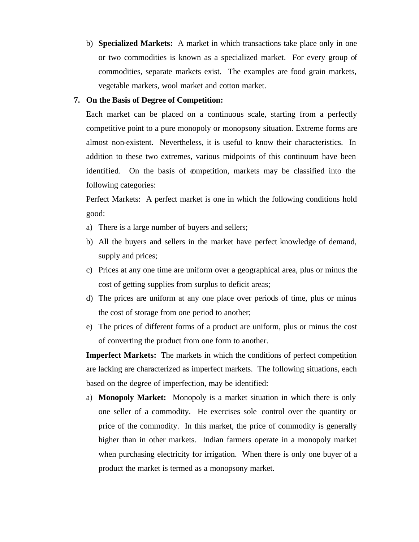b) **Specialized Markets:** A market in which transactions take place only in one or two commodities is known as a specialized market. For every group of commodities, separate markets exist. The examples are food grain markets, vegetable markets, wool market and cotton market.

## **7. On the Basis of Degree of Competition:**

Each market can be placed on a continuous scale, starting from a perfectly competitive point to a pure monopoly or monopsony situation. Extreme forms are almost non-existent. Nevertheless, it is useful to know their characteristics. In addition to these two extremes, various midpoints of this continuum have been identified. On the basis of competition, markets may be classified into the following categories:

Perfect Markets: A perfect market is one in which the following conditions hold good:

- a) There is a large number of buyers and sellers;
- b) All the buyers and sellers in the market have perfect knowledge of demand, supply and prices;
- c) Prices at any one time are uniform over a geographical area, plus or minus the cost of getting supplies from surplus to deficit areas;
- d) The prices are uniform at any one place over periods of time, plus or minus the cost of storage from one period to another;
- e) The prices of different forms of a product are uniform, plus or minus the cost of converting the product from one form to another.

**Imperfect Markets:** The markets in which the conditions of perfect competition are lacking are characterized as imperfect markets. The following situations, each based on the degree of imperfection, may be identified:

a) **Monopoly Market:** Monopoly is a market situation in which there is only one seller of a commodity. He exercises sole control over the quantity or price of the commodity. In this market, the price of commodity is generally higher than in other markets. Indian farmers operate in a monopoly market when purchasing electricity for irrigation. When there is only one buyer of a product the market is termed as a monopsony market.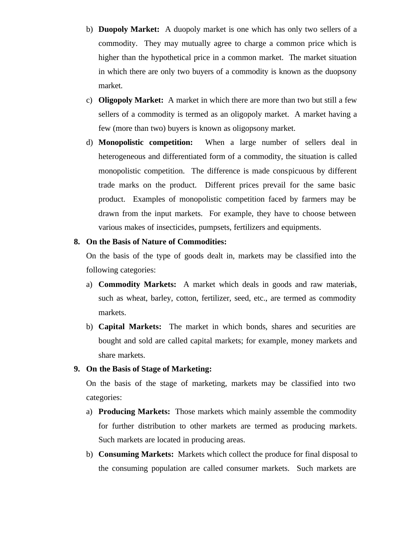- b) **Duopoly Market:** A duopoly market is one which has only two sellers of a commodity. They may mutually agree to charge a common price which is higher than the hypothetical price in a common market. The market situation in which there are only two buyers of a commodity is known as the duopsony market.
- c) **Oligopoly Market:** A market in which there are more than two but still a few sellers of a commodity is termed as an oligopoly market. A market having a few (more than two) buyers is known as oligopsony market.
- d) **Monopolistic competition:** When a large number of sellers deal in heterogeneous and differentiated form of a commodity, the situation is called monopolistic competition. The difference is made conspicuous by different trade marks on the product. Different prices prevail for the same basic product. Examples of monopolistic competition faced by farmers may be drawn from the input markets. For example, they have to choose between various makes of insecticides, pumpsets, fertilizers and equipments.

#### **8. On the Basis of Nature of Commodities:**

On the basis of the type of goods dealt in, markets may be classified into the following categories:

- a) **Commodity Markets:** A market which deals in goods and raw materials, such as wheat, barley, cotton, fertilizer, seed, etc., are termed as commodity markets.
- b) **Capital Markets:** The market in which bonds, shares and securities are bought and sold are called capital markets; for example, money markets and share markets.

## **9. On the Basis of Stage of Marketing:**

On the basis of the stage of marketing, markets may be classified into two categories:

- a) **Producing Markets:** Those markets which mainly assemble the commodity for further distribution to other markets are termed as producing markets. Such markets are located in producing areas.
- b) **Consuming Markets:** Markets which collect the produce for final disposal to the consuming population are called consumer markets. Such markets are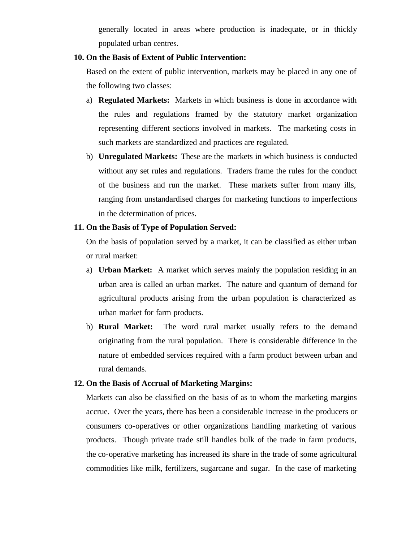generally located in areas where production is inadequate, or in thickly populated urban centres.

## **10. On the Basis of Extent of Public Intervention:**

Based on the extent of public intervention, markets may be placed in any one of the following two classes:

- a) **Regulated Markets:** Markets in which business is done in accordance with the rules and regulations framed by the statutory market organization representing different sections involved in markets. The marketing costs in such markets are standardized and practices are regulated.
- b) **Unregulated Markets:** These are the markets in which business is conducted without any set rules and regulations. Traders frame the rules for the conduct of the business and run the market. These markets suffer from many ills, ranging from unstandardised charges for marketing functions to imperfections in the determination of prices.

#### **11. On the Basis of Type of Population Served:**

On the basis of population served by a market, it can be classified as either urban or rural market:

- a) **Urban Market:** A market which serves mainly the population residing in an urban area is called an urban market. The nature and quantum of demand for agricultural products arising from the urban population is characterized as urban market for farm products.
- b) **Rural Market:** The word rural market usually refers to the demand originating from the rural population. There is considerable difference in the nature of embedded services required with a farm product between urban and rural demands.

## **12. On the Basis of Accrual of Marketing Margins:**

Markets can also be classified on the basis of as to whom the marketing margins accrue. Over the years, there has been a considerable increase in the producers or consumers co-operatives or other organizations handling marketing of various products. Though private trade still handles bulk of the trade in farm products, the co-operative marketing has increased its share in the trade of some agricultural commodities like milk, fertilizers, sugarcane and sugar. In the case of marketing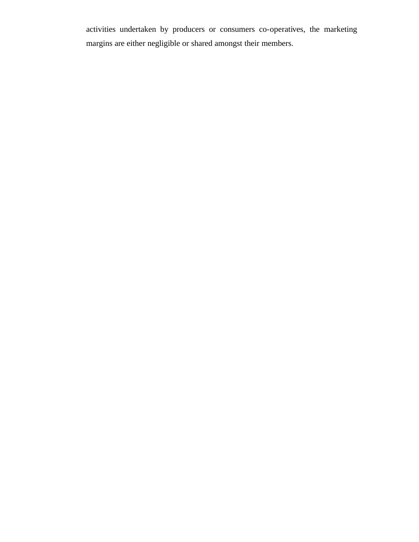activities undertaken by producers or consumers co-operatives, the marketing margins are either negligible or shared amongst their members.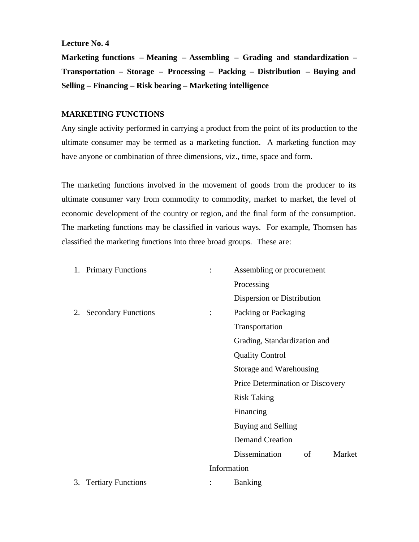#### **Lecture No. 4**

**Marketing functions – Meaning – Assembling – Grading and standardization – Transportation – Storage – Processing – Packing – Distribution – Buying and Selling – Financing – Risk bearing – Marketing intelligence**

## **MARKETING FUNCTIONS**

Any single activity performed in carrying a product from the point of its production to the ultimate consumer may be termed as a marketing function. A marketing function may have anyone or combination of three dimensions, viz., time, space and form.

The marketing functions involved in the movement of goods from the producer to its ultimate consumer vary from commodity to commodity, market to market, the level of economic development of the country or region, and the final form of the consumption. The marketing functions may be classified in various ways. For example, Thomsen has classified the marketing functions into three broad groups. These are:

| 1. Primary Functions             |                | Assembling or procurement        |  |  |
|----------------------------------|----------------|----------------------------------|--|--|
|                                  |                | Processing                       |  |  |
|                                  |                | Dispersion or Distribution       |  |  |
| <b>Secondary Functions</b><br>2. | $\ddot{\cdot}$ | Packing or Packaging             |  |  |
|                                  |                | Transportation                   |  |  |
|                                  |                | Grading, Standardization and     |  |  |
|                                  |                | <b>Quality Control</b>           |  |  |
|                                  |                | Storage and Warehousing          |  |  |
|                                  |                | Price Determination or Discovery |  |  |
|                                  |                | <b>Risk Taking</b>               |  |  |
|                                  |                | Financing                        |  |  |
|                                  |                | Buying and Selling               |  |  |
|                                  |                | <b>Demand Creation</b>           |  |  |
|                                  |                | Dissemination<br>of<br>Market    |  |  |
|                                  |                | Information                      |  |  |
| 3. Tertiary Functions            |                | <b>Banking</b>                   |  |  |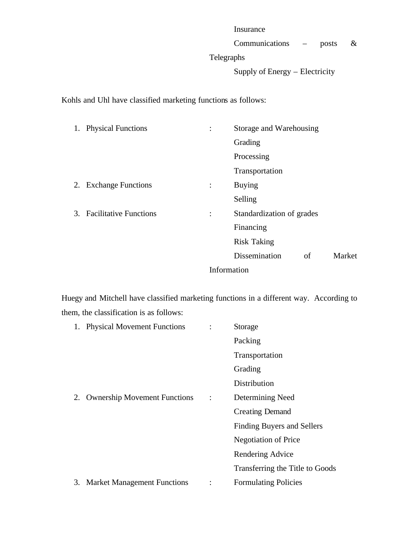## Insurance

## Communications – posts &

Telegraphs

Supply of Energy – Electricity

Kohls and Uhl have classified marketing functions as follows:

|             | 1. Physical Functions     | $\ddot{\cdot}$       | Storage and Warehousing   |    |        |
|-------------|---------------------------|----------------------|---------------------------|----|--------|
|             |                           |                      | Grading                   |    |        |
|             |                           |                      | Processing                |    |        |
|             |                           |                      | Transportation            |    |        |
|             | 2. Exchange Functions     | $\ddot{\cdot}$       | <b>Buying</b>             |    |        |
|             |                           |                      | Selling                   |    |        |
|             | 3. Facilitative Functions | $\ddot{\phantom{a}}$ | Standardization of grades |    |        |
|             |                           |                      | Financing                 |    |        |
|             |                           |                      | <b>Risk Taking</b>        |    |        |
|             |                           |                      | Dissemination             | of | Market |
| Information |                           |                      |                           |    |        |

Huegy and Mitchell have classified marketing functions in a different way. According to them, the classification is as follows:

| 1. Physical Movement Functions  | Storage                           |
|---------------------------------|-----------------------------------|
|                                 | Packing                           |
|                                 | Transportation                    |
|                                 | Grading                           |
|                                 | Distribution                      |
| 2. Ownership Movement Functions | Determining Need                  |
|                                 | <b>Creating Demand</b>            |
|                                 | <b>Finding Buyers and Sellers</b> |
|                                 | <b>Negotiation of Price</b>       |
|                                 | Rendering Advice                  |
|                                 | Transferring the Title to Goods   |
| 3. Market Management Functions  | <b>Formulating Policies</b>       |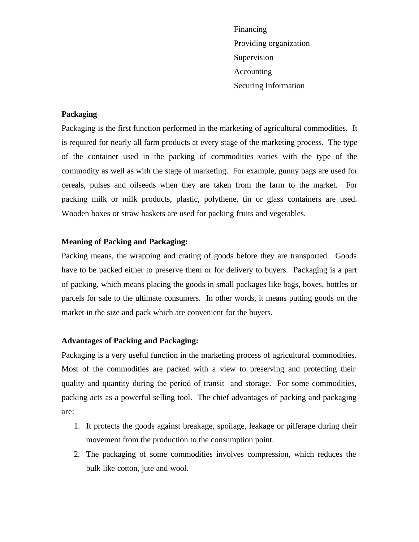Financing Providing organization Supervision Accounting Securing Information

## **Packaging**

Packaging is the first function performed in the marketing of agricultural commodities. It is required for nearly all farm products at every stage of the marketing process. The type of the container used in the packing of commodities varies with the type of the commodity as well as with the stage of marketing. For example, gunny bags are used for cereals, pulses and oilseeds when they are taken from the farm to the market. For packing milk or milk products, plastic, polythene, tin or glass containers are used. Wooden boxes or straw baskets are used for packing fruits and vegetables.

## **Meaning of Packing and Packaging:**

Packing means, the wrapping and crating of goods before they are transported. Goods have to be packed either to preserve them or for delivery to buyers. Packaging is a part of packing, which means placing the goods in small packages like bags, boxes, bottles or parcels for sale to the ultimate consumers. In other words, it means putting goods on the market in the size and pack which are convenient for the buyers.

## **Advantages of Packing and Packaging:**

Packaging is a very useful function in the marketing process of agricultural commodities. Most of the commodities are packed with a view to preserving and protecting their quality and quantity during the period of transit and storage. For some commodities, packing acts as a powerful selling tool. The chief advantages of packing and packaging are:

- 1. It protects the goods against breakage, spoilage, leakage or pilferage during their movement from the production to the consumption point.
- 2. The packaging of some commodities involves compression, which reduces the bulk like cotton, jute and wool.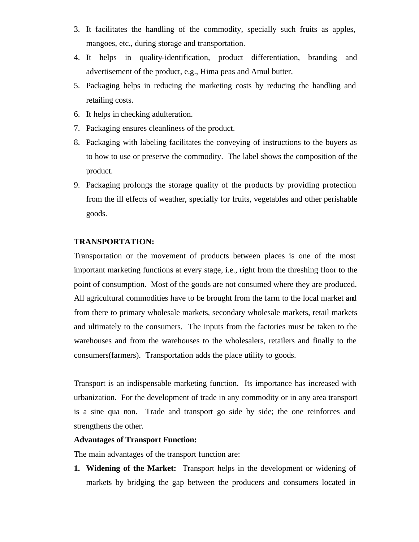- 3. It facilitates the handling of the commodity, specially such fruits as apples, mangoes, etc., during storage and transportation.
- 4. It helps in quality-identification, product differentiation, branding and advertisement of the product, e.g., Hima peas and Amul butter.
- 5. Packaging helps in reducing the marketing costs by reducing the handling and retailing costs.
- 6. It helps in checking adulteration.
- 7. Packaging ensures cleanliness of the product.
- 8. Packaging with labeling facilitates the conveying of instructions to the buyers as to how to use or preserve the commodity. The label shows the composition of the product.
- 9. Packaging prolongs the storage quality of the products by providing protection from the ill effects of weather, specially for fruits, vegetables and other perishable goods.

## **TRANSPORTATION:**

Transportation or the movement of products between places is one of the most important marketing functions at every stage, i.e., right from the threshing floor to the point of consumption. Most of the goods are not consumed where they are produced. All agricultural commodities have to be brought from the farm to the local market and from there to primary wholesale markets, secondary wholesale markets, retail markets and ultimately to the consumers. The inputs from the factories must be taken to the warehouses and from the warehouses to the wholesalers, retailers and finally to the consumers(farmers). Transportation adds the place utility to goods.

Transport is an indispensable marketing function. Its importance has increased with urbanization. For the development of trade in any commodity or in any area transport is a sine qua non. Trade and transport go side by side; the one reinforces and strengthens the other.

#### **Advantages of Transport Function:**

The main advantages of the transport function are:

**1. Widening of the Market:** Transport helps in the development or widening of markets by bridging the gap between the producers and consumers located in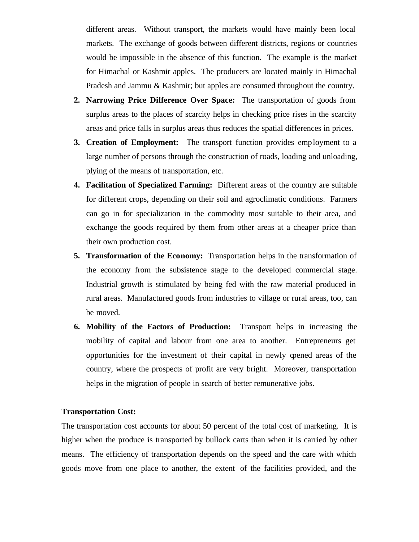different areas. Without transport, the markets would have mainly been local markets. The exchange of goods between different districts, regions or countries would be impossible in the absence of this function. The example is the market for Himachal or Kashmir apples. The producers are located mainly in Himachal Pradesh and Jammu & Kashmir; but apples are consumed throughout the country.

- **2. Narrowing Price Difference Over Space:** The transportation of goods from surplus areas to the places of scarcity helps in checking price rises in the scarcity areas and price falls in surplus areas thus reduces the spatial differences in prices.
- **3. Creation of Employment:** The transport function provides employment to a large number of persons through the construction of roads, loading and unloading, plying of the means of transportation, etc.
- **4. Facilitation of Specialized Farming:** Different areas of the country are suitable for different crops, depending on their soil and agroclimatic conditions. Farmers can go in for specialization in the commodity most suitable to their area, and exchange the goods required by them from other areas at a cheaper price than their own production cost.
- **5. Transformation of the Economy:** Transportation helps in the transformation of the economy from the subsistence stage to the developed commercial stage. Industrial growth is stimulated by being fed with the raw material produced in rural areas. Manufactured goods from industries to village or rural areas, too, can be moved.
- **6. Mobility of the Factors of Production:** Transport helps in increasing the mobility of capital and labour from one area to another. Entrepreneurs get opportunities for the investment of their capital in newly opened areas of the country, where the prospects of profit are very bright. Moreover, transportation helps in the migration of people in search of better remunerative jobs.

#### **Transportation Cost:**

The transportation cost accounts for about 50 percent of the total cost of marketing. It is higher when the produce is transported by bullock carts than when it is carried by other means. The efficiency of transportation depends on the speed and the care with which goods move from one place to another, the extent of the facilities provided, and the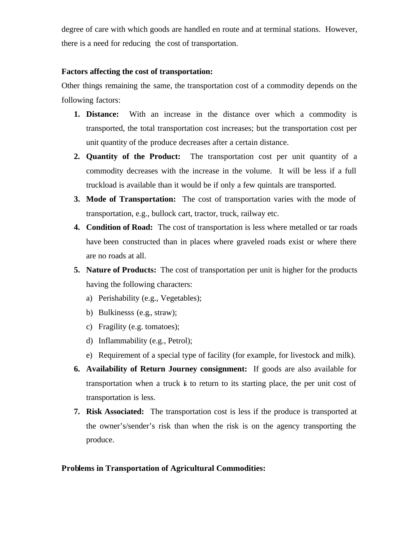degree of care with which goods are handled en route and at terminal stations. However, there is a need for reducing the cost of transportation.

## **Factors affecting the cost of transportation:**

Other things remaining the same, the transportation cost of a commodity depends on the following factors:

- **1. Distance:** With an increase in the distance over which a commodity is transported, the total transportation cost increases; but the transportation cost per unit quantity of the produce decreases after a certain distance.
- **2. Quantity of the Product:** The transportation cost per unit quantity of a commodity decreases with the increase in the volume. It will be less if a full truckload is available than it would be if only a few quintals are transported.
- **3. Mode of Transportation:** The cost of transportation varies with the mode of transportation, e.g., bullock cart, tractor, truck, railway etc.
- **4. Condition of Road:** The cost of transportation is less where metalled or tar roads have been constructed than in places where graveled roads exist or where there are no roads at all.
- **5. Nature of Products:** The cost of transportation per unit is higher for the products having the following characters:
	- a) Perishability (e.g., Vegetables);
	- b) Bulkinesss (e.g., straw);
	- c) Fragility (e.g. tomatoes);
	- d) Inflammability (e.g., Petrol);
	- e) Requirement of a special type of facility (for example, for livestock and milk).
- **6. Availability of Return Journey consignment:** If goods are also available for transportation when a truck is to return to its starting place, the per unit cost of transportation is less.
- **7. Risk Associated:** The transportation cost is less if the produce is transported at the owner's/sender's risk than when the risk is on the agency transporting the produce.

## **Problems in Transportation of Agricultural Commodities:**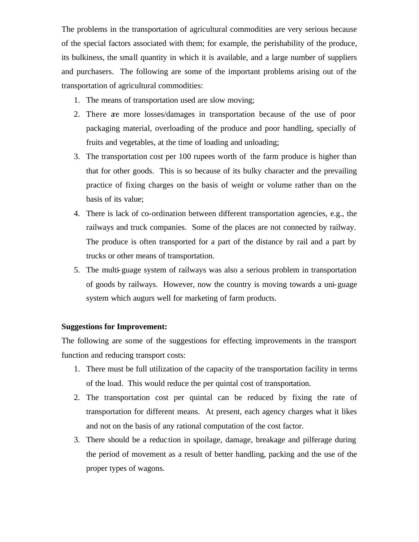The problems in the transportation of agricultural commodities are very serious because of the special factors associated with them; for example, the perishability of the produce, its bulkiness, the small quantity in which it is available, and a large number of suppliers and purchasers. The following are some of the important problems arising out of the transportation of agricultural commodities:

- 1. The means of transportation used are slow moving;
- 2. There are more losses/damages in transportation because of the use of poor packaging material, overloading of the produce and poor handling, specially of fruits and vegetables, at the time of loading and unloading;
- 3. The transportation cost per 100 rupees worth of the farm produce is higher than that for other goods. This is so because of its bulky character and the prevailing practice of fixing charges on the basis of weight or volume rather than on the basis of its value;
- 4. There is lack of co-ordination between different transportation agencies, e.g., the railways and truck companies. Some of the places are not connected by railway. The produce is often transported for a part of the distance by rail and a part by trucks or other means of transportation.
- 5. The multi-guage system of railways was also a serious problem in transportation of goods by railways. However, now the country is moving towards a uni-guage system which augurs well for marketing of farm products.

## **Suggestions for Improvement:**

The following are some of the suggestions for effecting improvements in the transport function and reducing transport costs:

- 1. There must be full utilization of the capacity of the transportation facility in terms of the load. This would reduce the per quintal cost of transportation.
- 2. The transportation cost per quintal can be reduced by fixing the rate of transportation for different means. At present, each agency charges what it likes and not on the basis of any rational computation of the cost factor.
- 3. There should be a reduc tion in spoilage, damage, breakage and pilferage during the period of movement as a result of better handling, packing and the use of the proper types of wagons.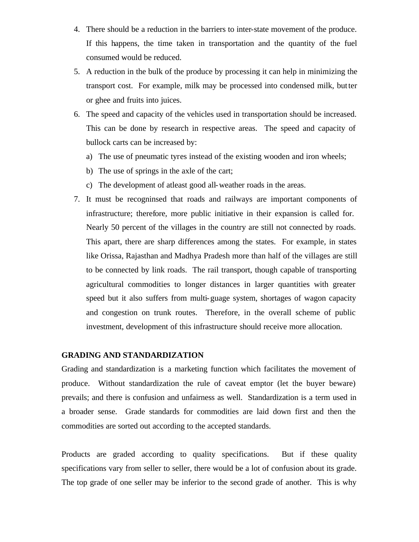- 4. There should be a reduction in the barriers to inter-state movement of the produce. If this happens, the time taken in transportation and the quantity of the fuel consumed would be reduced.
- 5. A reduction in the bulk of the produce by processing it can help in minimizing the transport cost. For example, milk may be processed into condensed milk, butter or ghee and fruits into juices.
- 6. The speed and capacity of the vehicles used in transportation should be increased. This can be done by research in respective areas. The speed and capacity of bullock carts can be increased by:
	- a) The use of pneumatic tyres instead of the existing wooden and iron wheels;
	- b) The use of springs in the axle of the cart;
	- c) The development of atleast good all-weather roads in the areas.
- 7. It must be recogninsed that roads and railways are important components of infrastructure; therefore, more public initiative in their expansion is called for. Nearly 50 percent of the villages in the country are still not connected by roads. This apart, there are sharp differences among the states. For example, in states like Orissa, Rajasthan and Madhya Pradesh more than half of the villages are still to be connected by link roads. The rail transport, though capable of transporting agricultural commodities to longer distances in larger quantities with greater speed but it also suffers from multi-guage system, shortages of wagon capacity and congestion on trunk routes. Therefore, in the overall scheme of public investment, development of this infrastructure should receive more allocation.

## **GRADING AND STANDARDIZATION**

Grading and standardization is a marketing function which facilitates the movement of produce. Without standardization the rule of caveat emptor (let the buyer beware) prevails; and there is confusion and unfairness as well. Standardization is a term used in a broader sense. Grade standards for commodities are laid down first and then the commodities are sorted out according to the accepted standards.

Products are graded according to quality specifications. But if these quality specifications vary from seller to seller, there would be a lot of confusion about its grade. The top grade of one seller may be inferior to the second grade of another. This is why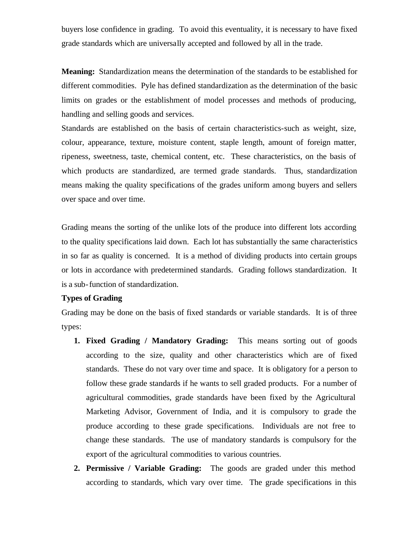buyers lose confidence in grading. To avoid this eventuality, it is necessary to have fixed grade standards which are universally accepted and followed by all in the trade.

**Meaning:** Standardization means the determination of the standards to be established for different commodities. Pyle has defined standardization as the determination of the basic limits on grades or the establishment of model processes and methods of producing, handling and selling goods and services.

Standards are established on the basis of certain characteristics-such as weight, size, colour, appearance, texture, moisture content, staple length, amount of foreign matter, ripeness, sweetness, taste, chemical content, etc. These characteristics, on the basis of which products are standardized, are termed grade standards. Thus, standardization means making the quality specifications of the grades uniform among buyers and sellers over space and over time.

Grading means the sorting of the unlike lots of the produce into different lots according to the quality specifications laid down. Each lot has substantially the same characteristics in so far as quality is concerned. It is a method of dividing products into certain groups or lots in accordance with predetermined standards. Grading follows standardization. It is a sub-function of standardization.

#### **Types of Grading**

Grading may be done on the basis of fixed standards or variable standards. It is of three types:

- **1. Fixed Grading / Mandatory Grading:** This means sorting out of goods according to the size, quality and other characteristics which are of fixed standards. These do not vary over time and space. It is obligatory for a person to follow these grade standards if he wants to sell graded products. For a number of agricultural commodities, grade standards have been fixed by the Agricultural Marketing Advisor, Government of India, and it is compulsory to grade the produce according to these grade specifications. Individuals are not free to change these standards. The use of mandatory standards is compulsory for the export of the agricultural commodities to various countries.
- **2. Permissive / Variable Grading:** The goods are graded under this method according to standards, which vary over time. The grade specifications in this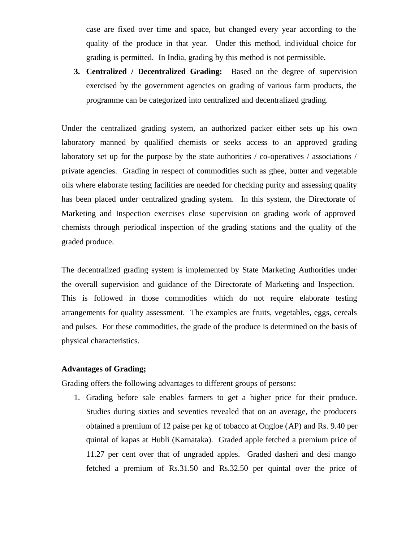case are fixed over time and space, but changed every year according to the quality of the produce in that year. Under this method, individual choice for grading is permitted. In India, grading by this method is not permissible.

**3. Centralized / Decentralized Grading:** Based on the degree of supervision exercised by the government agencies on grading of various farm products, the programme can be categorized into centralized and decentralized grading.

Under the centralized grading system, an authorized packer either sets up his own laboratory manned by qualified chemists or seeks access to an approved grading laboratory set up for the purpose by the state authorities / co-operatives / associations / private agencies. Grading in respect of commodities such as ghee, butter and vegetable oils where elaborate testing facilities are needed for checking purity and assessing quality has been placed under centralized grading system. In this system, the Directorate of Marketing and Inspection exercises close supervision on grading work of approved chemists through periodical inspection of the grading stations and the quality of the graded produce.

The decentralized grading system is implemented by State Marketing Authorities under the overall supervision and guidance of the Directorate of Marketing and Inspection. This is followed in those commodities which do not require elaborate testing arrangements for quality assessment. The examples are fruits, vegetables, eggs, cereals and pulses. For these commodities, the grade of the produce is determined on the basis of physical characteristics.

## **Advantages of Grading;**

Grading offers the following advantages to different groups of persons:

1. Grading before sale enables farmers to get a higher price for their produce. Studies during sixties and seventies revealed that on an average, the producers obtained a premium of 12 paise per kg of tobacco at Ongloe (AP) and Rs. 9.40 per quintal of kapas at Hubli (Karnataka). Graded apple fetched a premium price of 11.27 per cent over that of ungraded apples. Graded dasheri and desi mango fetched a premium of Rs.31.50 and Rs.32.50 per quintal over the price of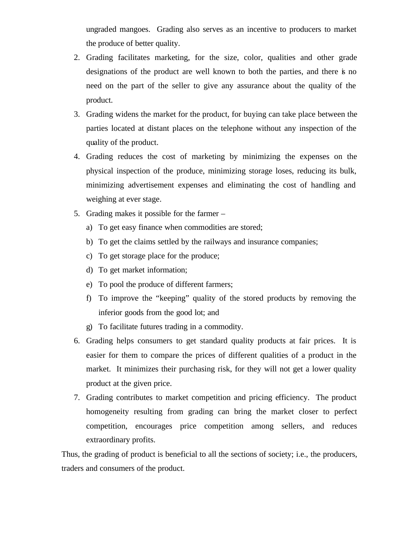ungraded mangoes. Grading also serves as an incentive to producers to market the produce of better quality.

- 2. Grading facilitates marketing, for the size, color, qualities and other grade designations of the product are well known to both the parties, and there is no need on the part of the seller to give any assurance about the quality of the product.
- 3. Grading widens the market for the product, for buying can take place between the parties located at distant places on the telephone without any inspection of the quality of the product.
- 4. Grading reduces the cost of marketing by minimizing the expenses on the physical inspection of the produce, minimizing storage loses, reducing its bulk, minimizing advertisement expenses and eliminating the cost of handling and weighing at ever stage.
- 5. Grading makes it possible for the farmer
	- a) To get easy finance when commodities are stored;
	- b) To get the claims settled by the railways and insurance companies;
	- c) To get storage place for the produce;
	- d) To get market information;
	- e) To pool the produce of different farmers;
	- f) To improve the "keeping" quality of the stored products by removing the inferior goods from the good lot; and
	- g) To facilitate futures trading in a commodity.
- 6. Grading helps consumers to get standard quality products at fair prices. It is easier for them to compare the prices of different qualities of a product in the market. It minimizes their purchasing risk, for they will not get a lower quality product at the given price.
- 7. Grading contributes to market competition and pricing efficiency. The product homogeneity resulting from grading can bring the market closer to perfect competition, encourages price competition among sellers, and reduces extraordinary profits.

Thus, the grading of product is beneficial to all the sections of society; i.e., the producers, traders and consumers of the product.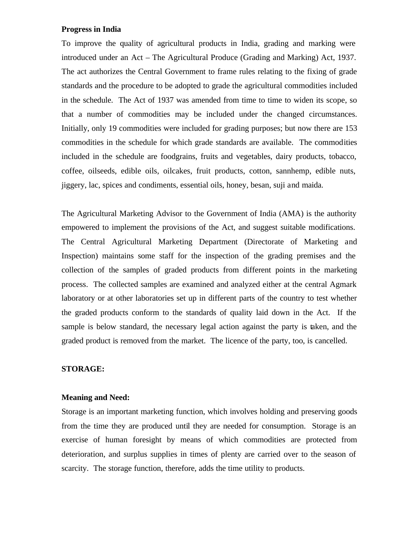#### **Progress in India**

To improve the quality of agricultural products in India, grading and marking were introduced under an Act – The Agricultural Produce (Grading and Marking) Act, 1937. The act authorizes the Central Government to frame rules relating to the fixing of grade standards and the procedure to be adopted to grade the agricultural commodities included in the schedule. The Act of 1937 was amended from time to time to widen its scope, so that a number of commodities may be included under the changed circumstances. Initially, only 19 commodities were included for grading purposes; but now there are 153 commodities in the schedule for which grade standards are available. The commodities included in the schedule are foodgrains, fruits and vegetables, dairy products, tobacco, coffee, oilseeds, edible oils, oilcakes, fruit products, cotton, sannhemp, edible nuts, jiggery, lac, spices and condiments, essential oils, honey, besan, suji and maida.

The Agricultural Marketing Advisor to the Government of India (AMA) is the authority empowered to implement the provisions of the Act, and suggest suitable modifications. The Central Agricultural Marketing Department (Directorate of Marketing and Inspection) maintains some staff for the inspection of the grading premises and the collection of the samples of graded products from different points in the marketing process. The collected samples are examined and analyzed either at the central Agmark laboratory or at other laboratories set up in different parts of the country to test whether the graded products conform to the standards of quality laid down in the Act. If the sample is below standard, the necessary legal action against the party is taken, and the graded product is removed from the market. The licence of the party, too, is cancelled.

## **STORAGE:**

## **Meaning and Need:**

Storage is an important marketing function, which involves holding and preserving goods from the time they are produced until they are needed for consumption. Storage is an exercise of human foresight by means of which commodities are protected from deterioration, and surplus supplies in times of plenty are carried over to the season of scarcity. The storage function, therefore, adds the time utility to products.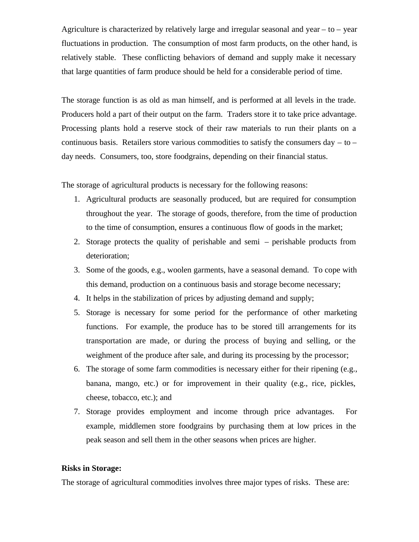Agriculture is characterized by relatively large and irregular seasonal and year – to – year fluctuations in production. The consumption of most farm products, on the other hand, is relatively stable. These conflicting behaviors of demand and supply make it necessary that large quantities of farm produce should be held for a considerable period of time.

The storage function is as old as man himself, and is performed at all levels in the trade. Producers hold a part of their output on the farm. Traders store it to take price advantage. Processing plants hold a reserve stock of their raw materials to run their plants on a continuous basis. Retailers store various commodities to satisfy the consumers day  $-$  to  $$ day needs. Consumers, too, store foodgrains, depending on their financial status.

The storage of agricultural products is necessary for the following reasons:

- 1. Agricultural products are seasonally produced, but are required for consumption throughout the year. The storage of goods, therefore, from the time of production to the time of consumption, ensures a continuous flow of goods in the market;
- 2. Storage protects the quality of perishable and semi perishable products from deterioration;
- 3. Some of the goods, e.g., woolen garments, have a seasonal demand. To cope with this demand, production on a continuous basis and storage become necessary;
- 4. It helps in the stabilization of prices by adjusting demand and supply;
- 5. Storage is necessary for some period for the performance of other marketing functions. For example, the produce has to be stored till arrangements for its transportation are made, or during the process of buying and selling, or the weighment of the produce after sale, and during its processing by the processor;
- 6. The storage of some farm commodities is necessary either for their ripening (e.g., banana, mango, etc.) or for improvement in their quality (e.g., rice, pickles, cheese, tobacco, etc.); and
- 7. Storage provides employment and income through price advantages. For example, middlemen store foodgrains by purchasing them at low prices in the peak season and sell them in the other seasons when prices are higher.

## **Risks in Storage:**

The storage of agricultural commodities involves three major types of risks. These are: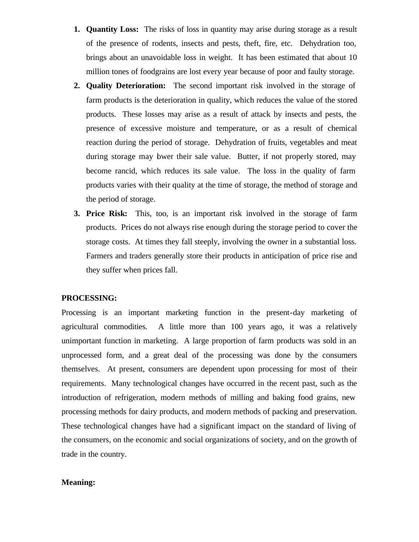- **1. Quantity Loss:** The risks of loss in quantity may arise during storage as a result of the presence of rodents, insects and pests, theft, fire, etc. Dehydration too, brings about an unavoidable loss in weight. It has been estimated that about 10 million tones of foodgrains are lost every year because of poor and faulty storage.
- **2. Quality Deterioration:** The second important risk involved in the storage of farm products is the deterioration in quality, which reduces the value of the stored products. These losses may arise as a result of attack by insects and pests, the presence of excessive moisture and temperature, or as a result of chemical reaction during the period of storage. Dehydration of fruits, vegetables and meat during storage may bwer their sale value. Butter, if not properly stored, may become rancid, which reduces its sale value. The loss in the quality of farm products varies with their quality at the time of storage, the method of storage and the period of storage.
- **3. Price Risk:** This, too, is an important risk involved in the storage of farm products. Prices do not always rise enough during the storage period to cover the storage costs. At times they fall steeply, involving the owner in a substantial loss. Farmers and traders generally store their products in anticipation of price rise and they suffer when prices fall.

### **PROCESSING:**

Processing is an important marketing function in the present-day marketing of agricultural commodities. A little more than 100 years ago, it was a relatively unimportant function in marketing. A large proportion of farm products was sold in an unprocessed form, and a great deal of the processing was done by the consumers themselves. At present, consumers are dependent upon processing for most of their requirements. Many technological changes have occurred in the recent past, such as the introduction of refrigeration, modern methods of milling and baking food grains, new processing methods for dairy products, and modern methods of packing and preservation. These technological changes have had a significant impact on the standard of living of the consumers, on the economic and social organizations of society, and on the growth of trade in the country.

### **Meaning:**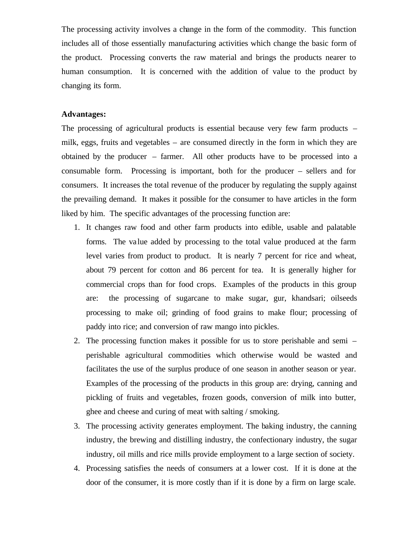The processing activity involves a change in the form of the commodity. This function includes all of those essentially manufacturing activities which change the basic form of the product. Processing converts the raw material and brings the products nearer to human consumption. It is concerned with the addition of value to the product by changing its form.

### **Advantages:**

The processing of agricultural products is essential because very few farm products – milk, eggs, fruits and vegetables – are consumed directly in the form in which they are obtained by the producer – farmer. All other products have to be processed into a consumable form. Processing is important, both for the producer – sellers and for consumers. It increases the total revenue of the producer by regulating the supply against the prevailing demand. It makes it possible for the consumer to have articles in the form liked by him. The specific advantages of the processing function are:

- 1. It changes raw food and other farm products into edible, usable and palatable forms. The value added by processing to the total value produced at the farm level varies from product to product. It is nearly 7 percent for rice and wheat, about 79 percent for cotton and 86 percent for tea. It is generally higher for commercial crops than for food crops. Examples of the products in this group are: the processing of sugarcane to make sugar, gur, khandsari; oilseeds processing to make oil; grinding of food grains to make flour; processing of paddy into rice; and conversion of raw mango into pickles.
- 2. The processing function makes it possible for us to store perishable and semi perishable agricultural commodities which otherwise would be wasted and facilitates the use of the surplus produce of one season in another season or year. Examples of the processing of the products in this group are: drying, canning and pickling of fruits and vegetables, frozen goods, conversion of milk into butter, ghee and cheese and curing of meat with salting / smoking.
- 3. The processing activity generates employment. The baking industry, the canning industry, the brewing and distilling industry, the confectionary industry, the sugar industry, oil mills and rice mills provide employment to a large section of society.
- 4. Processing satisfies the needs of consumers at a lower cost. If it is done at the door of the consumer, it is more costly than if it is done by a firm on large scale.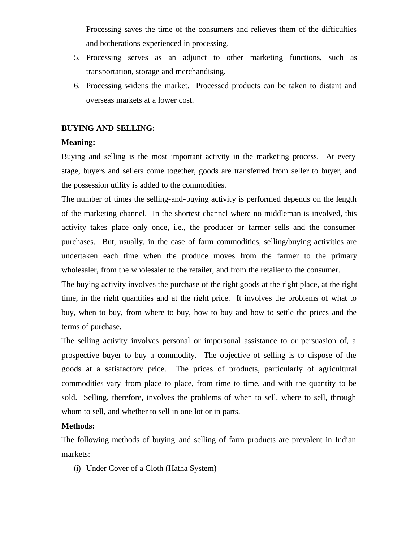Processing saves the time of the consumers and relieves them of the difficulties and botherations experienced in processing.

- 5. Processing serves as an adjunct to other marketing functions, such as transportation, storage and merchandising.
- 6. Processing widens the market. Processed products can be taken to distant and overseas markets at a lower cost.

## **BUYING AND SELLING:**

## **Meaning:**

Buying and selling is the most important activity in the marketing process. At every stage, buyers and sellers come together, goods are transferred from seller to buyer, and the possession utility is added to the commodities.

The number of times the selling-and-buying activity is performed depends on the length of the marketing channel. In the shortest channel where no middleman is involved, this activity takes place only once, i.e., the producer or farmer sells and the consumer purchases. But, usually, in the case of farm commodities, selling/buying activities are undertaken each time when the produce moves from the farmer to the primary wholesaler, from the wholesaler to the retailer, and from the retailer to the consumer.

The buying activity involves the purchase of the right goods at the right place, at the right time, in the right quantities and at the right price. It involves the problems of what to buy, when to buy, from where to buy, how to buy and how to settle the prices and the terms of purchase.

The selling activity involves personal or impersonal assistance to or persuasion of, a prospective buyer to buy a commodity. The objective of selling is to dispose of the goods at a satisfactory price. The prices of products, particularly of agricultural commodities vary from place to place, from time to time, and with the quantity to be sold. Selling, therefore, involves the problems of when to sell, where to sell, through whom to sell, and whether to sell in one lot or in parts.

## **Methods:**

The following methods of buying and selling of farm products are prevalent in Indian markets:

(i) Under Cover of a Cloth (Hatha System)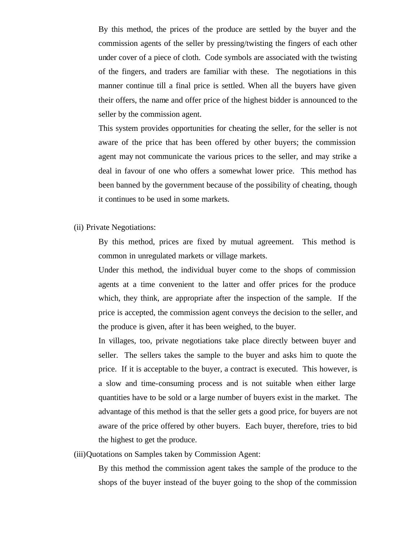By this method, the prices of the produce are settled by the buyer and the commission agents of the seller by pressing/twisting the fingers of each other under cover of a piece of cloth. Code symbols are associated with the twisting of the fingers, and traders are familiar with these. The negotiations in this manner continue till a final price is settled. When all the buyers have given their offers, the name and offer price of the highest bidder is announced to the seller by the commission agent.

This system provides opportunities for cheating the seller, for the seller is not aware of the price that has been offered by other buyers; the commission agent may not communicate the various prices to the seller, and may strike a deal in favour of one who offers a somewhat lower price. This method has been banned by the government because of the possibility of cheating, though it continues to be used in some markets.

(ii) Private Negotiations:

By this method, prices are fixed by mutual agreement. This method is common in unregulated markets or village markets.

Under this method, the individual buyer come to the shops of commission agents at a time convenient to the latter and offer prices for the produce which, they think, are appropriate after the inspection of the sample. If the price is accepted, the commission agent conveys the decision to the seller, and the produce is given, after it has been weighed, to the buyer.

In villages, too, private negotiations take place directly between buyer and seller. The sellers takes the sample to the buyer and asks him to quote the price. If it is acceptable to the buyer, a contract is executed. This however, is a slow and time-consuming process and is not suitable when either large quantities have to be sold or a large number of buyers exist in the market. The advantage of this method is that the seller gets a good price, for buyers are not aware of the price offered by other buyers. Each buyer, therefore, tries to bid the highest to get the produce.

(iii)Quotations on Samples taken by Commission Agent:

By this method the commission agent takes the sample of the produce to the shops of the buyer instead of the buyer going to the shop of the commission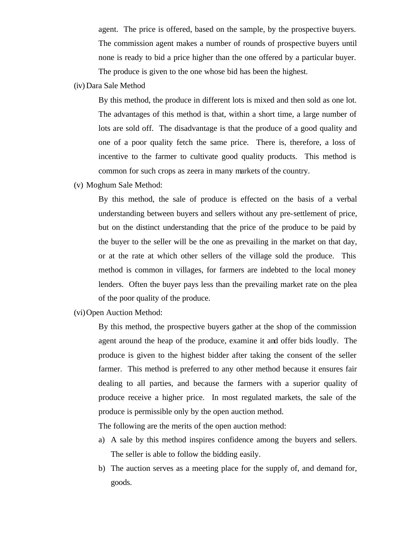agent. The price is offered, based on the sample, by the prospective buyers. The commission agent makes a number of rounds of prospective buyers until none is ready to bid a price higher than the one offered by a particular buyer. The produce is given to the one whose bid has been the highest.

(iv) Dara Sale Method

By this method, the produce in different lots is mixed and then sold as one lot. The advantages of this method is that, within a short time, a large number of lots are sold off. The disadvantage is that the produce of a good quality and one of a poor quality fetch the same price. There is, therefore, a loss of incentive to the farmer to cultivate good quality products. This method is common for such crops as zeera in many markets of the country.

(v) Moghum Sale Method:

By this method, the sale of produce is effected on the basis of a verbal understanding between buyers and sellers without any pre-settlement of price, but on the distinct understanding that the price of the produce to be paid by the buyer to the seller will be the one as prevailing in the market on that day, or at the rate at which other sellers of the village sold the produce. This method is common in villages, for farmers are indebted to the local money lenders. Often the buyer pays less than the prevailing market rate on the plea of the poor quality of the produce.

(vi)Open Auction Method:

By this method, the prospective buyers gather at the shop of the commission agent around the heap of the produce, examine it and offer bids loudly. The produce is given to the highest bidder after taking the consent of the seller farmer. This method is preferred to any other method because it ensures fair dealing to all parties, and because the farmers with a superior quality of produce receive a higher price. In most regulated markets, the sale of the produce is permissible only by the open auction method.

The following are the merits of the open auction method:

- a) A sale by this method inspires confidence among the buyers and sellers. The seller is able to follow the bidding easily.
- b) The auction serves as a meeting place for the supply of, and demand for, goods.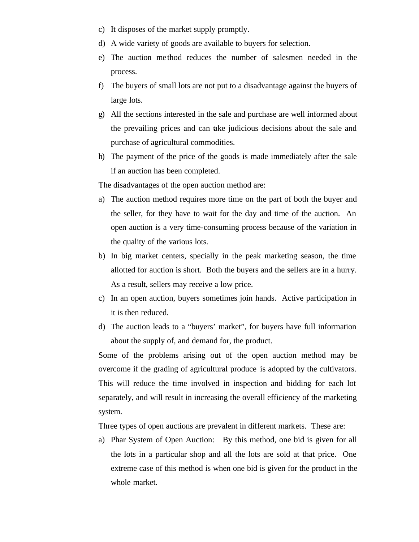- c) It disposes of the market supply promptly.
- d) A wide variety of goods are available to buyers for selection.
- e) The auction me thod reduces the number of salesmen needed in the process.
- f) The buyers of small lots are not put to a disadvantage against the buyers of large lots.
- g) All the sections interested in the sale and purchase are well informed about the prevailing prices and can take judicious decisions about the sale and purchase of agricultural commodities.
- h) The payment of the price of the goods is made immediately after the sale if an auction has been completed.

The disadvantages of the open auction method are:

- a) The auction method requires more time on the part of both the buyer and the seller, for they have to wait for the day and time of the auction. An open auction is a very time-consuming process because of the variation in the quality of the various lots.
- b) In big market centers, specially in the peak marketing season, the time allotted for auction is short. Both the buyers and the sellers are in a hurry. As a result, sellers may receive a low price.
- c) In an open auction, buyers sometimes join hands. Active participation in it is then reduced.
- d) The auction leads to a "buyers' market", for buyers have full information about the supply of, and demand for, the product.

Some of the problems arising out of the open auction method may be overcome if the grading of agricultural produce is adopted by the cultivators. This will reduce the time involved in inspection and bidding for each lot separately, and will result in increasing the overall efficiency of the marketing system.

Three types of open auctions are prevalent in different markets. These are:

a) Phar System of Open Auction: By this method, one bid is given for all the lots in a particular shop and all the lots are sold at that price. One extreme case of this method is when one bid is given for the product in the whole market.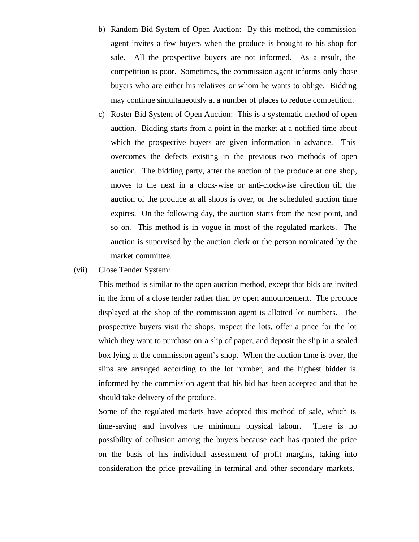- b) Random Bid System of Open Auction: By this method, the commission agent invites a few buyers when the produce is brought to his shop for sale. All the prospective buyers are not informed. As a result, the competition is poor. Sometimes, the commission agent informs only those buyers who are either his relatives or whom he wants to oblige. Bidding may continue simultaneously at a number of places to reduce competition.
- c) Roster Bid System of Open Auction: This is a systematic method of open auction. Bidding starts from a point in the market at a notified time about which the prospective buyers are given information in advance. This overcomes the defects existing in the previous two methods of open auction. The bidding party, after the auction of the produce at one shop, moves to the next in a clock-wise or anti-clockwise direction till the auction of the produce at all shops is over, or the scheduled auction time expires. On the following day, the auction starts from the next point, and so on. This method is in vogue in most of the regulated markets. The auction is supervised by the auction clerk or the person nominated by the market committee.

### (vii) Close Tender System:

This method is similar to the open auction method, except that bids are invited in the form of a close tender rather than by open announcement. The produce displayed at the shop of the commission agent is allotted lot numbers. The prospective buyers visit the shops, inspect the lots, offer a price for the lot which they want to purchase on a slip of paper, and deposit the slip in a sealed box lying at the commission agent's shop. When the auction time is over, the slips are arranged according to the lot number, and the highest bidder is informed by the commission agent that his bid has been accepted and that he should take delivery of the produce.

Some of the regulated markets have adopted this method of sale, which is time-saving and involves the minimum physical labour. There is no possibility of collusion among the buyers because each has quoted the price on the basis of his individual assessment of profit margins, taking into consideration the price prevailing in terminal and other secondary markets.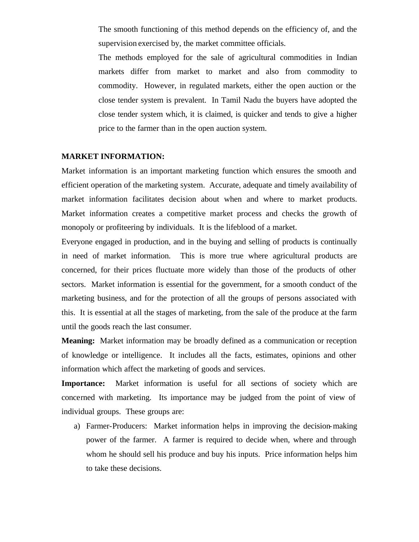The smooth functioning of this method depends on the efficiency of, and the supervision exercised by, the market committee officials.

The methods employed for the sale of agricultural commodities in Indian markets differ from market to market and also from commodity to commodity. However, in regulated markets, either the open auction or the close tender system is prevalent. In Tamil Nadu the buyers have adopted the close tender system which, it is claimed, is quicker and tends to give a higher price to the farmer than in the open auction system.

### **MARKET INFORMATION:**

Market information is an important marketing function which ensures the smooth and efficient operation of the marketing system. Accurate, adequate and timely availability of market information facilitates decision about when and where to market products. Market information creates a competitive market process and checks the growth of monopoly or profiteering by individuals. It is the lifeblood of a market.

Everyone engaged in production, and in the buying and selling of products is continually in need of market information. This is more true where agricultural products are concerned, for their prices fluctuate more widely than those of the products of other sectors. Market information is essential for the government, for a smooth conduct of the marketing business, and for the protection of all the groups of persons associated with this. It is essential at all the stages of marketing, from the sale of the produce at the farm until the goods reach the last consumer.

**Meaning:** Market information may be broadly defined as a communication or reception of knowledge or intelligence. It includes all the facts, estimates, opinions and other information which affect the marketing of goods and services.

Importance: Market information is useful for all sections of society which are concerned with marketing. Its importance may be judged from the point of view of individual groups. These groups are:

a) Farmer-Producers: Market information helps in improving the decision-making power of the farmer. A farmer is required to decide when, where and through whom he should sell his produce and buy his inputs. Price information helps him to take these decisions.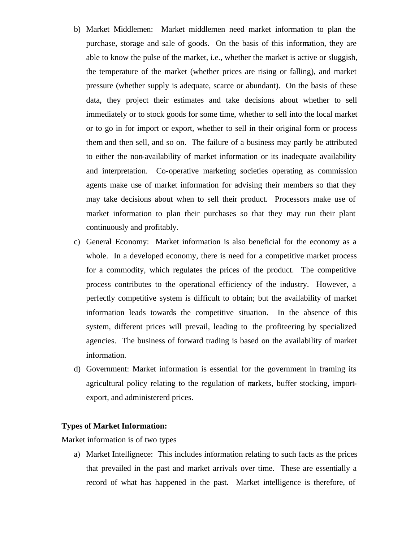- b) Market Middlemen: Market middlemen need market information to plan the purchase, storage and sale of goods. On the basis of this information, they are able to know the pulse of the market, i.e., whether the market is active or sluggish, the temperature of the market (whether prices are rising or falling), and market pressure (whether supply is adequate, scarce or abundant). On the basis of these data, they project their estimates and take decisions about whether to sell immediately or to stock goods for some time, whether to sell into the local market or to go in for import or export, whether to sell in their original form or process them and then sell, and so on. The failure of a business may partly be attributed to either the non-availability of market information or its inadequate availability and interpretation. Co-operative marketing societies operating as commission agents make use of market information for advising their members so that they may take decisions about when to sell their product. Processors make use of market information to plan their purchases so that they may run their plant continuously and profitably.
- c) General Economy: Market information is also beneficial for the economy as a whole. In a developed economy, there is need for a competitive market process for a commodity, which regulates the prices of the product. The competitive process contributes to the operational efficiency of the industry. However, a perfectly competitive system is difficult to obtain; but the availability of market information leads towards the competitive situation. In the absence of this system, different prices will prevail, leading to the profiteering by specialized agencies. The business of forward trading is based on the availability of market information.
- d) Government: Market information is essential for the government in framing its agricultural policy relating to the regulation of markets, buffer stocking, importexport, and administererd prices.

### **Types of Market Information:**

Market information is of two types

a) Market Intellignece: This includes information relating to such facts as the prices that prevailed in the past and market arrivals over time. These are essentially a record of what has happened in the past. Market intelligence is therefore, of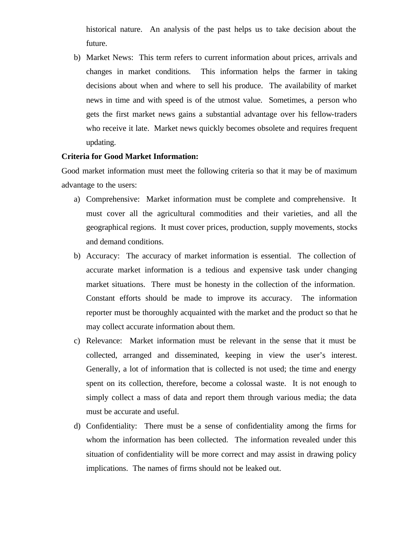historical nature. An analysis of the past helps us to take decision about the future.

b) Market News: This term refers to current information about prices, arrivals and changes in market conditions. This information helps the farmer in taking decisions about when and where to sell his produce. The availability of market news in time and with speed is of the utmost value. Sometimes, a person who gets the first market news gains a substantial advantage over his fellow-traders who receive it late. Market news quickly becomes obsolete and requires frequent updating.

### **Criteria for Good Market Information:**

Good market information must meet the following criteria so that it may be of maximum advantage to the users:

- a) Comprehensive: Market information must be complete and comprehensive. It must cover all the agricultural commodities and their varieties, and all the geographical regions. It must cover prices, production, supply movements, stocks and demand conditions.
- b) Accuracy: The accuracy of market information is essential. The collection of accurate market information is a tedious and expensive task under changing market situations. There must be honesty in the collection of the information. Constant efforts should be made to improve its accuracy. The information reporter must be thoroughly acquainted with the market and the product so that he may collect accurate information about them.
- c) Relevance: Market information must be relevant in the sense that it must be collected, arranged and disseminated, keeping in view the user's interest. Generally, a lot of information that is collected is not used; the time and energy spent on its collection, therefore, become a colossal waste. It is not enough to simply collect a mass of data and report them through various media; the data must be accurate and useful.
- d) Confidentiality: There must be a sense of confidentiality among the firms for whom the information has been collected. The information revealed under this situation of confidentiality will be more correct and may assist in drawing policy implications. The names of firms should not be leaked out.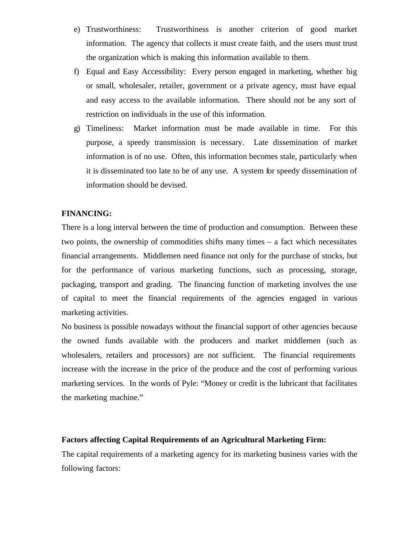- e) Trustworthiness: Trustworthiness is another criterion of good market information. The agency that collects it must create faith, and the users must trust the organization which is making this information available to them.
- f) Equal and Easy Accessibility: Every person engaged in marketing, whether big or small, wholesaler, retailer, government or a private agency, must have equal and easy access to the available information. There should not be any sort of restriction on individuals in the use of this information.
- g) Timeliness: Market information must be made available in time. For this purpose, a speedy transmission is necessary. Late dissemination of market information is of no use. Often, this information becomes stale, particularly when it is disseminated too late to be of any use. A system for speedy dissemination of information should be devised.

### **FINANCING:**

There is a long interval between the time of production and consumption. Between these two points, the ownership of commodities shifts many times – a fact which necessitates financial arrangements. Middlemen need finance not only for the purchase of stocks, but for the performance of various marketing functions, such as processing, storage, packaging, transport and grading. The financing function of marketing involves the use of capital to meet the financial requirements of the agencies engaged in various marketing activities.

No business is possible nowadays without the financial support of other agencies because the owned funds available with the producers and market middlemen (such as wholesalers, retailers and processors) are not sufficient. The financial requirements increase with the increase in the price of the produce and the cost of performing various marketing services. In the words of Pyle: "Money or credit is the lubricant that facilitates the marketing machine."

### **Factors affecting Capital Requirements of an Agricultural Marketing Firm:**

The capital requirements of a marketing agency for its marketing business varies with the following factors: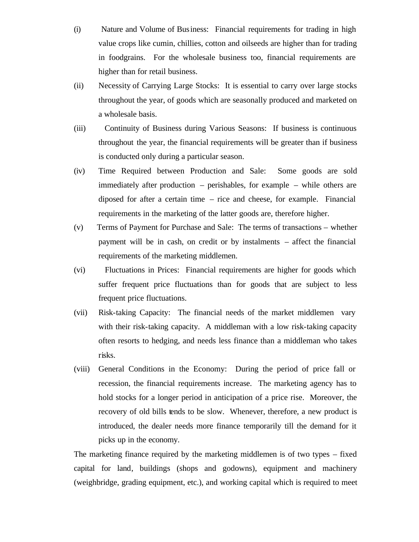- (i) Nature and Volume of Business: Financial requirements for trading in high value crops like cumin, chillies, cotton and oilseeds are higher than for trading in foodgrains. For the wholesale business too, financial requirements are higher than for retail business.
- (ii) Necessity of Carrying Large Stocks: It is essential to carry over large stocks throughout the year, of goods which are seasonally produced and marketed on a wholesale basis.
- (iii) Continuity of Business during Various Seasons: If business is continuous throughout the year, the financial requirements will be greater than if business is conducted only during a particular season.
- (iv) Time Required between Production and Sale: Some goods are sold immediately after production – perishables, for example – while others are diposed for after a certain time – rice and cheese, for example. Financial requirements in the marketing of the latter goods are, therefore higher.
- (v) Terms of Payment for Purchase and Sale: The terms of transactions whether payment will be in cash, on credit or by instalments – affect the financial requirements of the marketing middlemen.
- (vi) Fluctuations in Prices: Financial requirements are higher for goods which suffer frequent price fluctuations than for goods that are subject to less frequent price fluctuations.
- (vii) Risk-taking Capacity: The financial needs of the market middlemen vary with their risk-taking capacity. A middleman with a low risk-taking capacity often resorts to hedging, and needs less finance than a middleman who takes risks.
- (viii) General Conditions in the Economy: During the period of price fall or recession, the financial requirements increase. The marketing agency has to hold stocks for a longer period in anticipation of a price rise. Moreover, the recovery of old bills tends to be slow. Whenever, therefore, a new product is introduced, the dealer needs more finance temporarily till the demand for it picks up in the economy.

The marketing finance required by the marketing middlemen is of two types – fixed capital for land, buildings (shops and godowns), equipment and machinery (weighbridge, grading equipment, etc.), and working capital which is required to meet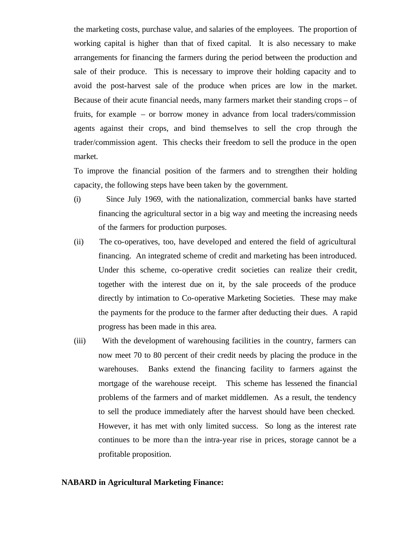the marketing costs, purchase value, and salaries of the employees. The proportion of working capital is higher than that of fixed capital. It is also necessary to make arrangements for financing the farmers during the period between the production and sale of their produce. This is necessary to improve their holding capacity and to avoid the post-harvest sale of the produce when prices are low in the market. Because of their acute financial needs, many farmers market their standing crops – of fruits, for example – or borrow money in advance from local traders/commission agents against their crops, and bind themselves to sell the crop through the trader/commission agent. This checks their freedom to sell the produce in the open market.

To improve the financial position of the farmers and to strengthen their holding capacity, the following steps have been taken by the government.

- (i) Since July 1969, with the nationalization, commercial banks have started financing the agricultural sector in a big way and meeting the increasing needs of the farmers for production purposes.
- (ii) The co-operatives, too, have developed and entered the field of agricultural financing. An integrated scheme of credit and marketing has been introduced. Under this scheme, co-operative credit societies can realize their credit, together with the interest due on it, by the sale proceeds of the produce directly by intimation to Co-operative Marketing Societies. These may make the payments for the produce to the farmer after deducting their dues. A rapid progress has been made in this area.
- (iii) With the development of warehousing facilities in the country, farmers can now meet 70 to 80 percent of their credit needs by placing the produce in the warehouses. Banks extend the financing facility to farmers against the mortgage of the warehouse receipt. This scheme has lessened the financial problems of the farmers and of market middlemen. As a result, the tendency to sell the produce immediately after the harvest should have been checked. However, it has met with only limited success. So long as the interest rate continues to be more than the intra-year rise in prices, storage cannot be a profitable proposition.

### **NABARD in Agricultural Marketing Finance:**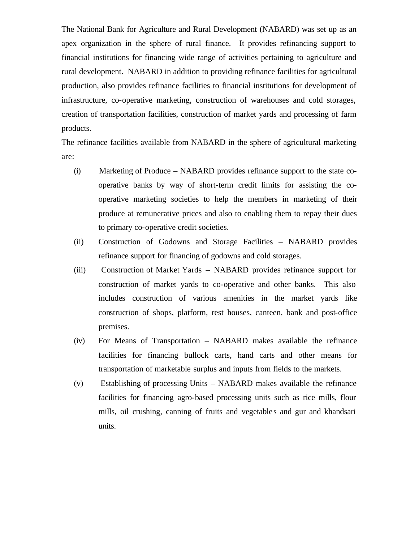The National Bank for Agriculture and Rural Development (NABARD) was set up as an apex organization in the sphere of rural finance. It provides refinancing support to financial institutions for financing wide range of activities pertaining to agriculture and rural development. NABARD in addition to providing refinance facilities for agricultural production, also provides refinance facilities to financial institutions for development of infrastructure, co-operative marketing, construction of warehouses and cold storages, creation of transportation facilities, construction of market yards and processing of farm products.

The refinance facilities available from NABARD in the sphere of agricultural marketing are:

- (i) Marketing of Produce NABARD provides refinance support to the state cooperative banks by way of short-term credit limits for assisting the cooperative marketing societies to help the members in marketing of their produce at remunerative prices and also to enabling them to repay their dues to primary co-operative credit societies.
- (ii) Construction of Godowns and Storage Facilities NABARD provides refinance support for financing of godowns and cold storages.
- (iii) Construction of Market Yards NABARD provides refinance support for construction of market yards to co-operative and other banks. This also includes construction of various amenities in the market yards like construction of shops, platform, rest houses, canteen, bank and post-office premises.
- (iv) For Means of Transportation NABARD makes available the refinance facilities for financing bullock carts, hand carts and other means for transportation of marketable surplus and inputs from fields to the markets.
- (v) Establishing of processing Units NABARD makes available the refinance facilities for financing agro-based processing units such as rice mills, flour mills, oil crushing, canning of fruits and vegetable s and gur and khandsari units.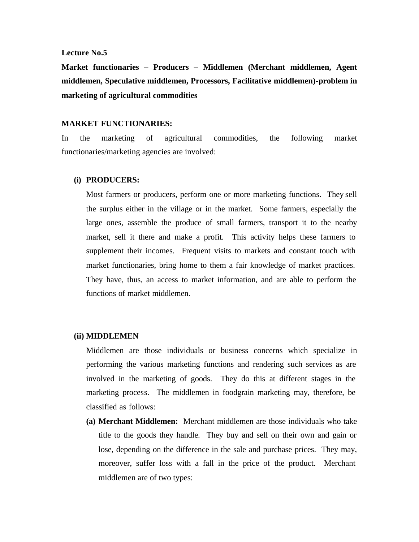### **Lecture No.5**

**Market functionaries – Producers – Middlemen (Merchant middlemen, Agent middlemen, Speculative middlemen, Processors, Facilitative middlemen)-problem in marketing of agricultural commodities**

### **MARKET FUNCTIONARIES:**

In the marketing of agricultural commodities, the following market functionaries/marketing agencies are involved:

### **(i) PRODUCERS:**

Most farmers or producers, perform one or more marketing functions. They sell the surplus either in the village or in the market. Some farmers, especially the large ones, assemble the produce of small farmers, transport it to the nearby market, sell it there and make a profit. This activity helps these farmers to supplement their incomes. Frequent visits to markets and constant touch with market functionaries, bring home to them a fair knowledge of market practices. They have, thus, an access to market information, and are able to perform the functions of market middlemen.

### **(ii) MIDDLEMEN**

Middlemen are those individuals or business concerns which specialize in performing the various marketing functions and rendering such services as are involved in the marketing of goods. They do this at different stages in the marketing process. The middlemen in foodgrain marketing may, therefore, be classified as follows:

**(a) Merchant Middlemen:** Merchant middlemen are those individuals who take title to the goods they handle. They buy and sell on their own and gain or lose, depending on the difference in the sale and purchase prices. They may, moreover, suffer loss with a fall in the price of the product. Merchant middlemen are of two types: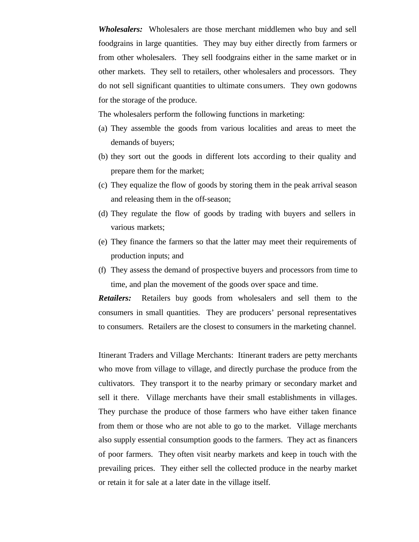*Wholesalers:* Wholesalers are those merchant middlemen who buy and sell foodgrains in large quantities. They may buy either directly from farmers or from other wholesalers. They sell foodgrains either in the same market or in other markets. They sell to retailers, other wholesalers and processors. They do not sell significant quantities to ultimate consumers. They own godowns for the storage of the produce.

The wholesalers perform the following functions in marketing:

- (a) They assemble the goods from various localities and areas to meet the demands of buyers;
- (b) they sort out the goods in different lots according to their quality and prepare them for the market;
- (c) They equalize the flow of goods by storing them in the peak arrival season and releasing them in the off-season;
- (d) They regulate the flow of goods by trading with buyers and sellers in various markets;
- (e) They finance the farmers so that the latter may meet their requirements of production inputs; and
- (f) They assess the demand of prospective buyers and processors from time to time, and plan the movement of the goods over space and time.

*Retailers:* Retailers buy goods from wholesalers and sell them to the consumers in small quantities. They are producers' personal representatives to consumers. Retailers are the closest to consumers in the marketing channel.

Itinerant Traders and Village Merchants: Itinerant traders are petty merchants who move from village to village, and directly purchase the produce from the cultivators. They transport it to the nearby primary or secondary market and sell it there. Village merchants have their small establishments in villages. They purchase the produce of those farmers who have either taken finance from them or those who are not able to go to the market. Village merchants also supply essential consumption goods to the farmers. They act as financers of poor farmers. They often visit nearby markets and keep in touch with the prevailing prices. They either sell the collected produce in the nearby market or retain it for sale at a later date in the village itself.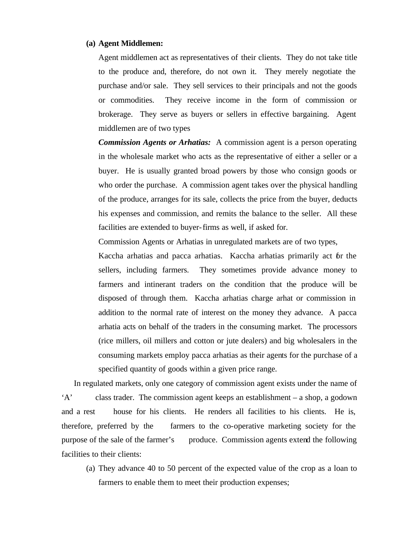#### **(a) Agent Middlemen:**

Agent middlemen act as representatives of their clients. They do not take title to the produce and, therefore, do not own it. They merely negotiate the purchase and/or sale. They sell services to their principals and not the goods or commodities. They receive income in the form of commission or brokerage. They serve as buyers or sellers in effective bargaining. Agent middlemen are of two types

*Commission Agents or Arhatias:* A commission agent is a person operating in the wholesale market who acts as the representative of either a seller or a buyer. He is usually granted broad powers by those who consign goods or who order the purchase. A commission agent takes over the physical handling of the produce, arranges for its sale, collects the price from the buyer, deducts his expenses and commission, and remits the balance to the seller. All these facilities are extended to buyer-firms as well, if asked for.

Commission Agents or Arhatias in unregulated markets are of two types,

Kaccha arhatias and pacca arhatias. Kaccha arhatias primarily act for the sellers, including farmers. They sometimes provide advance money to farmers and intinerant traders on the condition that the produce will be disposed of through them. Kaccha arhatias charge arhat or commission in addition to the normal rate of interest on the money they advance. A pacca arhatia acts on behalf of the traders in the consuming market. The processors (rice millers, oil millers and cotton or jute dealers) and big wholesalers in the consuming markets employ pacca arhatias as their agents for the purchase of a specified quantity of goods within a given price range.

In regulated markets, only one category of commission agent exists under the name of 'A' class trader. The commission agent keeps an establishment – a shop, a godown and a rest house for his clients. He renders all facilities to his clients. He is, therefore, preferred by the farmers to the co-operative marketing society for the purpose of the sale of the farmer's produce. Commission agents extend the following facilities to their clients:

(a) They advance 40 to 50 percent of the expected value of the crop as a loan to farmers to enable them to meet their production expenses;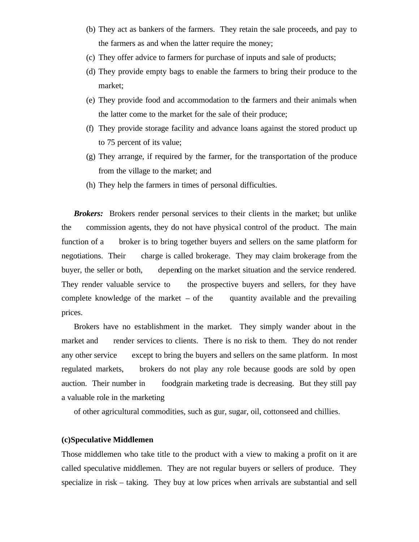- (b) They act as bankers of the farmers. They retain the sale proceeds, and pay to the farmers as and when the latter require the money;
- (c) They offer advice to farmers for purchase of inputs and sale of products;
- (d) They provide empty bags to enable the farmers to bring their produce to the market;
- (e) They provide food and accommodation to the farmers and their animals when the latter come to the market for the sale of their produce;
- (f) They provide storage facility and advance loans against the stored product up to 75 percent of its value;
- (g) They arrange, if required by the farmer, for the transportation of the produce from the village to the market; and
- (h) They help the farmers in times of personal difficulties.

*Brokers:* Brokers render personal services to their clients in the market; but unlike the commission agents, they do not have physical control of the product. The main function of a broker is to bring together buyers and sellers on the same platform for negotiations. Their charge is called brokerage. They may claim brokerage from the buyer, the seller or both, depending on the market situation and the service rendered. They render valuable service to the prospective buyers and sellers, for they have complete knowledge of the market  $-$  of the quantity available and the prevailing prices.

Brokers have no establishment in the market. They simply wander about in the market and render services to clients. There is no risk to them. They do not render any other service except to bring the buyers and sellers on the same platform. In most regulated markets, brokers do not play any role because goods are sold by open auction. Their number in foodgrain marketing trade is decreasing. But they still pay a valuable role in the marketing

of other agricultural commodities, such as gur, sugar, oil, cottonseed and chillies.

### **(c)Speculative Middlemen**

Those middlemen who take title to the product with a view to making a profit on it are called speculative middlemen. They are not regular buyers or sellers of produce. They specialize in risk – taking. They buy at low prices when arrivals are substantial and sell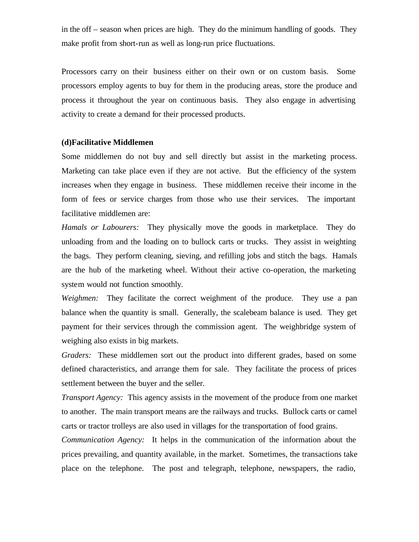in the off – season when prices are high. They do the minimum handling of goods. They make profit from short-run as well as long-run price fluctuations.

Processors carry on their business either on their own or on custom basis. Some processors employ agents to buy for them in the producing areas, store the produce and process it throughout the year on continuous basis. They also engage in advertising activity to create a demand for their processed products.

### **(d)Facilitative Middlemen**

Some middlemen do not buy and sell directly but assist in the marketing process. Marketing can take place even if they are not active. But the efficiency of the system increases when they engage in business. These middlemen receive their income in the form of fees or service charges from those who use their services. The important facilitative middlemen are:

*Hamals or Labourers:* They physically move the goods in marketplace. They do unloading from and the loading on to bullock carts or trucks. They assist in weighting the bags. They perform cleaning, sieving, and refilling jobs and stitch the bags. Hamals are the hub of the marketing wheel. Without their active co-operation, the marketing system would not function smoothly.

*Weighmen:* They facilitate the correct weighment of the produce. They use a pan balance when the quantity is small. Generally, the scalebeam balance is used. They get payment for their services through the commission agent. The weighbridge system of weighing also exists in big markets.

*Graders:* These middlemen sort out the product into different grades, based on some defined characteristics, and arrange them for sale. They facilitate the process of prices settlement between the buyer and the seller.

*Transport Agency:* This agency assists in the movement of the produce from one market to another. The main transport means are the railways and trucks. Bullock carts or camel carts or tractor trolleys are also used in villages for the transportation of food grains.

*Communication Agency:* It helps in the communication of the information about the prices prevailing, and quantity available, in the market. Sometimes, the transactions take place on the telephone. The post and telegraph, telephone, newspapers, the radio,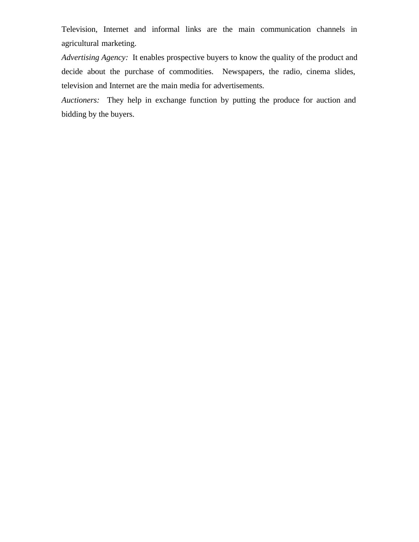Television, Internet and informal links are the main communication channels in agricultural marketing.

*Advertising Agency:* It enables prospective buyers to know the quality of the product and decide about the purchase of commodities. Newspapers, the radio, cinema slides, television and Internet are the main media for advertisements.

*Auctioners:* They help in exchange function by putting the produce for auction and bidding by the buyers.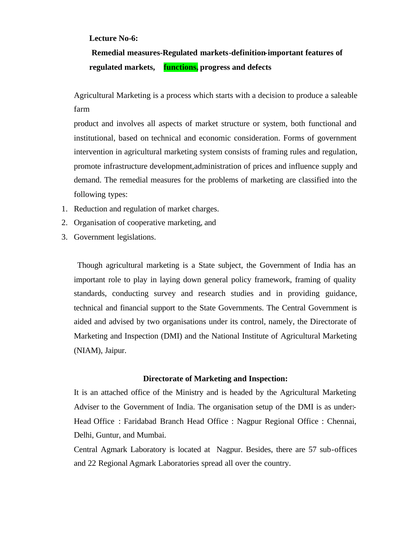### **Lecture No-6:**

## **Remedial measures-Regulated markets-definition-important features of regulated markets, functions, progress and defects**

Agricultural Marketing is a process which starts with a decision to produce a saleable farm

product and involves all aspects of market structure or system, both functional and institutional, based on technical and economic consideration. Forms of government intervention in agricultural marketing system consists of framing rules and regulation, promote infrastructure development,administration of prices and influence supply and demand. The remedial measures for the problems of marketing are classified into the following types:

- 1. Reduction and regulation of market charges.
- 2. Organisation of cooperative marketing, and
- 3. Government legislations.

 Though agricultural marketing is a State subject, the Government of India has an important role to play in laying down general policy framework, framing of quality standards, conducting survey and research studies and in providing guidance, technical and financial support to the State Governments. The Central Government is aided and advised by two organisations under its control, namely, the Directorate of Marketing and Inspection (DMI) and the National Institute of Agricultural Marketing (NIAM), Jaipur.

### **Directorate of Marketing and Inspection:**

It is an attached office of the Ministry and is headed by the Agricultural Marketing Adviser to the Government of India. The organisation setup of the DMI is as under:- Head Office : Faridabad Branch Head Office : Nagpur Regional Office : Chennai, Delhi, Guntur, and Mumbai.

Central Agmark Laboratory is located at Nagpur. Besides, there are 57 sub-offices and 22 Regional Agmark Laboratories spread all over the country.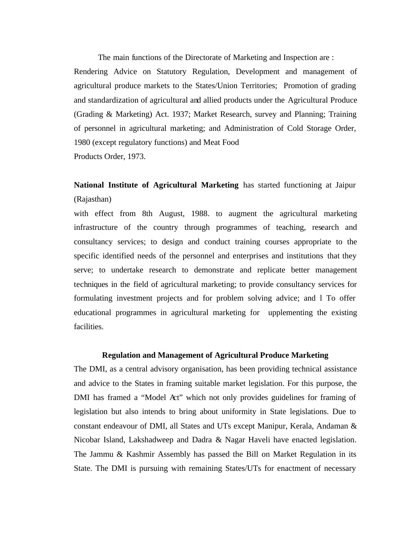The main functions of the Directorate of Marketing and Inspection are :

Rendering Advice on Statutory Regulation, Development and management of agricultural produce markets to the States/Union Territories; Promotion of grading and standardization of agricultural and allied products under the Agricultural Produce (Grading & Marketing) Act. 1937; Market Research, survey and Planning; Training of personnel in agricultural marketing; and Administration of Cold Storage Order, 1980 (except regulatory functions) and Meat Food Products Order, 1973.

**National Institute of Agricultural Marketing** has started functioning at Jaipur

(Rajasthan)

with effect from 8th August, 1988. to augment the agricultural marketing infrastructure of the country through programmes of teaching, research and consultancy services; to design and conduct training courses appropriate to the specific identified needs of the personnel and enterprises and institutions that they serve; to undertake research to demonstrate and replicate better management techniques in the field of agricultural marketing; to provide consultancy services for formulating investment projects and for problem solving advice; and l To offer educational programmes in agricultural marketing for upplementing the existing facilities.

### **Regulation and Management of Agricultural Produce Marketing**

The DMI, as a central advisory organisation, has been providing technical assistance and advice to the States in framing suitable market legislation. For this purpose, the DMI has framed a "Model Act" which not only provides guidelines for framing of legislation but also intends to bring about uniformity in State legislations. Due to constant endeavour of DMI, all States and UTs except Manipur, Kerala, Andaman & Nicobar Island, Lakshadweep and Dadra & Nagar Haveli have enacted legislation. The Jammu & Kashmir Assembly has passed the Bill on Market Regulation in its State. The DMI is pursuing with remaining States/UTs for enactment of necessary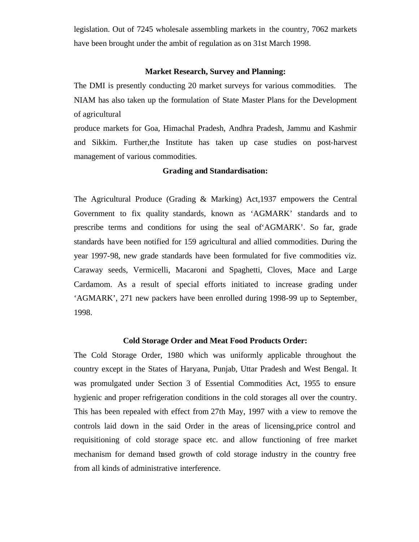legislation. Out of 7245 wholesale assembling markets in the country, 7062 markets have been brought under the ambit of regulation as on 31st March 1998.

### **Market Research, Survey and Planning:**

The DMI is presently conducting 20 market surveys for various commodities. The NIAM has also taken up the formulation of State Master Plans for the Development of agricultural

produce markets for Goa, Himachal Pradesh, Andhra Pradesh, Jammu and Kashmir and Sikkim. Further,the Institute has taken up case studies on post-harvest management of various commodities.

### **Grading and Standardisation:**

The Agricultural Produce (Grading & Marking) Act,1937 empowers the Central Government to fix quality standards, known as 'AGMARK' standards and to prescribe terms and conditions for using the seal of'AGMARK'. So far, grade standards have been notified for 159 agricultural and allied commodities. During the year 1997-98, new grade standards have been formulated for five commodities viz. Caraway seeds, Vermicelli, Macaroni and Spaghetti, Cloves, Mace and Large Cardamom. As a result of special efforts initiated to increase grading under 'AGMARK', 271 new packers have been enrolled during 1998-99 up to September, 1998.

### **Cold Storage Order and Meat Food Products Order:**

The Cold Storage Order, 1980 which was uniformly applicable throughout the country except in the States of Haryana, Punjab, Uttar Pradesh and West Bengal. It was promulgated under Section 3 of Essential Commodities Act, 1955 to ensure hygienic and proper refrigeration conditions in the cold storages all over the country. This has been repealed with effect from 27th May, 1997 with a view to remove the controls laid down in the said Order in the areas of licensing,price control and requisitioning of cold storage space etc. and allow functioning of free market mechanism for demand based growth of cold storage industry in the country free from all kinds of administrative interference.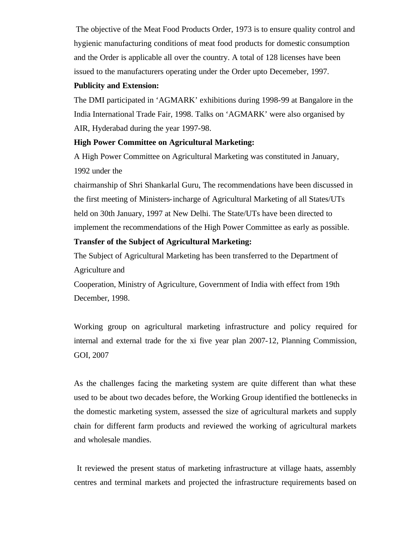The objective of the Meat Food Products Order, 1973 is to ensure quality control and hygienic manufacturing conditions of meat food products for domestic consumption and the Order is applicable all over the country. A total of 128 licenses have been issued to the manufacturers operating under the Order upto Decemeber, 1997.

## **Publicity and Extension:**

The DMI participated in 'AGMARK' exhibitions during 1998-99 at Bangalore in the India International Trade Fair, 1998. Talks on 'AGMARK' were also organised by AIR, Hyderabad during the year 1997-98.

## **High Power Committee on Agricultural Marketing:**

A High Power Committee on Agricultural Marketing was constituted in January, 1992 under the

chairmanship of Shri Shankarlal Guru, The recommendations have been discussed in the first meeting of Ministers-incharge of Agricultural Marketing of all States/UTs held on 30th January, 1997 at New Delhi. The State/UTs have been directed to implement the recommendations of the High Power Committee as early as possible.

## **Transfer of the Subject of Agricultural Marketing:**

The Subject of Agricultural Marketing has been transferred to the Department of Agriculture and

Cooperation, Ministry of Agriculture, Government of India with effect from 19th December, 1998.

Working group on agricultural marketing infrastructure and policy required for internal and external trade for the xi five year plan 2007-12, Planning Commission, GOI, 2007

As the challenges facing the marketing system are quite different than what these used to be about two decades before, the Working Group identified the bottlenecks in the domestic marketing system, assessed the size of agricultural markets and supply chain for different farm products and reviewed the working of agricultural markets and wholesale mandies.

 It reviewed the present status of marketing infrastructure at village haats, assembly centres and terminal markets and projected the infrastructure requirements based on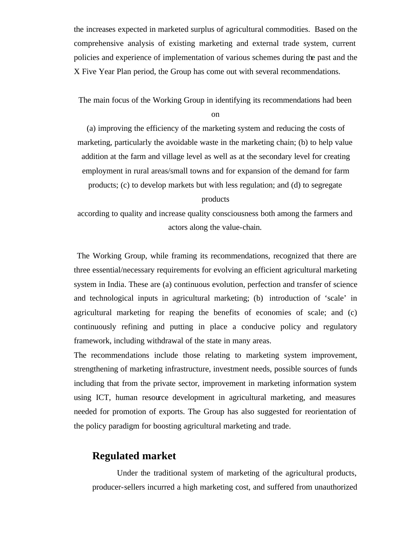the increases expected in marketed surplus of agricultural commodities. Based on the comprehensive analysis of existing marketing and external trade system, current policies and experience of implementation of various schemes during the past and the X Five Year Plan period, the Group has come out with several recommendations.

The main focus of the Working Group in identifying its recommendations had been

on

(a) improving the efficiency of the marketing system and reducing the costs of marketing, particularly the avoidable waste in the marketing chain; (b) to help value addition at the farm and village level as well as at the secondary level for creating employment in rural areas/small towns and for expansion of the demand for farm

products; (c) to develop markets but with less regulation; and (d) to segregate

### products

according to quality and increase quality consciousness both among the farmers and actors along the value-chain.

 The Working Group, while framing its recommendations, recognized that there are three essential/necessary requirements for evolving an efficient agricultural marketing system in India. These are (a) continuous evolution, perfection and transfer of science and technological inputs in agricultural marketing; (b) introduction of 'scale' in agricultural marketing for reaping the benefits of economies of scale; and (c) continuously refining and putting in place a conducive policy and regulatory framework, including withdrawal of the state in many areas.

The recommendations include those relating to marketing system improvement, strengthening of marketing infrastructure, investment needs, possible sources of funds including that from the private sector, improvement in marketing information system using ICT, human resource development in agricultural marketing, and measures needed for promotion of exports. The Group has also suggested for reorientation of the policy paradigm for boosting agricultural marketing and trade.

## **Regulated market**

Under the traditional system of marketing of the agricultural products, producer-sellers incurred a high marketing cost, and suffered from unauthorized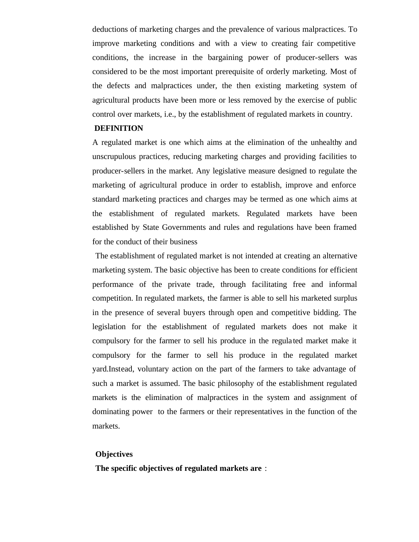deductions of marketing charges and the prevalence of various malpractices. To improve marketing conditions and with a view to creating fair competitive conditions, the increase in the bargaining power of producer-sellers was considered to be the most important prerequisite of orderly marketing. Most of the defects and malpractices under, the then existing marketing system of agricultural products have been more or less removed by the exercise of public control over markets, i.e., by the establishment of regulated markets in country.

## **DEFINITION**

A regulated market is one which aims at the elimination of the unhealthy and unscrupulous practices, reducing marketing charges and providing facilities to producer-sellers in the market. Any legislative measure designed to regulate the marketing of agricultural produce in order to establish, improve and enforce standard marketing practices and charges may be termed as one which aims at the establishment of regulated markets. Regulated markets have been established by State Governments and rules and regulations have been framed for the conduct of their business

The establishment of regulated market is not intended at creating an alternative marketing system. The basic objective has been to create conditions for efficient performance of the private trade, through facilitating free and informal competition. In regulated markets, the farmer is able to sell his marketed surplus in the presence of several buyers through open and competitive bidding. The legislation for the establishment of regulated markets does not make it compulsory for the farmer to sell his produce in the regula ted market make it compulsory for the farmer to sell his produce in the regulated market yard.Instead, voluntary action on the part of the farmers to take advantage of such a market is assumed. The basic philosophy of the establishment regulated markets is the elimination of malpractices in the system and assignment of dominating power to the farmers or their representatives in the function of the markets.

### **Objectives**

**The specific objectives of regulated markets are** :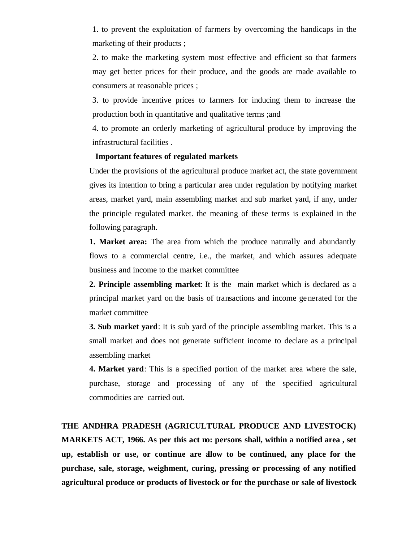1. to prevent the exploitation of farmers by overcoming the handicaps in the marketing of their products ;

2. to make the marketing system most effective and efficient so that farmers may get better prices for their produce, and the goods are made available to consumers at reasonable prices ;

3. to provide incentive prices to farmers for inducing them to increase the production both in quantitative and qualitative terms ;and

4. to promote an orderly marketing of agricultural produce by improving the infrastructural facilities .

### **Important features of regulated markets**

Under the provisions of the agricultural produce market act, the state government gives its intention to bring a particular area under regulation by notifying market areas, market yard, main assembling market and sub market yard, if any, under the principle regulated market. the meaning of these terms is explained in the following paragraph.

**1. Market area:** The area from which the produce naturally and abundantly flows to a commercial centre, i.e., the market, and which assures adequate business and income to the market committee

**2. Principle assembling market**: It is the main market which is declared as a principal market yard on the basis of transactions and income generated for the market committee

**3. Sub market yard**: It is sub yard of the principle assembling market. This is a small market and does not generate sufficient income to declare as a principal assembling market

**4. Market yard**: This is a specified portion of the market area where the sale, purchase, storage and processing of any of the specified agricultural commodities are carried out.

**THE ANDHRA PRADESH (AGRICULTURAL PRODUCE AND LIVESTOCK) MARKETS ACT, 1966. As per this act no: persons shall, within a notified area , set up, establish or use, or continue are allow to be continued, any place for the purchase, sale, storage, weighment, curing, pressing or processing of any notified agricultural produce or products of livestock or for the purchase or sale of livestock**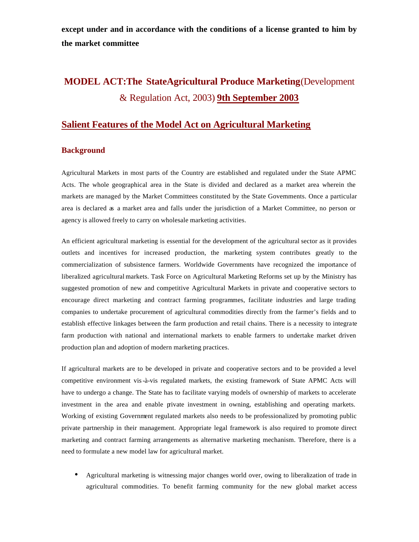**except under and in accordance with the conditions of a license granted to him by the market committee**

# **MODEL ACT:The StateAgricultural Produce Marketing**(Development & Regulation Act, 2003) **9th September 2003**

## **Salient Features of the Model Act on Agricultural Marketing**

### **Background**

Agricultural Markets in most parts of the Country are established and regulated under the State APMC Acts. The whole geographical area in the State is divided and declared as a market area wherein the markets are managed by the Market Committees constituted by the State Governments. Once a particular area is declared as a market area and falls under the jurisdiction of a Market Committee, no person or agency is allowed freely to carry on wholesale marketing activities.

An efficient agricultural marketing is essential for the development of the agricultural sector as it provides outlets and incentives for increased production, the marketing system contributes greatly to the commercialization of subsistence farmers. Worldwide Governments have recognized the importance of liberalized agricultural markets. Task Force on Agricultural Marketing Reforms set up by the Ministry has suggested promotion of new and competitive Agricultural Markets in private and cooperative sectors to encourage direct marketing and contract farming programmes, facilitate industries and large trading companies to undertake procurement of agricultural commodities directly from the farmer's fields and to establish effective linkages between the farm production and retail chains. There is a necessity to integrate farm production with national and international markets to enable farmers to undertake market driven production plan and adoption of modern marketing practices.

If agricultural markets are to be developed in private and cooperative sectors and to be provided a level competitive environment vis-à-vis regulated markets, the existing framework of State APMC Acts will have to undergo a change. The State has to facilitate varying models of ownership of markets to accelerate investment in the area and enable private investment in owning, establishing and operating markets. Working of existing Government regulated markets also needs to be professionalized by promoting public private partnership in their management. Appropriate legal framework is also required to promote direct marketing and contract farming arrangements as alternative marketing mechanism. Therefore, there is a need to formulate a new model law for agricultural market.

• Agricultural marketing is witnessing major changes world over, owing to liberalization of trade in agricultural commodities. To benefit farming community for the new global market access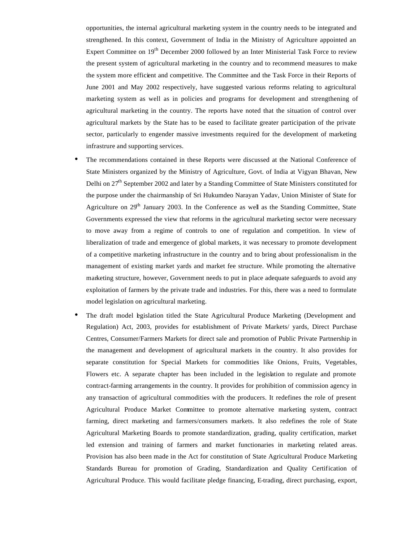opportunities, the internal agricultural marketing system in the country needs to be integrated and strengthened. In this context, Government of India in the Ministry of Agriculture appointed an Expert Committee on 19<sup>th</sup> December 2000 followed by an Inter Ministerial Task Force to review the present system of agricultural marketing in the country and to recommend measures to make the system more efficient and competitive. The Committee and the Task Force in their Reports of June 2001 and May 2002 respectively, have suggested various reforms relating to agricultural marketing system as well as in policies and programs for development and strengthening of agricultural marketing in the country. The reports have noted that the situation of control over agricultural markets by the State has to be eased to facilitate greater participation of the private sector, particularly to engender massive investments required for the development of marketing infrastrure and supporting services.

- The recommendations contained in these Reports were discussed at the National Conference of State Ministers organized by the Ministry of Agriculture, Govt. of India at Vigyan Bhavan, New Delhi on 27<sup>th</sup> September 2002 and later by a Standing Committee of State Ministers constituted for the purpose under the chairmanship of Sri Hukumdeo Narayan Yadav, Union Minister of State for Agriculture on  $29<sup>th</sup>$  January 2003. In the Conference as well as the Standing Committee, State Governments expressed the view that reforms in the agricultural marketing sector were necessary to move away from a regime of controls to one of regulation and competition. In view of liberalization of trade and emergence of global markets, it was necessary to promote development of a competitive marketing infrastructure in the country and to bring about professionalism in the management of existing market yards and market fee structure. While promoting the alternative marketing structure, however, Government needs to put in place adequate safeguards to avoid any exploitation of farmers by the private trade and industries. For this, there was a need to formulate model legislation on agricultural marketing.
- The draft model egislation titled the State Agricultural Produce Marketing (Development and Regulation) Act, 2003, provides for establishment of Private Markets/ yards, Direct Purchase Centres, Consumer/Farmers Markets for direct sale and promotion of Public Private Partnership in the management and development of agricultural markets in the country. It also provides for separate constitution for Special Markets for commodities like Onions, Fruits, Vegetables, Flowers etc. A separate chapter has been included in the legislation to regulate and promote contract-farming arrangements in the country. It provides for prohibition of commission agency in any transaction of agricultural commodities with the producers. It redefines the role of present Agricultural Produce Market Committee to promote alternative marketing system, contract farming, direct marketing and farmers/consumers markets. It also redefines the role of State Agricultural Marketing Boards to promote standardization, grading, quality certification, market led extension and training of farmers and market functionaries in marketing related areas. Provision has also been made in the Act for constitution of State Agricultural Produce Marketing Standards Bureau for promotion of Grading, Standardization and Quality Certification of Agricultural Produce. This would facilitate pledge financing, E-trading, direct purchasing, export,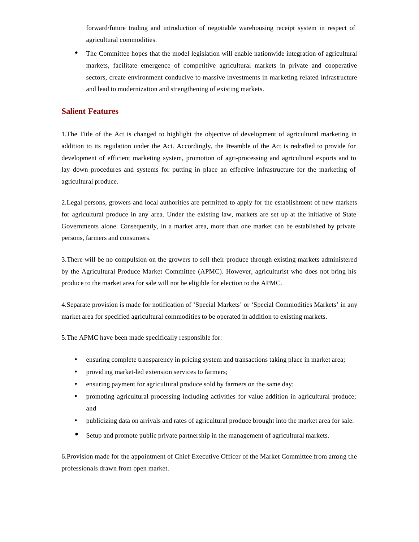forward/future trading and introduction of negotiable warehousing receipt system in respect of agricultural commodities.

• The Committee hopes that the model legislation will enable nationwide integration of agricultural markets, facilitate emergence of competitive agricultural markets in private and cooperative sectors, create environment conducive to massive investments in marketing related infrastructure and lead to modernization and strengthening of existing markets.

### **Salient Features**

1.The Title of the Act is changed to highlight the objective of development of agricultural marketing in addition to its regulation under the Act. Accordingly, the Preamble of the Act is redrafted to provide for development of efficient marketing system, promotion of agri-processing and agricultural exports and to lay down procedures and systems for putting in place an effective infrastructure for the marketing of agricultural produce.

2.Legal persons, growers and local authorities are permitted to apply for the establishment of new markets for agricultural produce in any area. Under the existing law, markets are set up at the initiative of State Governments alone. Consequently, in a market area, more than one market can be established by private persons, farmers and consumers.

3.There will be no compulsion on the growers to sell their produce through existing markets administered by the Agricultural Produce Market Committee (APMC). However, agriculturist who does not bring his produce to the market area for sale will not be eligible for election to the APMC.

4.Separate provision is made for notification of 'Special Markets' or 'Special Commodities Markets' in any market area for specified agricultural commodities to be operated in addition to existing markets.

5.The APMC have been made specifically responsible for:

- ensuring complete transparency in pricing system and transactions taking place in market area;
- providing market-led extension services to farmers;
- ensuring payment for agricultural produce sold by farmers on the same day;
- promoting agricultural processing including activities for value addition in agricultural produce; and
- publicizing data on arrivals and rates of agricultural produce brought into the market area for sale.
- Setup and promote public private partnership in the management of agricultural markets.

6.Provision made for the appointment of Chief Executive Officer of the Market Committee from among the professionals drawn from open market.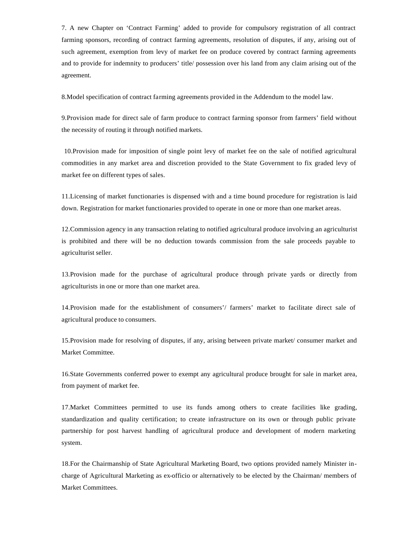7. A new Chapter on 'Contract Farming' added to provide for compulsory registration of all contract farming sponsors, recording of contract farming agreements, resolution of disputes, if any, arising out of such agreement, exemption from levy of market fee on produce covered by contract farming agreements and to provide for indemnity to producers' title/ possession over his land from any claim arising out of the agreement.

8.Model specification of contract farming agreements provided in the Addendum to the model law.

9.Provision made for direct sale of farm produce to contract farming sponsor from farmers' field without the necessity of routing it through notified markets.

 10.Provision made for imposition of single point levy of market fee on the sale of notified agricultural commodities in any market area and discretion provided to the State Government to fix graded levy of market fee on different types of sales.

11.Licensing of market functionaries is dispensed with and a time bound procedure for registration is laid down. Registration for market functionaries provided to operate in one or more than one market areas.

12.Commission agency in any transaction relating to notified agricultural produce involving an agriculturist is prohibited and there will be no deduction towards commission from the sale proceeds payable to agriculturist seller.

13.Provision made for the purchase of agricultural produce through private yards or directly from agriculturists in one or more than one market area.

14.Provision made for the establishment of consumers'/ farmers' market to facilitate direct sale of agricultural produce to consumers.

15.Provision made for resolving of disputes, if any, arising between private market/ consumer market and Market Committee.

16.State Governments conferred power to exempt any agricultural produce brought for sale in market area, from payment of market fee.

17.Market Committees permitted to use its funds among others to create facilities like grading, standardization and quality certification; to create infrastructure on its own or through public private partnership for post harvest handling of agricultural produce and development of modern marketing system.

18.For the Chairmanship of State Agricultural Marketing Board, two options provided namely Minister incharge of Agricultural Marketing as ex-officio or alternatively to be elected by the Chairman/ members of Market Committees.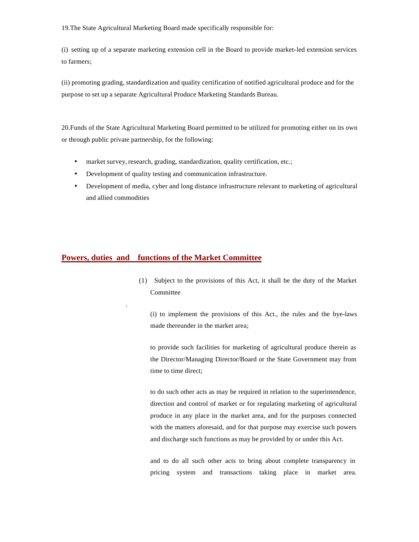19.The State Agricultural Marketing Board made specifically responsible for:

(i) setting up of a separate marketing extension cell in the Board to provide market-led extension services to farmers;

(ii) promoting grading, standardization and quality certification of notified agricultural produce and for the purpose to set up a separate Agricultural Produce Marketing Standards Bureau.

20.Funds of the State Agricultural Marketing Board permitted to be utilized for promoting either on its own or through public private partnership, for the following:

- market survey, research, grading, standardization, quality certification, etc.;
- Development of quality testing and communication infrastructure.
- Development of media, cyber and long distance infrastructure relevant to marketing of agricultural and allied commodities

### **Powers, duties and functions of the Market Committee**

.

(1) Subject to the provisions of this Act, it shall be the duty of the Market Committee

(i) to implement the provisions of this Act., the rules and the bye-laws made thereunder in the market area;

to provide such facilities for marketing of agricultural produce therein as the Director/Managing Director/Board or the State Government may from time to time direct;

to do such other acts as may be required in relation to the superintendence, direction and control of market or for regulating marketing of agricultural produce in any place in the market area, and for the purposes connected with the matters aforesaid, and for that purpose may exercise such powers and discharge such functions as may be provided by or under this Act.

and to do all such other acts to bring about complete transparency in pricing system and transactions taking place in market area.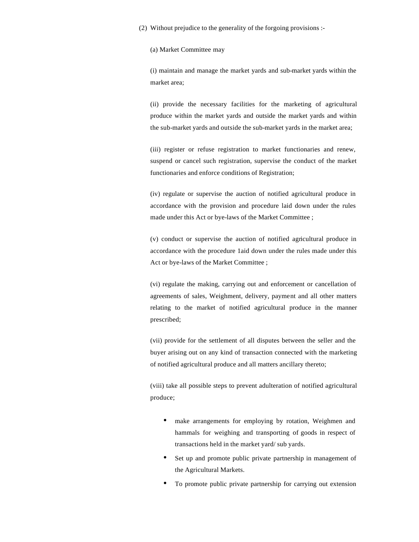(2) Without prejudice to the generality of the forgoing provisions :-

(a) Market Committee may

(i) maintain and manage the market yards and sub-market yards within the market area;

(ii) provide the necessary facilities for the marketing of agricultural produce within the market yards and outside the market yards and within the sub-market yards and outside the sub-market yards in the market area;

(iii) register or refuse registration to market functionaries and renew, suspend or cancel such registration, supervise the conduct of the market functionaries and enforce conditions of Registration;

(iv) regulate or supervise the auction of notified agricultural produce in accordance with the provision and procedure laid down under the rules made under this Act or bye-laws of the Market Committee ;

(v) conduct or supervise the auction of notified agricultural produce in accordance with the procedure 1aid down under the rules made under this Act or bye-laws of the Market Committee ;

(vi) regulate the making, carrying out and enforcement or cancellation of agreements of sales, Weighment, delivery, payment and all other matters relating to the market of notified agricultural produce in the manner prescribed;

(vii) provide for the settlement of all disputes between the seller and the buyer arising out on any kind of transaction connected with the marketing of notified agricultural produce and all matters ancillary thereto;

(viii) take all possible steps to prevent adulteration of notified agricultural produce;

- make arrangements for employing by rotation, Weighmen and hammals for weighing and transporting of goods in respect of transactions held in the market yard/ sub yards.
- Set up and promote public private partnership in management of the Agricultural Markets.
- To promote public private partnership for carrying out extension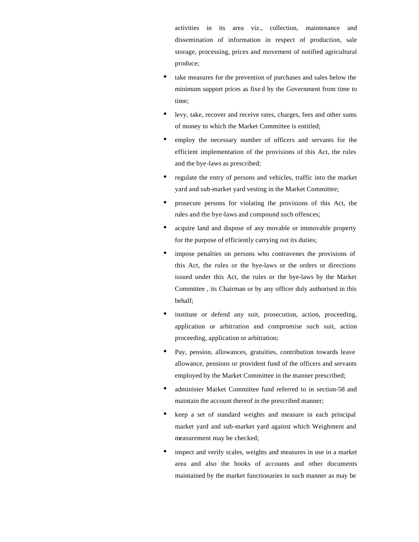activities in its area viz., collection, maintenance and dissemination of information in respect of production, sale storage, processing, prices and movement of notified agricultural produce;

- take measures for the prevention of purchases and sales below the minimum support prices as fixe d by the Government from time to time;
- levy, take, recover and receive rates, charges, fees and other sums of money to which the Market Committee is entitled;
- employ the necessary number of officers and servants for the efficient implementation of the provisions of this Act, the rules and the bye-laws as prescribed;
- regulate the entry of persons and vehicles, traffic into the market yard and sub-market yard vesting in the Market Committee;
- prosecute persons for violating the provisions of this Act, the rules and the bye-laws and compound such offences;
- acquire land and dispose of any movable or immovable property for the purpose of efficiently carrying out its duties;
- impose penalties on persons who contravenes the provisions of this Act, the rules or the bye-laws or the orders or directions issued under this Act, the rules or the bye-laws by the Market Committee , its Chairman or by any officer duly authorised in this behalf;
- institute or defend any suit, prosecution, action, proceeding, application or arbitration and compromise such suit, action proceeding, application or arbitration;
- Pay, pension, allowances, gratuities, contribution towards leave allowance, pensions or provident fund of the officers and servants employed by the Market Committee in the manner prescribed;
- administer Market Committee fund referred to in section-58 and maintain the account thereof in the prescribed manner;
- keep a set of standard weights and measure in each principal market yard and sub-market yard against which Weighment and measurement may be checked;
- inspect and verify scales, weights and measures in use in a market area and also the books of accounts and other documents maintained by the market functionaries in such manner as may be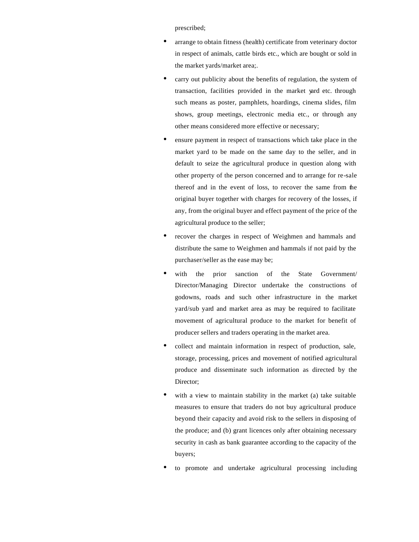prescribed;

- arrange to obtain fitness (health) certificate from veterinary doctor in respect of animals, cattle birds etc., which are bought or sold in the market yards/market area;.
- carry out publicity about the benefits of regulation, the system of transaction, facilities provided in the market yard etc. through such means as poster, pamphlets, hoardings, cinema slides, film shows, group meetings, electronic media etc., or through any other means considered more effective or necessary;
- ensure payment in respect of transactions which take place in the market yard to be made on the same day to the seller, and in default to seize the agricultural produce in question along with other property of the person concerned and to arrange for re-sale thereof and in the event of loss, to recover the same from the original buyer together with charges for recovery of the losses, if any, from the original buyer and effect payment of the price of the agricultural produce to the seller;
- recover the charges in respect of Weighmen and hammals and distribute the same to Weighmen and hammals if not paid by the purchaser/seller as the ease may be;
- with the prior sanction of the State Government/ Director/Managing Director undertake the constructions of godowns, roads and such other infrastructure in the market yard/sub yard and market area as may be required to facilitate movement of agricultural produce to the market for benefit of producer sellers and traders operating in the market area.
- collect and maintain information in respect of production, sale, storage, processing, prices and movement of notified agricultural produce and disseminate such information as directed by the Director;
- with a view to maintain stability in the market (a) take suitable measures to ensure that traders do not buy agricultural produce beyond their capacity and avoid risk to the sellers in disposing of the produce; and (b) grant licences only after obtaining necessary security in cash as bank guarantee according to the capacity of the buyers;
- to promote and undertake agricultural processing including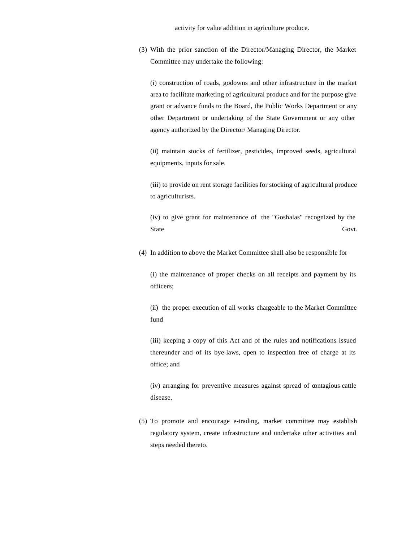activity for value addition in agriculture produce.

(3) With the prior sanction of the Director/Managing Director, the Market Committee may undertake the following:

(i) construction of roads, godowns and other infrastructure in the market area to facilitate marketing of agricultural produce and for the purpose give grant or advance funds to the Board, the Public Works Department or any other Department or undertaking of the State Government or any other agency authorized by the Director/ Managing Director.

(ii) maintain stocks of fertilizer, pesticides, improved seeds, agricultural equipments, inputs for sale.

(iii) to provide on rent storage facilities for stocking of agricultural produce to agriculturists.

(iv) to give grant for maintenance of the "Goshalas" recognized by the State Govt.

(4) In addition to above the Market Committee shall also be responsible for

(i) the maintenance of proper checks on all receipts and payment by its officers;

(ii) the proper execution of all works chargeable to the Market Committee fund

(iii) keeping a copy of this Act and of the rules and notifications issued thereunder and of its bye-laws, open to inspection free of charge at its office; and

(iv) arranging for preventive measures against spread of contagious cattle disease.

(5) To promote and encourage e-trading, market committee may establish regulatory system, create infrastructure and undertake other activities and steps needed thereto.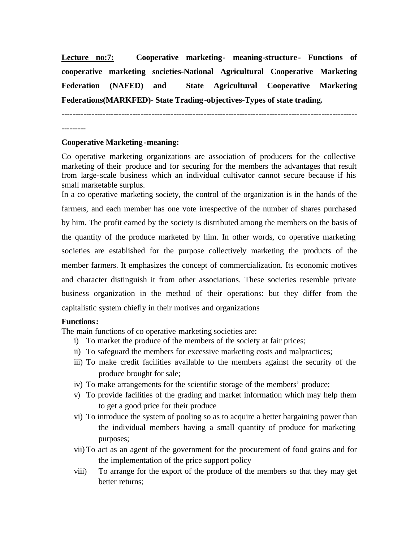Lecture no:7: Cooperative marketing- meaning-structure- Functions of **cooperative marketing societies-National Agricultural Cooperative Marketing Federation (NAFED) and State Agricultural Cooperative Marketing Federations(MARKFED)- State Trading-objectives-Types of state trading.**

**------------------------------------------------------------------------------------------------------------**

**---------**

## **Cooperative Marketing-meaning:**

Co operative marketing organizations are association of producers for the collective marketing of their produce and for securing for the members the advantages that result from large-scale business which an individual cultivator cannot secure because if his small marketable surplus.

In a co operative marketing society, the control of the organization is in the hands of the farmers, and each member has one vote irrespective of the number of shares purchased by him. The profit earned by the society is distributed among the members on the basis of the quantity of the produce marketed by him. In other words, co operative marketing societies are established for the purpose collectively marketing the products of the member farmers. It emphasizes the concept of commercialization. Its economic motives and character distinguish it from other associations. These societies resemble private business organization in the method of their operations: but they differ from the capitalistic system chiefly in their motives and organizations

## **Functions:**

The main functions of co operative marketing societies are:

- i) To market the produce of the members of the society at fair prices;
- ii) To safeguard the members for excessive marketing costs and malpractices;
- iii) To make credit facilities available to the members against the security of the produce brought for sale;
- iv) To make arrangements for the scientific storage of the members' produce;
- v) To provide facilities of the grading and market information which may help them to get a good price for their produce
- vi) To introduce the system of pooling so as to acquire a better bargaining power than the individual members having a small quantity of produce for marketing purposes;
- vii) To act as an agent of the government for the procurement of food grains and for the implementation of the price support policy
- viii) To arrange for the export of the produce of the members so that they may get better returns;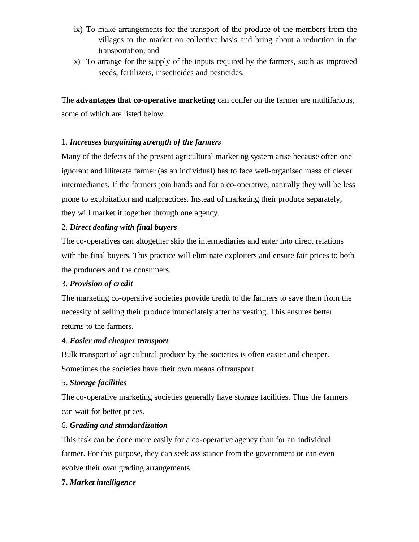- ix) To make arrangements for the transport of the produce of the members from the villages to the market on collective basis and bring about a reduction in the transportation; and
- x) To arrange for the supply of the inputs required by the farmers, such as improved seeds, fertilizers, insecticides and pesticides.

The **advantages that co-operative marketing** can confer on the farmer are multifarious, some of which are listed below.

# 1. *Increases bargaining strength of the farmers*

Many of the defects of the present agricultural marketing system arise because often one ignorant and illiterate farmer (as an individual) has to face well-organised mass of clever intermediaries. If the farmers join hands and for a co-operative, naturally they will be less prone to exploitation and malpractices. Instead of marketing their produce separately, they will market it together through one agency.

# 2. *Direct dealing with final buyers*

The co-operatives can altogether skip the intermediaries and enter into direct relations with the final buyers. This practice will eliminate exploiters and ensure fair prices to both the producers and the consumers.

# 3. *Provision of credit*

The marketing co-operative societies provide credit to the farmers to save them from the necessity of selling their produce immediately after harvesting. This ensures better returns to the farmers.

# 4. *Easier and cheaper transport*

Bulk transport of agricultural produce by the societies is often easier and cheaper. Sometimes the societies have their own means of transport.

# 5**.** *Storage facilities*

The co-operative marketing societies generally have storage facilities. Thus the farmers can wait for better prices.

# 6. *Grading and standardization*

This task can be done more easily for a co-operative agency than for an individual farmer. For this purpose, they can seek assistance from the government or can even evolve their own grading arrangements.

# **7.** *Market intelligence*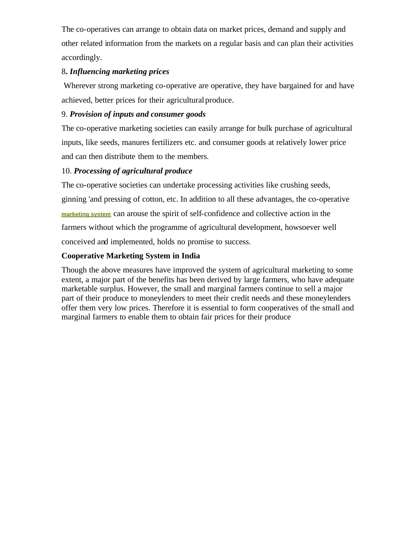The co-operatives can arrange to obtain data on market prices, demand and supply and other related information from the markets on a regular basis and can plan their activities accordingly.

# 8**.** *Influencing marketing prices*

 Wherever strong marketing co-operative are operative, they have bargained for and have achieved, better prices for their agricultural produce.

# 9. *Provision of inputs and consumer goods*

The co-operative marketing societies can easily arrange for bulk purchase of agricultural inputs, like seeds, manures fertilizers etc. and consumer goods at relatively lower price and can then distribute them to the members.

# 10. *Processing of agricultural produce*

The co-operative societies can undertake processing activities like crushing seeds, ginning 'and pressing of cotton, etc. In addition to all these advantages, the co-operative **marketing system** can arouse the spirit of self-confidence and collective action in the farmers without which the programme of agricultural development, howsoever well conceived and implemented, holds no promise to success.

# **Cooperative Marketing System in India**

Though the above measures have improved the system of agricultural marketing to some extent, a major part of the benefits has been derived by large farmers, who have adequate marketable surplus. However, the small and marginal farmers continue to sell a major part of their produce to moneylenders to meet their credit needs and these moneylenders offer them very low prices. Therefore it is essential to form cooperatives of the small and marginal farmers to enable them to obtain fair prices for their produce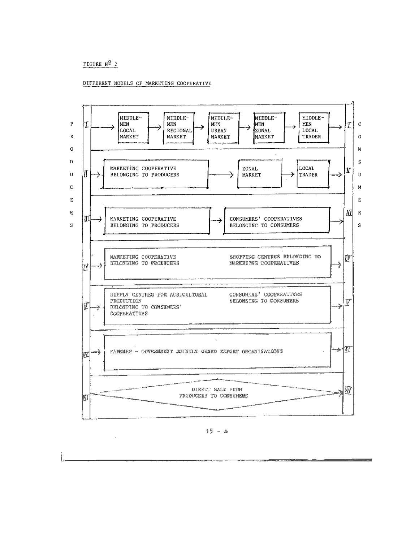$FIGURE N<sup>2</sup>$  2

#### DIFFERENT MODELS OF MARKETING COOPERATIVE

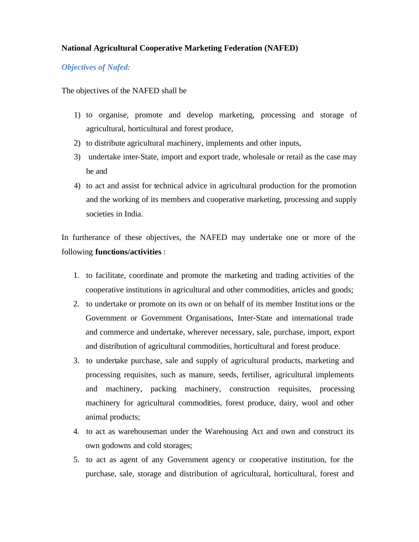## **National Agricultural Cooperative Marketing Federation (NAFED)**

## *Objectives of Nafed:*

The objectives of the NAFED shall be

- 1) to organise, promote and develop marketing, processing and storage of agricultural, horticultural and forest produce,
- 2) to distribute agricultural machinery, implements and other inputs,
- 3) undertake inter-State, import and export trade, wholesale or retail as the case may be and
- 4) to act and assist for technical advice in agricultural production for the promotion and the working of its members and cooperative marketing, processing and supply societies in India.

In furtherance of these objectives, the NAFED may undertake one or more of the following **functions/activities** :

- 1. to facilitate, coordinate and promote the marketing and trading activities of the cooperative institutions in agricultural and other commodities, articles and goods;
- 2. to undertake or promote on its own or on behalf of its member Institutions or the Government or Government Organisations, Inter-State and international trade and commerce and undertake, wherever necessary, sale, purchase, import, export and distribution of agricultural commodities, horticultural and forest produce.
- 3. to undertake purchase, sale and supply of agricultural products, marketing and processing requisites, such as manure, seeds, fertiliser, agricultural implements and machinery, packing machinery, construction requisites, processing machinery for agricultural commodities, forest produce, dairy, wool and other animal products;
- 4. to act as warehouseman under the Warehousing Act and own and construct its own godowns and cold storages;
- 5. to act as agent of any Government agency or cooperative institution, for the purchase, sale, storage and distribution of agricultural, horticultural, forest and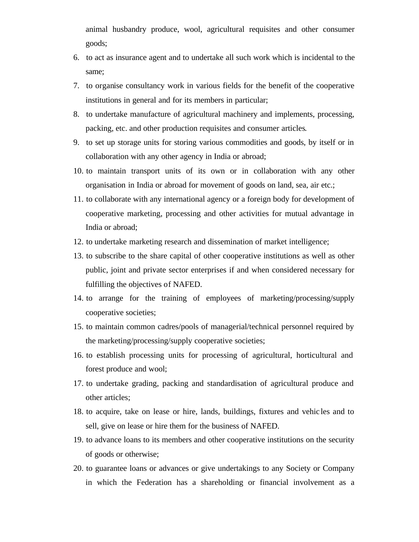animal husbandry produce, wool, agricultural requisites and other consumer goods;

- 6. to act as insurance agent and to undertake all such work which is incidental to the same;
- 7. to organise consultancy work in various fields for the benefit of the cooperative institutions in general and for its members in particular;
- 8. to undertake manufacture of agricultural machinery and implements, processing, packing, etc. and other production requisites and consumer articles.
- 9. to set up storage units for storing various commodities and goods, by itself or in collaboration with any other agency in India or abroad;
- 10. to maintain transport units of its own or in collaboration with any other organisation in India or abroad for movement of goods on land, sea, air etc.;
- 11. to collaborate with any international agency or a foreign body for development of cooperative marketing, processing and other activities for mutual advantage in India or abroad;
- 12. to undertake marketing research and dissemination of market intelligence;
- 13. to subscribe to the share capital of other cooperative institutions as well as other public, joint and private sector enterprises if and when considered necessary for fulfilling the objectives of NAFED.
- 14. to arrange for the training of employees of marketing/processing/supply cooperative societies;
- 15. to maintain common cadres/pools of managerial/technical personnel required by the marketing/processing/supply cooperative societies;
- 16. to establish processing units for processing of agricultural, horticultural and forest produce and wool;
- 17. to undertake grading, packing and standardisation of agricultural produce and other articles;
- 18. to acquire, take on lease or hire, lands, buildings, fixtures and vehic les and to sell, give on lease or hire them for the business of NAFED.
- 19. to advance loans to its members and other cooperative institutions on the security of goods or otherwise;
- 20. to guarantee loans or advances or give undertakings to any Society or Company in which the Federation has a shareholding or financial involvement as a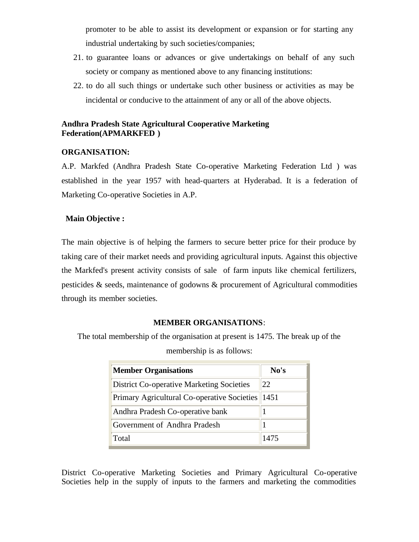promoter to be able to assist its development or expansion or for starting any industrial undertaking by such societies/companies;

- 21. to guarantee loans or advances or give undertakings on behalf of any such society or company as mentioned above to any financing institutions:
- 22. to do all such things or undertake such other business or activities as may be incidental or conducive to the attainment of any or all of the above objects.

# **Andhra Pradesh State Agricultural Cooperative Marketing Federation(APMARKFED )**

## **ORGANISATION:**

A.P. Markfed (Andhra Pradesh State Co-operative Marketing Federation Ltd ) was established in the year 1957 with head-quarters at Hyderabad. It is a federation of Marketing Co-operative Societies in A.P.

## **Main Objective :**

The main objective is of helping the farmers to secure better price for their produce by taking care of their market needs and providing agricultural inputs. Against this objective the Markfed's present activity consists of sale of farm inputs like chemical fertilizers, pesticides & seeds, maintenance of godowns & procurement of Agricultural commodities through its member societies.

### **MEMBER ORGANISATIONS**:

The total membership of the organisation at present is 1475. The break up of the

### membership is as follows:

| <b>Member Organisations</b>                      | No's |
|--------------------------------------------------|------|
| <b>District Co-operative Marketing Societies</b> | 22   |
| Primary Agricultural Co-operative Societies      | 1451 |
| Andhra Pradesh Co-operative bank                 |      |
| Government of Andhra Pradesh                     |      |
| Total                                            | 1475 |

District Co-operative Marketing Societies and Primary Agricultural Co-operative Societies help in the supply of inputs to the farmers and marketing the commodities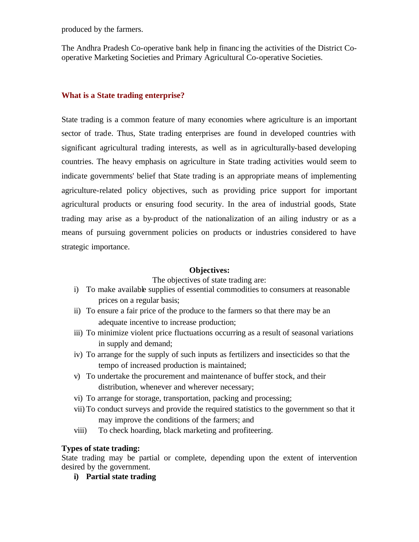produced by the farmers.

The Andhra Pradesh Co-operative bank help in financ ing the activities of the District Cooperative Marketing Societies and Primary Agricultural Co-operative Societies.

## **What is a State trading enterprise?**

State trading is a common feature of many economies where agriculture is an important sector of trade. Thus, State trading enterprises are found in developed countries with significant agricultural trading interests, as well as in agriculturally-based developing countries. The heavy emphasis on agriculture in State trading activities would seem to indicate governments' belief that State trading is an appropriate means of implementing agriculture-related policy objectives, such as providing price support for important agricultural products or ensuring food security. In the area of industrial goods, State trading may arise as a by-product of the nationalization of an ailing industry or as a means of pursuing government policies on products or industries considered to have strategic importance.

## **Objectives:**

The objectives of state trading are:

- i) To make available supplies of essential commodities to consumers at reasonable prices on a regular basis;
- ii) To ensure a fair price of the produce to the farmers so that there may be an adequate incentive to increase production;
- iii) To minimize violent price fluctuations occurring as a result of seasonal variations in supply and demand;
- iv) To arrange for the supply of such inputs as fertilizers and insecticides so that the tempo of increased production is maintained;
- v) To undertake the procurement and maintenance of buffer stock, and their distribution, whenever and wherever necessary;
- vi) To arrange for storage, transportation, packing and processing;
- vii) To conduct surveys and provide the required statistics to the government so that it may improve the conditions of the farmers; and
- viii) To check hoarding, black marketing and profiteering.

# **Types of state trading:**

State trading may be partial or complete, depending upon the extent of intervention desired by the government.

**i) Partial state trading**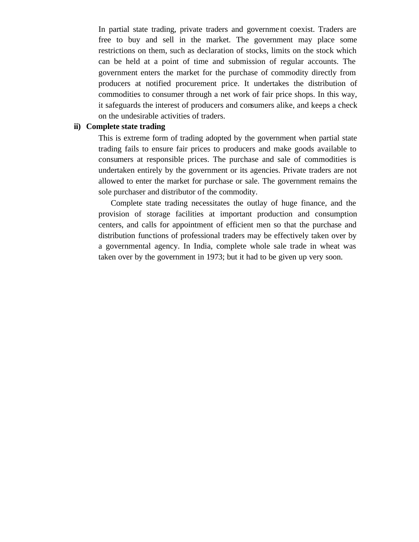In partial state trading, private traders and government coexist. Traders are free to buy and sell in the market. The government may place some restrictions on them, such as declaration of stocks, limits on the stock which can be held at a point of time and submission of regular accounts. The government enters the market for the purchase of commodity directly from producers at notified procurement price. It undertakes the distribution of commodities to consumer through a net work of fair price shops. In this way, it safeguards the interest of producers and consumers alike, and keeps a check on the undesirable activities of traders.

### **ii) Complete state trading**

This is extreme form of trading adopted by the government when partial state trading fails to ensure fair prices to producers and make goods available to consumers at responsible prices. The purchase and sale of commodities is undertaken entirely by the government or its agencies. Private traders are not allowed to enter the market for purchase or sale. The government remains the sole purchaser and distributor of the commodity.

Complete state trading necessitates the outlay of huge finance, and the provision of storage facilities at important production and consumption centers, and calls for appointment of efficient men so that the purchase and distribution functions of professional traders may be effectively taken over by a governmental agency. In India, complete whole sale trade in wheat was taken over by the government in 1973; but it had to be given up very soon.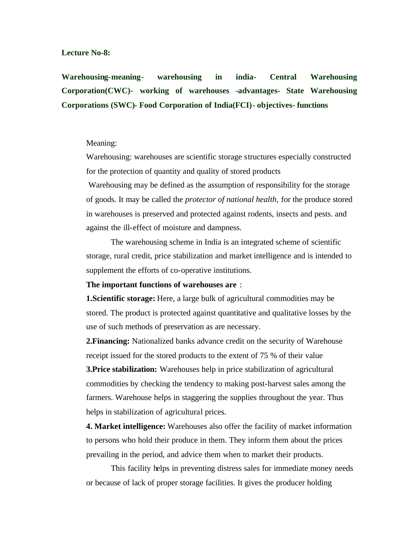### **Lecture No-8:**

**Warehousing-meaning- warehousing in india- Central Warehousing Corporation(CWC)- working of warehouses -advantages- State Warehousing Corporations (SWC)- Food Corporation of India(FCI)- objectives- functions**

### Meaning:

Warehousing: warehouses are scientific storage structures especially constructed for the protection of quantity and quality of stored products

 Warehousing may be defined as the assumption of responsibility for the storage of goods. It may be called the *protector of national health,* for the produce stored in warehouses is preserved and protected against rodents, insects and pests. and against the ill-effect of moisture and dampness.

The warehousing scheme in India is an integrated scheme of scientific storage, rural credit, price stabilization and market intelligence and is intended to supplement the efforts of co-operative institutions.

### **The important functions of warehouses are** :

**1.Scientific storage:** Here, a large bulk of agricultural commodities may be stored. The product is protected against quantitative and qualitative losses by the use of such methods of preservation as are necessary.

**2.Financing:** Nationalized banks advance credit on the security of Warehouse receipt issued for the stored products to the extent of 75 % of their value **3. Price stabilization:** Warehouses help in price stabilization of agricultural commodities by checking the tendency to making post-harvest sales among the farmers. Warehouse helps in staggering the supplies throughout the year. Thus helps in stabilization of agricultural prices.

**4. Market intelligence:** Warehouses also offer the facility of market information to persons who hold their produce in them. They inform them about the prices prevailing in the period, and advice them when to market their products.

This facility helps in preventing distress sales for immediate money needs or because of lack of proper storage facilities. It gives the producer holding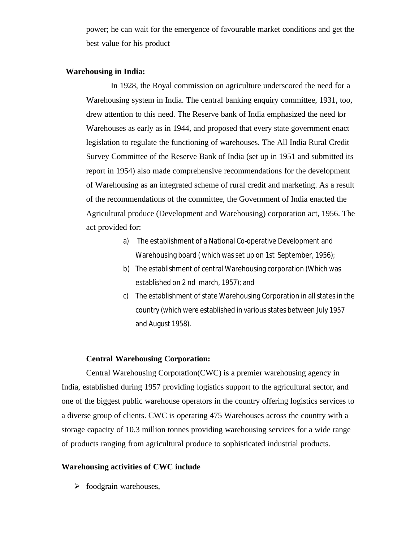power; he can wait for the emergence of favourable market conditions and get the best value for his product

### **Warehousing in India:**

In 1928, the Royal commission on agriculture underscored the need for a Warehousing system in India. The central banking enquiry committee, 1931, too, drew attention to this need. The Reserve bank of India emphasized the need for Warehouses as early as in 1944, and proposed that every state government enact legislation to regulate the functioning of warehouses. The All India Rural Credit Survey Committee of the Reserve Bank of India (set up in 1951 and submitted its report in 1954) also made comprehensive recommendations for the development of Warehousing as an integrated scheme of rural credit and marketing. As a result of the recommendations of the committee, the Government of India enacted the Agricultural produce (Development and Warehousing) corporation act, 1956. The act provided for:

- a) The establishment of a National Co-operative Development and Warehousing board ( which was set up on 1st September, 1956);
- b) The establishment of central Warehousing corporation (Which was established on 2 nd march, 1957); and
- c) The establishment of state Warehousing Corporation in all states in the country (which were established in various states between July 1957 and August 1958).

### **Central Warehousing Corporation:**

Central Warehousing Corporation(CWC) is a premier warehousing agency in India, established during 1957 providing logistics support to the agricultural sector, and one of the biggest public warehouse operators in the country offering logistics services to a diverse group of clients. CWC is operating 475 Warehouses across the country with a storage capacity of 10.3 million tonnes providing warehousing services for a wide range of products ranging from agricultural produce to sophisticated industrial products.

## **Warehousing activities of CWC include**

 $\triangleright$  foodgrain warehouses,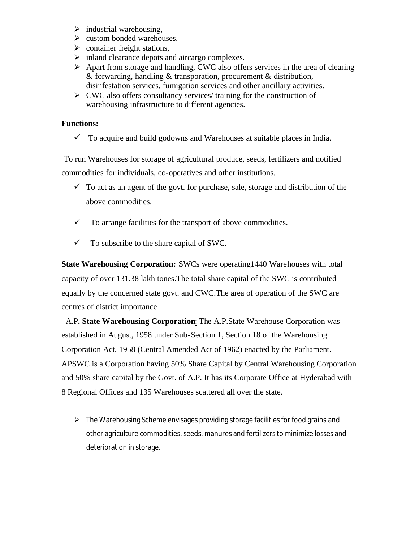- $\triangleright$  industrial warehousing,
- $\triangleright$  custom bonded warehouses,
- $\triangleright$  container freight stations,
- $\triangleright$  inland clearance depots and aircargo complexes.
- $\triangleright$  Apart from storage and handling, CWC also offers services in the area of clearing & forwarding, handling & transporation, procurement & distribution, disinfestation services, fumigation services and other ancillary activities.
- $\triangleright$  CWC also offers consultancy services/ training for the construction of warehousing infrastructure to different agencies.

## **Functions:**

 $\checkmark$  To acquire and build godowns and Warehouses at suitable places in India.

 To run Warehouses for storage of agricultural produce, seeds, fertilizers and notified commodities for individuals, co-operatives and other institutions.

- $\checkmark$  To act as an agent of the govt. for purchase, sale, storage and distribution of the above commodities.
- $\checkmark$  To arrange facilities for the transport of above commodities.
- $\checkmark$  To subscribe to the share capital of SWC.

**State Warehousing Corporation:** SWCs were operating1440 Warehouses with total capacity of over 131.38 lakh tones.The total share capital of the SWC is contributed equally by the concerned state govt. and CWC.The area of operation of the SWC are centres of district importance

 A.P**. State Warehousing Corporation**: The A.P.State Warehouse Corporation was established in August, 1958 under Sub-Section 1, Section 18 of the Warehousing Corporation Act, 1958 (Central Amended Act of 1962) enacted by the Parliament. APSWC is a Corporation having 50% Share Capital by Central Warehousing Corporation and 50% share capital by the Govt. of A.P. It has its Corporate Office at Hyderabad with 8 Regional Offices and 135 Warehouses scattered all over the state.

 $\triangleright$  The Warehousing Scheme envisages providing storage facilities for food grains and other agriculture commodities, seeds, manures and fertilizers to minimize losses and deterioration in storage.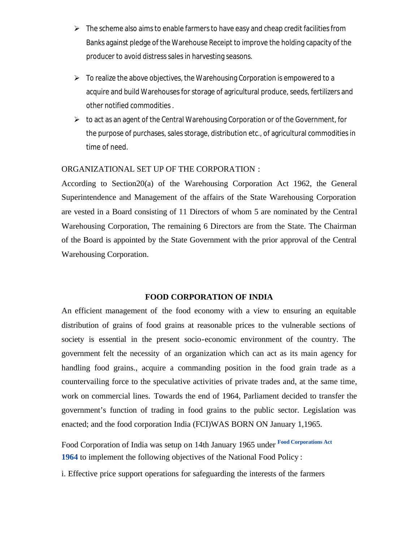- $\triangleright$  The scheme also aims to enable farmers to have easy and cheap credit facilities from Banks against pledge of the Warehouse Receipt to improve the holding capacity of the producer to avoid distress sales in harvesting seasons.
- $\triangleright$  To realize the above objectives, the Warehousing Corporation is empowered to a acquire and build Warehouses for storage of agricultural produce, seeds, fertilizers and other notified commodities .
- $\triangleright$  to act as an agent of the Central Warehousing Corporation or of the Government, for the purpose of purchases, sales storage, distribution etc., of agricultural commodities in time of need.

## ORGANIZATIONAL SET UP OF THE CORPORATION :

According to Section20(a) of the Warehousing Corporation Act 1962, the General Superintendence and Management of the affairs of the State Warehousing Corporation are vested in a Board consisting of 11 Directors of whom 5 are nominated by the Central Warehousing Corporation, The remaining 6 Directors are from the State. The Chairman of the Board is appointed by the State Government with the prior approval of the Central Warehousing Corporation.

## **FOOD CORPORATION OF INDIA**

An efficient management of the food economy with a view to ensuring an equitable distribution of grains of food grains at reasonable prices to the vulnerable sections of society is essential in the present socio-economic environment of the country. The government felt the necessity of an organization which can act as its main agency for handling food grains., acquire a commanding position in the food grain trade as a countervailing force to the speculative activities of private trades and, at the same time, work on commercial lines. Towards the end of 1964, Parliament decided to transfer the government's function of trading in food grains to the public sector. Legislation was enacted; and the food corporation India (FCI)WAS BORN ON January 1,1965.

Food Corporation of India was setup on 14th January 1965 under **Food Corporations Act 1964** to implement the following objectives of the National Food Policy :

i. Effective price support operations for safeguarding the interests of the farmers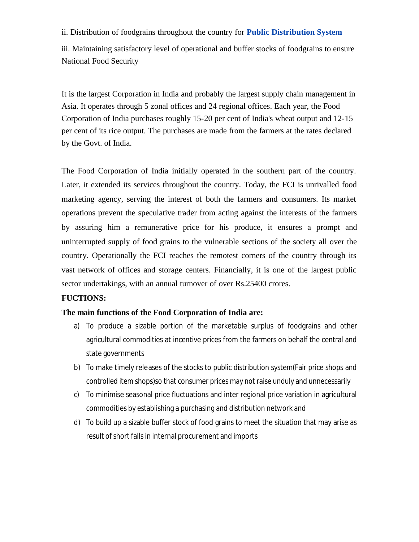ii. Distribution of foodgrains throughout the country for **Public Distribution System**

iii. Maintaining satisfactory level of operational and buffer stocks of foodgrains to ensure National Food Security

It is the largest Corporation in India and probably the largest supply chain management in Asia. It operates through 5 zonal offices and 24 regional offices. Each year, the Food Corporation of India purchases roughly 15-20 per cent of India's wheat output and 12-15 per cent of its rice output. The purchases are made from the farmers at the rates declared by the Govt. of India.

The Food Corporation of India initially operated in the southern part of the country. Later, it extended its services throughout the country. Today, the FCI is unrivalled food marketing agency, serving the interest of both the farmers and consumers. Its market operations prevent the speculative trader from acting against the interests of the farmers by assuring him a remunerative price for his produce, it ensures a prompt and uninterrupted supply of food grains to the vulnerable sections of the society all over the country. Operationally the FCI reaches the remotest corners of the country through its vast network of offices and storage centers. Financially, it is one of the largest public sector undertakings, with an annual turnover of over Rs.25400 crores.

## **FUCTIONS:**

## **The main functions of the Food Corporation of India are:**

- a) To produce a sizable portion of the marketable surplus of foodgrains and other agricultural commodities at incentive prices from the farmers on behalf the central and state governments
- b) To make timely releases of the stocks to public distribution system(Fair price shops and controlled item shops)so that consumer prices may not raise unduly and unnecessarily
- c) To minimise seasonal price fluctuations and inter regional price variation in agricultural commodities by establishing a purchasing and distribution network and
- d) To build up a sizable buffer stock of food grains to meet the situation that may arise as result of short falls in internal procurement and imports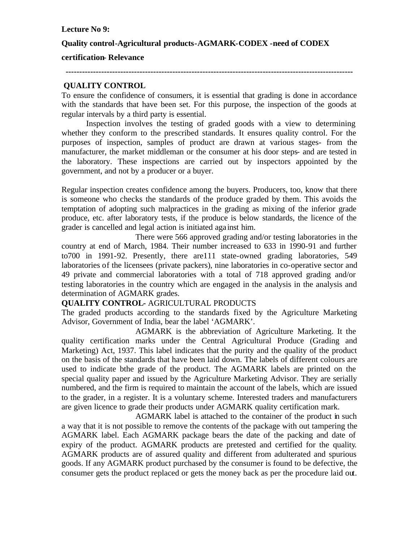# **Lecture No 9:**

**Quality control-Agricultural products-AGMARK-CODEX -need of CODEX** 

# **certification- Relevance**

**---------------------------------------------------------------------------------------------------------**

# **QUALITY CONTROL**

To ensure the confidence of consumers, it is essential that grading is done in accordance with the standards that have been set. For this purpose, the inspection of the goods at regular intervals by a third party is essential.

Inspection involves the testing of graded goods with a view to determining whether they conform to the prescribed standards. It ensures quality control. For the purposes of inspection, samples of product are drawn at various stages- from the manufacturer, the market middleman or the consumer at his door steps- and are tested in the laboratory. These inspections are carried out by inspectors appointed by the government, and not by a producer or a buyer.

Regular inspection creates confidence among the buyers. Producers, too, know that there is someone who checks the standards of the produce graded by them. This avoids the temptation of adopting such malpractices in the grading as mixing of the inferior grade produce, etc. after laboratory tests, if the produce is below standards, the licence of the grader is cancelled and legal action is initiated aga inst him.

There were 566 approved grading and/or testing laboratories in the country at end of March, 1984. Their number increased to 633 in 1990-91 and further to700 in 1991-92. Presently, there are111 state-owned grading laboratories, 549 laboratories of the licensees (private packers), nine laboratories in co-operative sector and 49 private and commercial laboratories with a total of 718 approved grading and/or testing laboratories in the country which are engaged in the analysis in the analysis and determination of AGMARK grades.

# **QUALITY CONTROL-** AGRICULTURAL PRODUCTS

The graded products according to the standards fixed by the Agriculture Marketing Advisor, Government of India, bear the label 'AGMARK'.

AGMARK is the abbreviation of Agriculture Marketing. It the quality certification marks under the Central Agricultural Produce (Grading and Marketing) Act, 1937. This label indicates that the purity and the quality of the product on the basis of the standards that have been laid down. The labels of different colours are used to indicate bthe grade of the product. The AGMARK labels are printed on the special quality paper and issued by the Agriculture Marketing Advisor. They are serially numbered, and the firm is required to maintain the account of the labels, which are issued to the grader, in a register. It is a voluntary scheme. Interested traders and manufacturers are given licence to grade their products under AGMARK quality certification mark.

AGMARK label is attached to the container of the product in such a way that it is not possible to remove the contents of the package with out tampering the AGMARK label. Each AGMARK package bears the date of the packing and date of expiry of the product. AGMARK products are pretested and certified for the quality. AGMARK products are of assured quality and different from adulterated and spurious goods. If any AGMARK product purchased by the consumer is found to be defective, the consumer gets the product replaced or gets the money back as per the procedure laid out.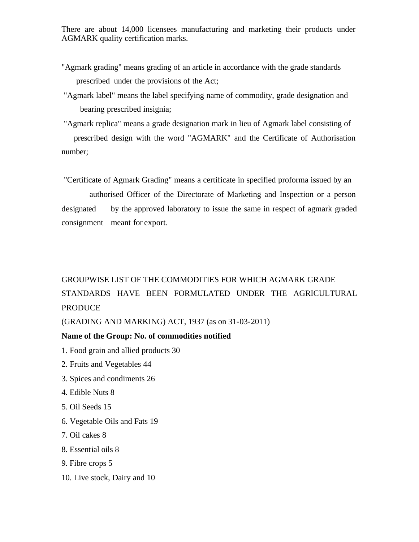There are about 14,000 licensees manufacturing and marketing their products under AGMARK quality certification marks.

- "Agmark grading" means grading of an article in accordance with the grade standards prescribed under the provisions of the Act;
- "Agmark label" means the label specifying name of commodity, grade designation and bearing prescribed insignia;
- "Agmark replica" means a grade designation mark in lieu of Agmark label consisting of prescribed design with the word "AGMARK" and the Certificate of Authorisation number;

 "Certificate of Agmark Grading" means a certificate in specified proforma issued by an authorised Officer of the Directorate of Marketing and Inspection or a person designated by the approved laboratory to issue the same in respect of agmark graded consignment meant for export.

# GROUPWISE LIST OF THE COMMODITIES FOR WHICH AGMARK GRADE STANDARDS HAVE BEEN FORMULATED UNDER THE AGRICULTURAL PRODUCE

(GRADING AND MARKING) ACT, 1937 (as on 31-03-2011)

# **Name of the Group: No. of commodities notified**

- 1. Food grain and allied products 30
- 2. Fruits and Vegetables 44
- 3. Spices and condiments 26
- 4. Edible Nuts 8
- 5. Oil Seeds 15
- 6. Vegetable Oils and Fats 19
- 7. Oil cakes 8
- 8. Essential oils 8
- 9. Fibre crops 5
- 10. Live stock, Dairy and 10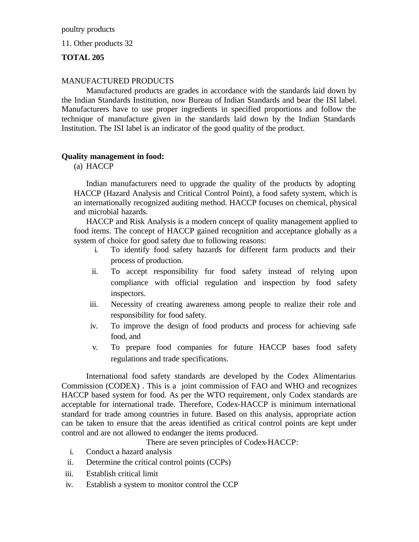poultry products

11. Other products 32

## **TOTAL 205**

## MANUFACTURED PRODUCTS

Manufactured products are grades in accordance with the standards laid down by the Indian Standards Institution, now Bureau of Indian Standards and bear the ISI label. Manufacturers have to use proper ingredients in specified proportions and follow the technique of manufacture given in the standards laid down by the Indian Standards Institution. The ISI label is an indicator of the good quality of the product.

## **Quality management in food:**

(a) HACCP

Indian manufacturers need to upgrade the quality of the products by adopting HACCP (Hazard Analysis and Critical Control Point), a food safety system, which is an internationally recognized auditing method. HACCP focuses on chemical, physical and microbial hazards.

HACCP and Risk Analysis is a modern concept of quality management applied to food items. The concept of HACCP gained recognition and acceptance globally as a system of choice for good safety due to following reasons:

- i. To identify food safety hazards for different farm products and their process of production.
- ii. To accept responsibility for food safety instead of relying upon compliance with official regulation and inspection by food safety inspectors.
- iii. Necessity of creating awareness among people to realize their role and responsibility for food safety.
- iv. To improve the design of food products and process for achieving safe food, and
- v. To prepare food companies for future HACCP bases food safety regulations and trade specifications.

International food safety standards are developed by the Codex Alimentarius Commission (CODEX) . This is a joint commission of FAO and WHO and recognizes HACCP based system for food. As per the WTO requirement, only Codex standards are acceptable for international trade. Therefore, Codex-HACCP is minimum international standard for trade among countries in future. Based on this analysis, appropriate action can be taken to ensure that the areas identified as critical control points are kept under control and are not allowed to endanger the items produced.

There are seven principles of Codex-HACCP:

- i. Conduct a hazard analysis
- ii. Determine the critical control points (CCPs)
- iii. Establish critical limit
- iv. Establish a system to monitor control the CCP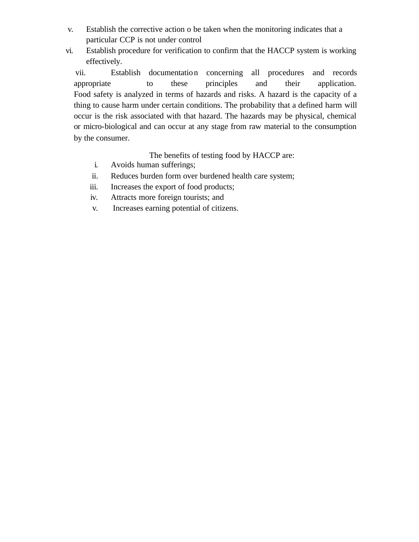- v. Establish the corrective action o be taken when the monitoring indicates that a particular CCP is not under control
- vi. Establish procedure for verification to confirm that the HACCP system is working effectively.

vii. Establish documentation concerning all procedures and records appropriate to these principles and their application. Food safety is analyzed in terms of hazards and risks. A hazard is the capacity of a thing to cause harm under certain conditions. The probability that a defined harm will occur is the risk associated with that hazard. The hazards may be physical, chemical or micro-biological and can occur at any stage from raw material to the consumption by the consumer.

The benefits of testing food by HACCP are:

- i. Avoids human sufferings;
- ii. Reduces burden form over burdened health care system;
- iii. Increases the export of food products;
- iv. Attracts more foreign tourists; and
- v. Increases earning potential of citizens.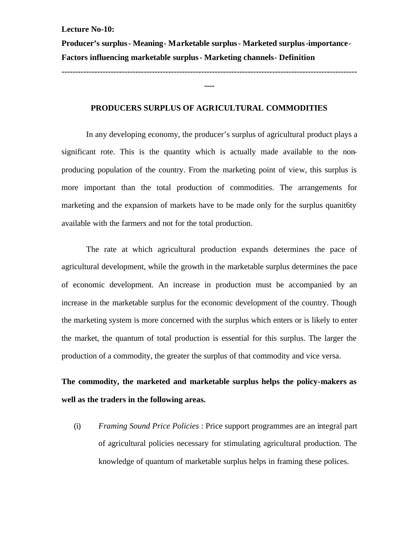**Producer's surplus- Meaning- Marketable surplus- Marketed surplus-importance-Factors influencing marketable surplus- Marketing channels- Definition**

**------------------------------------------------------------------------------------------------------------ ----**

### **PRODUCERS SURPLUS OF AGRICULTURAL COMMODITIES**

In any developing economy, the producer's surplus of agricultural product plays a significant rote. This is the quantity which is actually made available to the nonproducing population of the country. From the marketing point of view, this surplus is more important than the total production of commodities. The arrangements for marketing and the expansion of markets have to be made only for the surplus quanit6ty available with the farmers and not for the total production.

The rate at which agricultural production expands determines the pace of agricultural development, while the growth in the marketable surplus determines the pace of economic development. An increase in production must be accompanied by an increase in the marketable surplus for the economic development of the country. Though the marketing system is more concerned with the surplus which enters or is likely to enter the market, the quantum of total production is essential for this surplus. The larger the production of a commodity, the greater the surplus of that commodity and vice versa.

**The commodity, the marketed and marketable surplus helps the policy-makers as well as the traders in the following areas.**

(i) *Framing Sound Price Policies* : Price support programmes are an integral part of agricultural policies necessary for stimulating agricultural production. The knowledge of quantum of marketable surplus helps in framing these polices.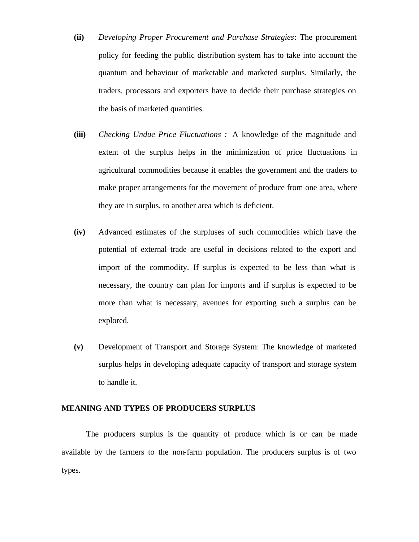- **(ii)** *Developing Proper Procurement and Purchase Strategies*: The procurement policy for feeding the public distribution system has to take into account the quantum and behaviour of marketable and marketed surplus. Similarly, the traders, processors and exporters have to decide their purchase strategies on the basis of marketed quantities.
- **(iii)** *Checking Undue Price Fluctuations :* A knowledge of the magnitude and extent of the surplus helps in the minimization of price fluctuations in agricultural commodities because it enables the government and the traders to make proper arrangements for the movement of produce from one area, where they are in surplus, to another area which is deficient.
- **(iv)** Advanced estimates of the surpluses of such commodities which have the potential of external trade are useful in decisions related to the export and import of the commodity. If surplus is expected to be less than what is necessary, the country can plan for imports and if surplus is expected to be more than what is necessary, avenues for exporting such a surplus can be explored.
- **(v)** Development of Transport and Storage System: The knowledge of marketed surplus helps in developing adequate capacity of transport and storage system to handle it.

## **MEANING AND TYPES OF PRODUCERS SURPLUS**

The producers surplus is the quantity of produce which is or can be made available by the farmers to the non-farm population. The producers surplus is of two types.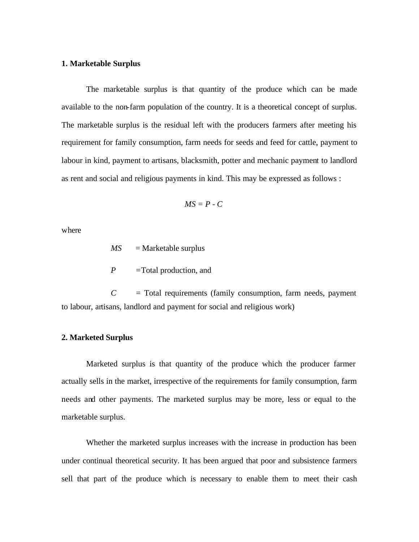### **1. Marketable Surplus**

The marketable surplus is that quantity of the produce which can be made available to the non-farm population of the country. It is a theoretical concept of surplus. The marketable surplus is the residual left with the producers farmers after meeting his requirement for family consumption, farm needs for seeds and feed for cattle, payment to labour in kind, payment to artisans, blacksmith, potter and mechanic payment to landlord as rent and social and religious payments in kind. This may be expressed as follows :

$$
MS = P - C
$$

where

$$
MS = \text{Marketable surplus}
$$

*P =*Total production, and

*C =* Total requirements (family consumption, farm needs, payment to labour, artisans, landlord and payment for social and religious work)

### **2. Marketed Surplus**

Marketed surplus is that quantity of the produce which the producer farmer actually sells in the market, irrespective of the requirements for family consumption, farm needs and other payments. The marketed surplus may be more, less or equal to the marketable surplus.

Whether the marketed surplus increases with the increase in production has been under continual theoretical security. It has been argued that poor and subsistence farmers sell that part of the produce which is necessary to enable them to meet their cash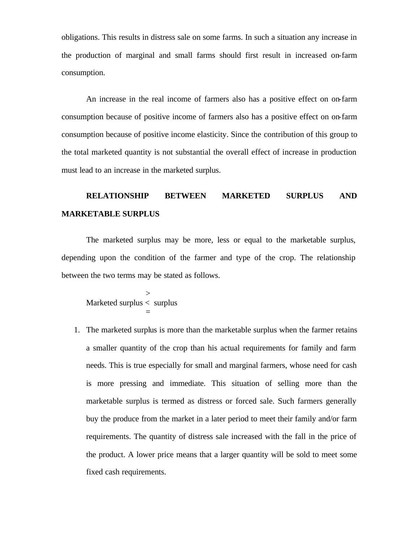obligations. This results in distress sale on some farms. In such a situation any increase in the production of marginal and small farms should first result in increased on-farm consumption.

An increase in the real income of farmers also has a positive effect on on-farm consumption because of positive income of farmers also has a positive effect on on-farm consumption because of positive income elasticity. Since the contribution of this group to the total marketed quantity is not substantial the overall effect of increase in production must lead to an increase in the marketed surplus.

# **RELATIONSHIP BETWEEN MARKETED SURPLUS AND MARKETABLE SURPLUS**

The marketed surplus may be more, less or equal to the marketable surplus, depending upon the condition of the farmer and type of the crop. The relationship between the two terms may be stated as follows.

 $>$ Marketed surplus  $\langle$  surplus  $=$ 

1. The marketed surplus is more than the marketable surplus when the farmer retains a smaller quantity of the crop than his actual requirements for family and farm needs. This is true especially for small and marginal farmers, whose need for cash is more pressing and immediate. This situation of selling more than the marketable surplus is termed as distress or forced sale. Such farmers generally buy the produce from the market in a later period to meet their family and/or farm requirements. The quantity of distress sale increased with the fall in the price of the product. A lower price means that a larger quantity will be sold to meet some fixed cash requirements.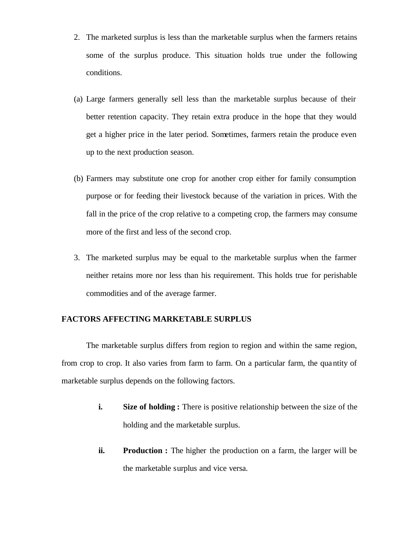- 2. The marketed surplus is less than the marketable surplus when the farmers retains some of the surplus produce. This situation holds true under the following conditions.
- (a) Large farmers generally sell less than the marketable surplus because of their better retention capacity. They retain extra produce in the hope that they would get a higher price in the later period. Sometimes, farmers retain the produce even up to the next production season.
- (b) Farmers may substitute one crop for another crop either for family consumption purpose or for feeding their livestock because of the variation in prices. With the fall in the price of the crop relative to a competing crop, the farmers may consume more of the first and less of the second crop.
- 3. The marketed surplus may be equal to the marketable surplus when the farmer neither retains more nor less than his requirement. This holds true for perishable commodities and of the average farmer.

## **FACTORS AFFECTING MARKETABLE SURPLUS**

The marketable surplus differs from region to region and within the same region, from crop to crop. It also varies from farm to farm. On a particular farm, the quantity of marketable surplus depends on the following factors.

- **i. Size of holding :** There is positive relationship between the size of the holding and the marketable surplus.
- **ii. Production :** The higher the production on a farm, the larger will be the marketable surplus and vice versa.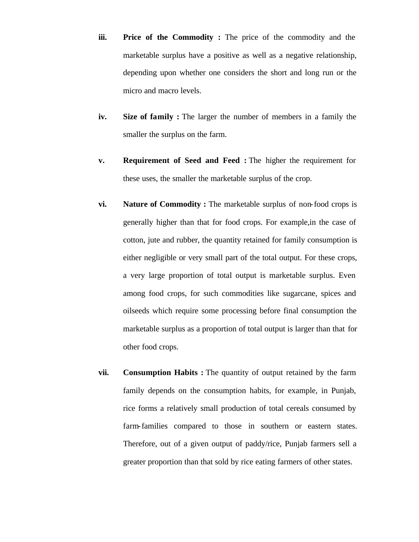- **iii. Price of the Commodity :** The price of the commodity and the marketable surplus have a positive as well as a negative relationship, depending upon whether one considers the short and long run or the micro and macro levels.
- **iv. Size of family :** The larger the number of members in a family the smaller the surplus on the farm.
- **v. Requirement of Seed and Feed :** The higher the requirement for these uses, the smaller the marketable surplus of the crop.
- **vi. Nature of Commodity :** The marketable surplus of non-food crops is generally higher than that for food crops. For example,in the case of cotton, jute and rubber, the quantity retained for family consumption is either negligible or very small part of the total output. For these crops, a very large proportion of total output is marketable surplus. Even among food crops, for such commodities like sugarcane, spices and oilseeds which require some processing before final consumption the marketable surplus as a proportion of total output is larger than that for other food crops.
- **vii. Consumption Habits :** The quantity of output retained by the farm family depends on the consumption habits, for example, in Punjab, rice forms a relatively small production of total cereals consumed by farm-families compared to those in southern or eastern states. Therefore, out of a given output of paddy/rice, Punjab farmers sell a greater proportion than that sold by rice eating farmers of other states.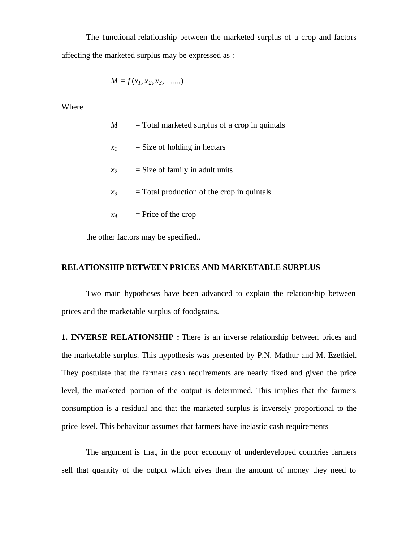The functional relationship between the marketed surplus of a crop and factors affecting the marketed surplus may be expressed as :

$$
M = f(x_1, x_2, x_3, \, \ldots \ldots)
$$

Where

| M               | $=$ Total marketed surplus of a crop in quintals |
|-----------------|--------------------------------------------------|
| $\mathcal{X}$ 1 | $=$ Size of holding in hectars                   |
| $\chi_2$        | $=$ Size of family in adult units                |
| $\chi_3$        | $=$ Total production of the crop in quintals     |
| $x_4$           | $=$ Price of the crop                            |

the other factors may be specified..

## **RELATIONSHIP BETWEEN PRICES AND MARKETABLE SURPLUS**

Two main hypotheses have been advanced to explain the relationship between prices and the marketable surplus of foodgrains.

**1. INVERSE RELATIONSHIP :** There is an inverse relationship between prices and the marketable surplus. This hypothesis was presented by P.N. Mathur and M. Ezetkiel. They postulate that the farmers cash requirements are nearly fixed and given the price level, the marketed portion of the output is determined. This implies that the farmers consumption is a residual and that the marketed surplus is inversely proportional to the price level. This behaviour assumes that farmers have inelastic cash requirements

The argument is that, in the poor economy of underdeveloped countries farmers sell that quantity of the output which gives them the amount of money they need to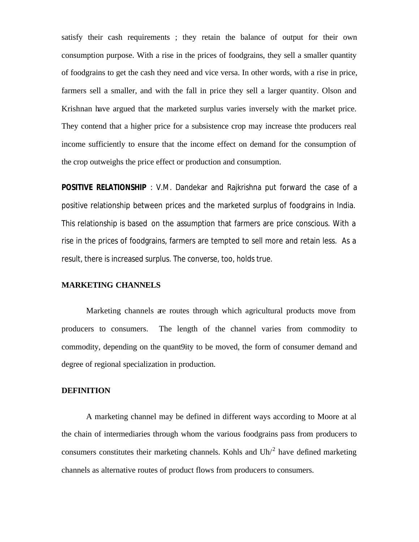satisfy their cash requirements ; they retain the balance of output for their own consumption purpose. With a rise in the prices of foodgrains, they sell a smaller quantity of foodgrains to get the cash they need and vice versa. In other words, with a rise in price, farmers sell a smaller, and with the fall in price they sell a larger quantity. Olson and Krishnan have argued that the marketed surplus varies inversely with the market price. They contend that a higher price for a subsistence crop may increase thte producers real income sufficiently to ensure that the income effect on demand for the consumption of the crop outweighs the price effect or production and consumption.

**POSITIVE RELATIONSHIP** : V.M. Dandekar and Rajkrishna put forward the case of a positive relationship between prices and the marketed surplus of foodgrains in India. This relationship is based on the assumption that farmers are price conscious. With a rise in the prices of foodgrains, farmers are tempted to sell more and retain less. As a result, there is increased surplus. The converse, too, holds true.

### **MARKETING CHANNELS**

Marketing channels are routes through which agricultural products move from producers to consumers. The length of the channel varies from commodity to commodity, depending on the quant9ity to be moved, the form of consumer demand and degree of regional specialization in production.

#### **DEFINITION**

A marketing channel may be defined in different ways according to Moore at al the chain of intermediaries through whom the various foodgrains pass from producers to consumers constitutes their marketing channels. Kohls and  $Uh/2$  have defined marketing channels as alternative routes of product flows from producers to consumers.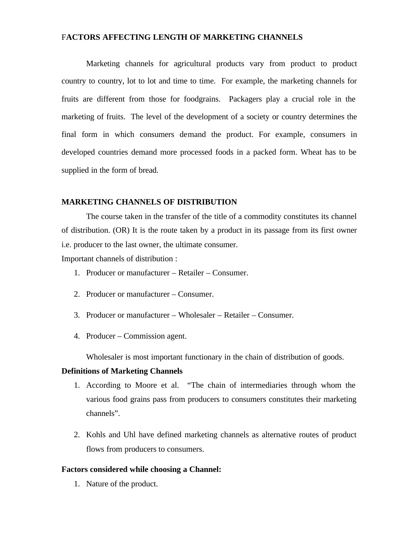### F**ACTORS AFFECTING LENGTH OF MARKETING CHANNELS**

Marketing channels for agricultural products vary from product to product country to country, lot to lot and time to time. For example, the marketing channels for fruits are different from those for foodgrains. Packagers play a crucial role in the marketing of fruits. The level of the development of a society or country determines the final form in which consumers demand the product. For example, consumers in developed countries demand more processed foods in a packed form. Wheat has to be supplied in the form of bread.

### **MARKETING CHANNELS OF DISTRIBUTION**

The course taken in the transfer of the title of a commodity constitutes its channel of distribution. (OR) It is the route taken by a product in its passage from its first owner i.e. producer to the last owner, the ultimate consumer.

Important channels of distribution :

- 1. Producer or manufacturer Retailer Consumer.
- 2. Producer or manufacturer Consumer.
- 3. Producer or manufacturer Wholesaler Retailer Consumer.
- 4. Producer Commission agent.

Wholesaler is most important functionary in the chain of distribution of goods.

### **Definitions of Marketing Channels**

- 1. According to Moore et al. "The chain of intermediaries through whom the various food grains pass from producers to consumers constitutes their marketing channels".
- 2. Kohls and Uhl have defined marketing channels as alternative routes of product flows from producers to consumers.

### **Factors considered while choosing a Channel:**

1. Nature of the product.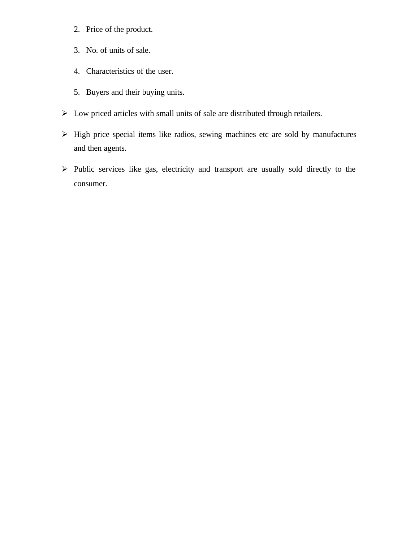- 2. Price of the product.
- 3. No. of units of sale.
- 4. Characteristics of the user.
- 5. Buyers and their buying units.
- $\triangleright$  Low priced articles with small units of sale are distributed through retailers.
- $\triangleright$  High price special items like radios, sewing machines etc are sold by manufactures and then agents.
- ÿ Public services like gas, electricity and transport are usually sold directly to the consumer.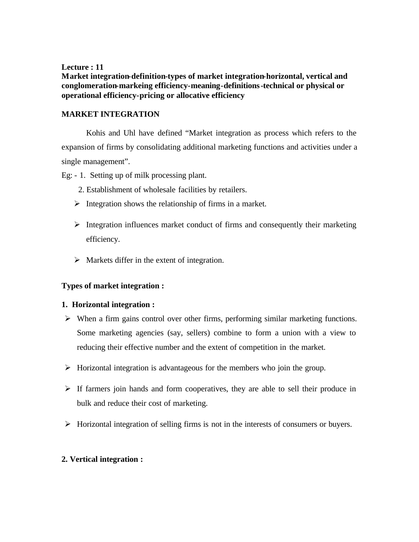## **Lecture : 11**

**Market integration-definition-types of market integration-horizontal, vertical and conglomeration-markeing efficiency-meaning-definitions-technical or physical or operational efficiency-pricing or allocative efficiency**

## **MARKET INTEGRATION**

Kohis and Uhl have defined "Market integration as process which refers to the expansion of firms by consolidating additional marketing functions and activities under a single management".

Eg: - 1. Setting up of milk processing plant.

- 2. Establishment of wholesale facilities by retailers.
- $\triangleright$  Integration shows the relationship of firms in a market.
- $\triangleright$  Integration influences market conduct of firms and consequently their marketing efficiency.
- $\triangleright$  Markets differ in the extent of integration.

## **Types of market integration :**

## **1. Horizontal integration :**

- $\triangleright$  When a firm gains control over other firms, performing similar marketing functions. Some marketing agencies (say, sellers) combine to form a union with a view to reducing their effective number and the extent of competition in the market.
- $\triangleright$  Horizontal integration is advantageous for the members who join the group.
- $\triangleright$  If farmers join hands and form cooperatives, they are able to sell their produce in bulk and reduce their cost of marketing.
- $\triangleright$  Horizontal integration of selling firms is not in the interests of consumers or buyers.

# **2. Vertical integration :**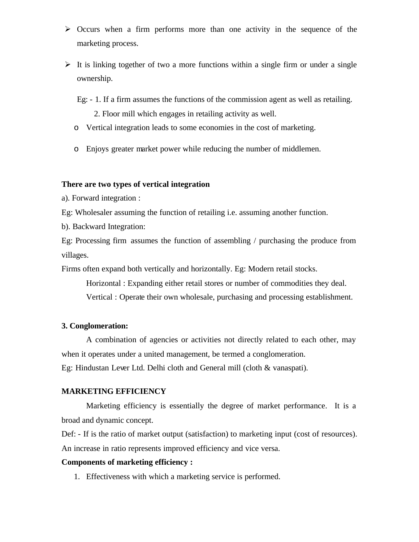- $\geq$  Occurs when a firm performs more than one activity in the sequence of the marketing process.
- $\triangleright$  It is linking together of two a more functions within a single firm or under a single ownership.
	- Eg: 1. If a firm assumes the functions of the commission agent as well as retailing.

2. Floor mill which engages in retailing activity as well.

- o Vertical integration leads to some economies in the cost of marketing.
- o Enjoys greater market power while reducing the number of middlemen.

# **There are two types of vertical integration**

a). Forward integration :

Eg: Wholesaler assuming the function of retailing i.e. assuming another function.

b). Backward Integration:

Eg: Processing firm assumes the function of assembling / purchasing the produce from villages.

Firms often expand both vertically and horizontally. Eg: Modern retail stocks.

Horizontal : Expanding either retail stores or number of commodities they deal.

Vertical : Operate their own wholesale, purchasing and processing establishment.

# **3. Conglomeration:**

A combination of agencies or activities not directly related to each other, may when it operates under a united management, be termed a conglomeration.

Eg: Hindustan Lever Ltd. Delhi cloth and General mill (cloth & vanaspati).

# **MARKETING EFFICIENCY**

Marketing efficiency is essentially the degree of market performance. It is a broad and dynamic concept.

Def: - If is the ratio of market output (satisfaction) to marketing input (cost of resources).

An increase in ratio represents improved efficiency and vice versa.

# **Components of marketing efficiency :**

1. Effectiveness with which a marketing service is performed.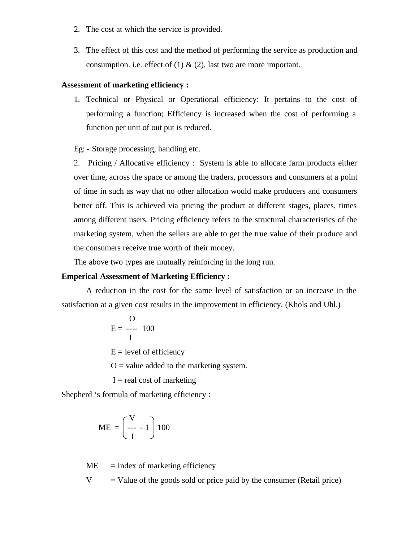- 2. The cost at which the service is provided.
- 3. The effect of this cost and the method of performing the service as production and consumption. i.e. effect of (1)  $\&$  (2), last two are more important.

### **Assessment of marketing efficiency :**

1. Technical or Physical or Operational efficiency: It pertains to the cost of performing a function; Efficiency is increased when the cost of performing a function per unit of out put is reduced.

Eg: - Storage processing, handling etc.

2. Pricing / Allocative efficiency : System is able to allocate farm products either over time, across the space or among the traders, processors and consumers at a point of time in such as way that no other allocation would make producers and consumers better off. This is achieved via pricing the product at different stages, places, times among different users. Pricing efficiency refers to the structural characteristics of the marketing system, when the sellers are able to get the true value of their produce and the consumers receive true worth of their money.

The above two types are mutually reinforcing in the long run.

## **Emperical Assessment of Marketing Efficiency :**

A reduction in the cost for the same level of satisfaction or an increase in the satisfaction at a given cost results in the improvement in efficiency. (Khols and Uhl.)

$$
E = \frac{O}{I} = 100
$$

 $E = level of efficiency$ 

 $O =$  value added to the marketing system.

 $I =$  real cost of marketing

Shepherd 's formula of marketing efficiency :

$$
ME = \begin{pmatrix} V \\ -- & -1 \\ I \end{pmatrix} 100
$$

 $ME = Index of marketing efficiency$ 

 $V =$  Value of the goods sold or price paid by the consumer (Retail price)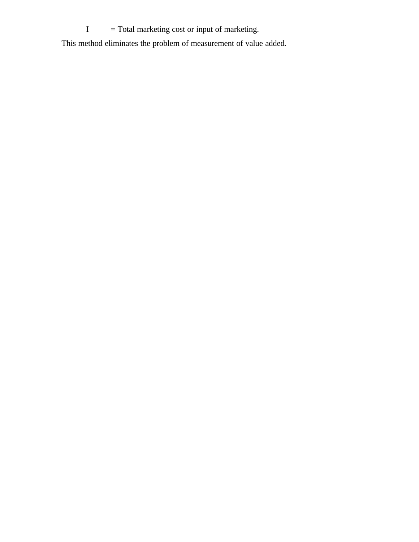$I = Total marketing cost or input of marketing.$ 

This method eliminates the problem of measurement of value added.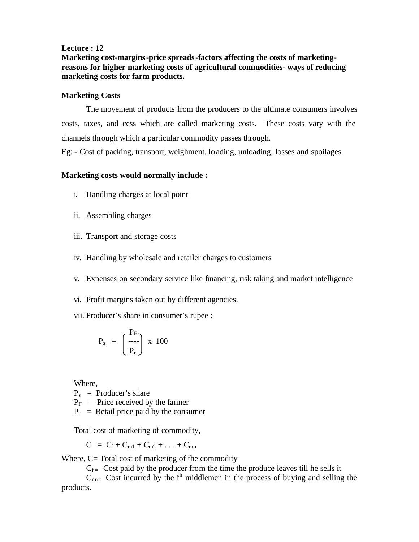### **Lecture : 12**

**Marketing cost-margins-price spreads-factors affecting the costs of marketingreasons for higher marketing costs of agricultural commodities- ways of reducing marketing costs for farm products.**

## **Marketing Costs**

The movement of products from the producers to the ultimate consumers involves costs, taxes, and cess which are called marketing costs. These costs vary with the channels through which a particular commodity passes through.

Eg: - Cost of packing, transport, weighment, loading, unloading, losses and spoilages.

## **Marketing costs would normally include :**

- i. Handling charges at local point
- ii. Assembling charges
- iii. Transport and storage costs
- iv. Handling by wholesale and retailer charges to customers
- v. Expenses on secondary service like financing, risk taking and market intelligence
- vi. Profit margins taken out by different agencies.
- vii. Producer's share in consumer's rupee :

$$
P_s = \begin{pmatrix} P_F \\ \frac{---}{P_r} \end{pmatrix} \times 100
$$

Where,

 $P_s$  = Producer's share

 $P_F$  = Price received by the farmer

 $P_r$  = Retail price paid by the consumer

Total cost of marketing of commodity,

 $C = C_f + C_{m1} + C_{m2} + \ldots + C_{mn}$ 

Where,  $C = Total cost of marketing of the commodity$ 

 $C_f$  Cost paid by the producer from the time the produce leaves till he sells it

 $C_{\text{mis}}$  Cost incurred by the  $i^h$  middlemen in the process of buying and selling the products.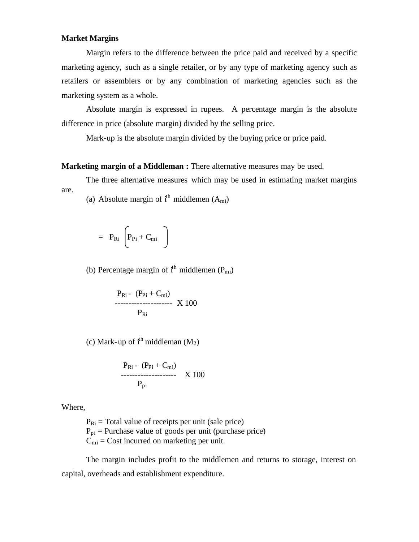## **Market Margins**

Margin refers to the difference between the price paid and received by a specific marketing agency, such as a single retailer, or by any type of marketing agency such as retailers or assemblers or by any combination of marketing agencies such as the marketing system as a whole.

Absolute margin is expressed in rupees. A percentage margin is the absolute difference in price (absolute margin) divided by the selling price.

Mark-up is the absolute margin divided by the buying price or price paid.

**Marketing margin of a Middleman :** There alternative measures may be used.

The three alternative measures which may be used in estimating market margins are.

(a) Absolute margin of  $i^{\text{th}}$  middlemen  $(A_{\text{mi}})$ 

$$
=\ P_{Ri}\ \left[P_{Pi}+C_{mi}\ \right]
$$

(b) Percentage margin of  $i<sup>th</sup>$  middlemen (P<sub>mi</sub>)

$$
\begin{array}{cc}\nP_{\text{Ri}} - (P_{\text{Pi}} + C_{\text{mi}}) \\
 & \dots \\
 & P_{\text{Ri}}\n\end{array}\n\quad X 100
$$

(c) Mark-up of  $i^{\text{th}}$  middleman (M<sub>2</sub>)

$$
\begin{array}{cc}\nP_{\text{Ri}} - (P_{\text{Pi}} + C_{\text{mi}}) \\
- \cdots \\
P_{\text{pi}} & X 100\n\end{array}
$$

Where,

 $P_{\text{Ri}}$  = Total value of receipts per unit (sale price)  $P_{pi}$  = Purchase value of goods per unit (purchase price)  $C_{\text{mi}}$  = Cost incurred on marketing per unit.

The margin includes profit to the middlemen and returns to storage, interest on capital, overheads and establishment expenditure.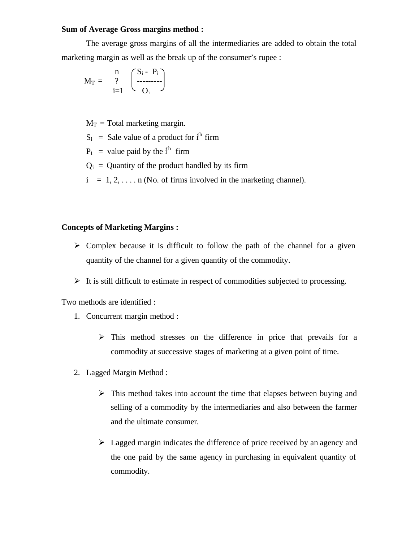### **Sum of Average Gross margins method :**

The average gross margins of all the intermediaries are added to obtain the total marketing margin as well as the break up of the consumer's rupee :

$$
M_T = \begin{array}{c} n \\ ? \\ i=1 \end{array} \begin{pmatrix} S_i - P_i \\ \hline O_i \end{pmatrix}
$$

 $M_T$  = Total marketing margin.

 $S_i$  = Sale value of a product for i<sup>th</sup> firm

 $P_i$  = value paid by the i<sup>th</sup> firm

- $Q_i$  = Quantity of the product handled by its firm
- $i = 1, 2, \ldots$  n (No. of firms involved in the marketing channel).

# **Concepts of Marketing Margins :**

- $\triangleright$  Complex because it is difficult to follow the path of the channel for a given quantity of the channel for a given quantity of the commodity.
- $\triangleright$  It is still difficult to estimate in respect of commodities subjected to processing.

Two methods are identified :

- 1. Concurrent margin method :
	- $\triangleright$  This method stresses on the difference in price that prevails for a commodity at successive stages of marketing at a given point of time.
- 2. Lagged Margin Method :
	- $\triangleright$  This method takes into account the time that elapses between buying and selling of a commodity by the intermediaries and also between the farmer and the ultimate consumer.
	- $\triangleright$  Lagged margin indicates the difference of price received by an agency and the one paid by the same agency in purchasing in equivalent quantity of commodity.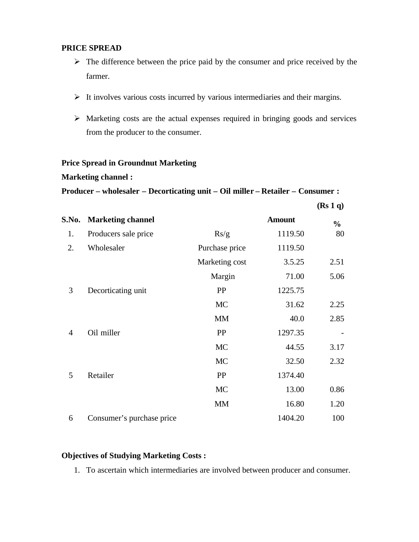# **PRICE SPREAD**

- $\triangleright$  The difference between the price paid by the consumer and price received by the farmer.
- $\triangleright$  It involves various costs incurred by various intermediaries and their margins.
- $\triangleright$  Marketing costs are the actual expenses required in bringing goods and services from the producer to the consumer.

**(Rs 1 q)**

### **Price Spread in Groundnut Marketing**

### **Marketing channel :**

**Producer – wholesaler – Decorticating unit – Oil miller – Retailer – Consumer :** 

|       |                           |                |               | (44.4)        |
|-------|---------------------------|----------------|---------------|---------------|
| S.No. | <b>Marketing channel</b>  |                | <b>Amount</b> | $\frac{0}{0}$ |
| 1.    | Producers sale price      | Rs/g           | 1119.50       | 80            |
| 2.    | Wholesaler                | Purchase price | 1119.50       |               |
|       |                           | Marketing cost | 3.5.25        | 2.51          |
|       |                           | Margin         | 71.00         | 5.06          |
| 3     | Decorticating unit        | PP             | 1225.75       |               |
|       |                           | <b>MC</b>      | 31.62         | 2.25          |
|       |                           | <b>MM</b>      | 40.0          | 2.85          |
| 4     | Oil miller                | PP             | 1297.35       |               |
|       |                           | <b>MC</b>      | 44.55         | 3.17          |
|       |                           | <b>MC</b>      | 32.50         | 2.32          |
| 5     | Retailer                  | PP             | 1374.40       |               |
|       |                           | MC             | 13.00         | 0.86          |
|       |                           | <b>MM</b>      | 16.80         | 1.20          |
| 6     | Consumer's purchase price |                | 1404.20       | 100           |

### **Objectives of Studying Marketing Costs :**

1. To ascertain which intermediaries are involved between producer and consumer.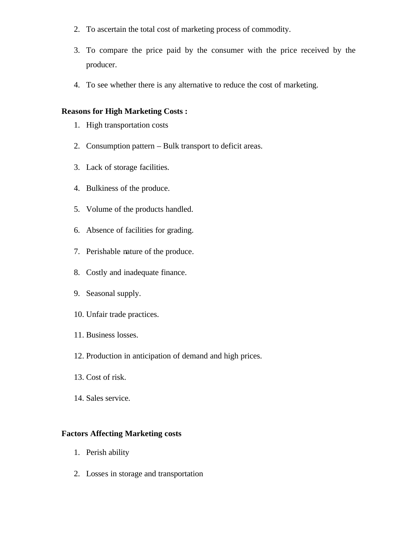- 2. To ascertain the total cost of marketing process of commodity.
- 3. To compare the price paid by the consumer with the price received by the producer.
- 4. To see whether there is any alternative to reduce the cost of marketing.

# **Reasons for High Marketing Costs :**

- 1. High transportation costs
- 2. Consumption pattern Bulk transport to deficit areas.
- 3. Lack of storage facilities.
- 4. Bulkiness of the produce.
- 5. Volume of the products handled.
- 6. Absence of facilities for grading.
- 7. Perishable nature of the produce.
- 8. Costly and inadequate finance.
- 9. Seasonal supply.
- 10. Unfair trade practices.
- 11. Business losses.
- 12. Production in anticipation of demand and high prices.
- 13. Cost of risk.
- 14. Sales service.

### **Factors Affecting Marketing costs**

- 1. Perish ability
- 2. Losses in storage and transportation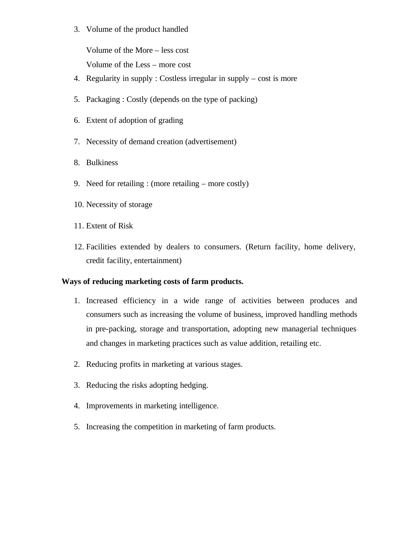3. Volume of the product handled

Volume of the More – less cost Volume of the Less – more cost

- 4. Regularity in supply : Costless irregular in supply cost is more
- 5. Packaging : Costly (depends on the type of packing)
- 6. Extent of adoption of grading
- 7. Necessity of demand creation (advertisement)
- 8. Bulkiness
- 9. Need for retailing : (more retailing more costly)
- 10. Necessity of storage
- 11. Extent of Risk
- 12. Facilities extended by dealers to consumers. (Return facility, home delivery, credit facility, entertainment)

# **Ways of reducing marketing costs of farm products.**

- 1. Increased efficiency in a wide range of activities between produces and consumers such as increasing the volume of business, improved handling methods in pre-packing, storage and transportation, adopting new managerial techniques and changes in marketing practices such as value addition, retailing etc.
- 2. Reducing profits in marketing at various stages.
- 3. Reducing the risks adopting hedging.
- 4. Improvements in marketing intelligence.
- 5. Increasing the competition in marketing of farm products.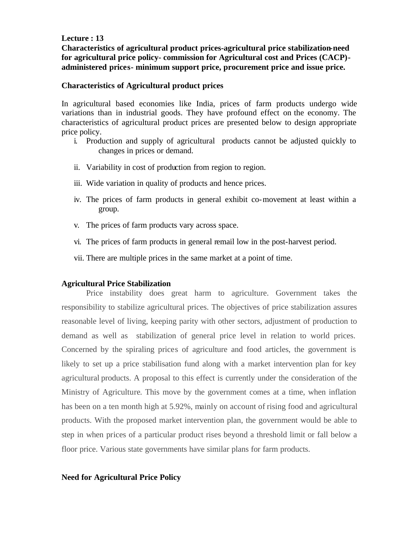# **Lecture : 13**

**Characteristics of agricultural product prices-agricultural price stabilization-need for agricultural price policy- commission for Agricultural cost and Prices (CACP) administered prices- minimum support price, procurement price and issue price.**

### **Characteristics of Agricultural product prices**

In agricultural based economies like India, prices of farm products undergo wide variations than in industrial goods. They have profound effect on the economy. The characteristics of agricultural product prices are presented below to design appropriate price policy.

- i. Production and supply of agricultural products cannot be adjusted quickly to changes in prices or demand.
- ii. Variability in cost of production from region to region.
- iii. Wide variation in quality of products and hence prices.
- iv. The prices of farm products in general exhibit co-movement at least within a group.
- v. The prices of farm products vary across space.
- vi. The prices of farm products in general remail low in the post-harvest period.
- vii. There are multiple prices in the same market at a point of time.

### **Agricultural Price Stabilization**

Price instability does great harm to agriculture. Government takes the responsibility to stabilize agricultural prices. The objectives of price stabilization assures reasonable level of living, keeping parity with other sectors, adjustment of production to demand as well as stabilization of general price level in relation to world prices. Concerned by the spiraling prices of agriculture and food articles, the government is likely to set up a price stabilisation fund along with a market intervention plan for key agricultural products. A proposal to this effect is currently under the consideration of the Ministry of Agriculture. This move by the government comes at a time, when inflation has been on a ten month high at 5.92%, mainly on account of rising food and agricultural products. With the proposed market intervention plan, the government would be able to step in when prices of a particular product rises beyond a threshold limit or fall below a floor price. Various state governments have similar plans for farm products.

### **Need for Agricultural Price Policy**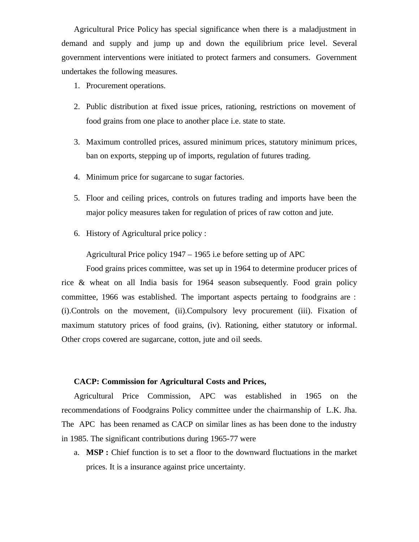Agricultural Price Policy has special significance when there is a maladjustment in demand and supply and jump up and down the equilibrium price level. Several government interventions were initiated to protect farmers and consumers. Government undertakes the following measures.

- 1. Procurement operations.
- 2. Public distribution at fixed issue prices, rationing, restrictions on movement of food grains from one place to another place i.e. state to state.
- 3. Maximum controlled prices, assured minimum prices, statutory minimum prices, ban on exports, stepping up of imports, regulation of futures trading.
- 4. Minimum price for sugarcane to sugar factories.
- 5. Floor and ceiling prices, controls on futures trading and imports have been the major policy measures taken for regulation of prices of raw cotton and jute.
- 6. History of Agricultural price policy :

Agricultural Price policy 1947 – 1965 i.e before setting up of APC

Food grains prices committee, was set up in 1964 to determine producer prices of rice & wheat on all India basis for 1964 season subsequently. Food grain policy committee, 1966 was established. The important aspects pertaing to foodgrains are : (i).Controls on the movement, (ii).Compulsory levy procurement (iii). Fixation of maximum statutory prices of food grains, (iv). Rationing, either statutory or informal. Other crops covered are sugarcane, cotton, jute and oil seeds.

### **CACP: Commission for Agricultural Costs and Prices,**

Agricultural Price Commission, APC was established in 1965 on the recommendations of Foodgrains Policy committee under the chairmanship of L.K. Jha. The APC has been renamed as CACP on similar lines as has been done to the industry in 1985. The significant contributions during 1965-77 were

a. **MSP :** Chief function is to set a floor to the downward fluctuations in the market prices. It is a insurance against price uncertainty.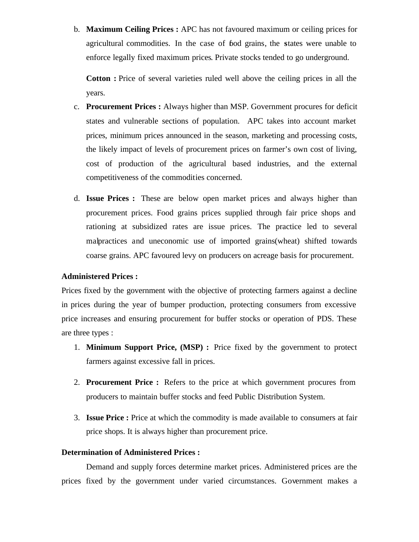b. **Maximum Ceiling Prices :** APC has not favoured maximum or ceiling prices for agricultural commodities. In the case of food grains, the **s**tates were unable to enforce legally fixed maximum prices. Private stocks tended to go underground.

**Cotton :** Price of several varieties ruled well above the ceiling prices in all the years.

- c. **Procurement Prices :** Always higher than MSP. Government procures for deficit states and vulnerable sections of population. APC takes into account market prices, minimum prices announced in the season, marketing and processing costs, the likely impact of levels of procurement prices on farmer's own cost of living, cost of production of the agricultural based industries, and the external competitiveness of the commodities concerned.
- d. **Issue Prices :** These are below open market prices and always higher than procurement prices. Food grains prices supplied through fair price shops and rationing at subsidized rates are issue prices. The practice led to several malpractices and uneconomic use of imported grains(wheat) shifted towards coarse grains. APC favoured levy on producers on acreage basis for procurement.

### **Administered Prices :**

Prices fixed by the government with the objective of protecting farmers against a decline in prices during the year of bumper production, protecting consumers from excessive price increases and ensuring procurement for buffer stocks or operation of PDS. These are three types :

- 1. **Minimum Support Price, (MSP) :** Price fixed by the government to protect farmers against excessive fall in prices.
- 2. **Procurement Price :** Refers to the price at which government procures from producers to maintain buffer stocks and feed Public Distribution System.
- 3. **Issue Price :** Price at which the commodity is made available to consumers at fair price shops. It is always higher than procurement price.

### **Determination of Administered Prices :**

Demand and supply forces determine market prices. Administered prices are the prices fixed by the government under varied circumstances. Government makes a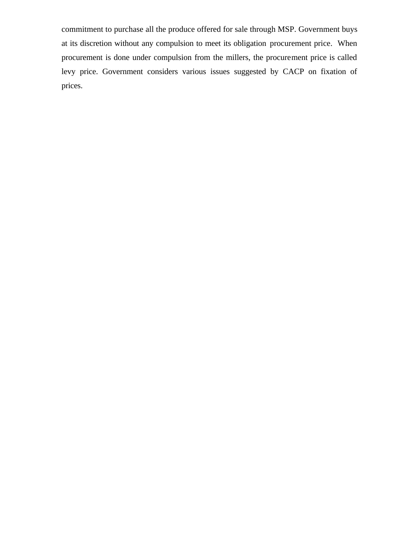commitment to purchase all the produce offered for sale through MSP. Government buys at its discretion without any compulsion to meet its obligation procurement price. When procurement is done under compulsion from the millers, the procurement price is called levy price. Government considers various issues suggested by CACP on fixation of prices.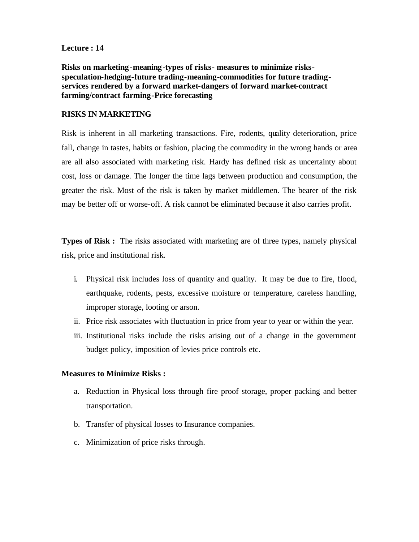### **Lecture : 14**

**Risks on marketing-meaning-types of risks- measures to minimize risksspeculation-hedging-future trading-meaning-commodities for future tradingservices rendered by a forward market-dangers of forward market-contract farming/contract farming-Price forecasting**

# **RISKS IN MARKETING**

Risk is inherent in all marketing transactions. Fire, rodents, quality deterioration, price fall, change in tastes, habits or fashion, placing the commodity in the wrong hands or area are all also associated with marketing risk. Hardy has defined risk as uncertainty about cost, loss or damage. The longer the time lags between production and consumption, the greater the risk. Most of the risk is taken by market middlemen. The bearer of the risk may be better off or worse-off. A risk cannot be eliminated because it also carries profit.

**Types of Risk :** The risks associated with marketing are of three types, namely physical risk, price and institutional risk.

- i. Physical risk includes loss of quantity and quality. It may be due to fire, flood, earthquake, rodents, pests, excessive moisture or temperature, careless handling, improper storage, looting or arson.
- ii. Price risk associates with fluctuation in price from year to year or within the year.
- iii. Institutional risks include the risks arising out of a change in the government budget policy, imposition of levies price controls etc.

# **Measures to Minimize Risks :**

- a. Reduction in Physical loss through fire proof storage, proper packing and better transportation.
- b. Transfer of physical losses to Insurance companies.
- c. Minimization of price risks through.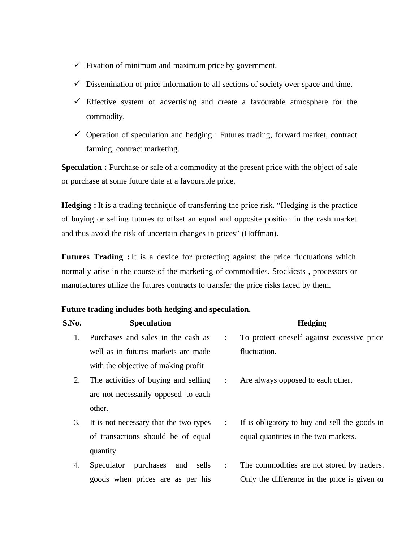- $\checkmark$  Fixation of minimum and maximum price by government.
- $\checkmark$  Dissemination of price information to all sections of society over space and time.
- $\checkmark$  Effective system of advertising and create a favourable atmosphere for the commodity.
- $\checkmark$  Operation of speculation and hedging : Futures trading, forward market, contract farming, contract marketing.

**Speculation :** Purchase or sale of a commodity at the present price with the object of sale or purchase at some future date at a favourable price.

**Hedging :** It is a trading technique of transferring the price risk. "Hedging is the practice of buying or selling futures to offset an equal and opposite position in the cash market and thus avoid the risk of uncertain changes in prices" (Hoffman).

**Futures Trading :** It is a device for protecting against the price fluctuations which normally arise in the course of the marketing of commodities. Stockicsts , processors or manufactures utilize the futures contracts to transfer the price risks faced by them.

### **Future trading includes both hedging and speculation.**

| S.No. | <b>Speculation</b>                     |                       | <b>Hedging</b>                                |
|-------|----------------------------------------|-----------------------|-----------------------------------------------|
| 1.    | Purchases and sales in the cash as     | $\ddot{\phantom{0}}$  | To protect oneself against excessive price    |
|       | well as in futures markets are made    |                       | fluctuation.                                  |
|       | with the objective of making profit    |                       |                                               |
| 2.    | The activities of buying and selling   | $\langle 1 \rangle$ . | Are always opposed to each other.             |
|       | are not necessarily opposed to each    |                       |                                               |
|       | other.                                 |                       |                                               |
| 3.    | It is not necessary that the two types | $\ddot{\phantom{a}}$  | If is obligatory to buy and sell the goods in |
|       | of transactions should be of equal     |                       | equal quantities in the two markets.          |
|       | quantity.                              |                       |                                               |
| 4.    | purchases<br>and sells<br>Speculator   | $\ddot{\phantom{a}}$  | The commodities are not stored by traders.    |
|       | goods when prices are as per his       |                       | Only the difference in the price is given or  |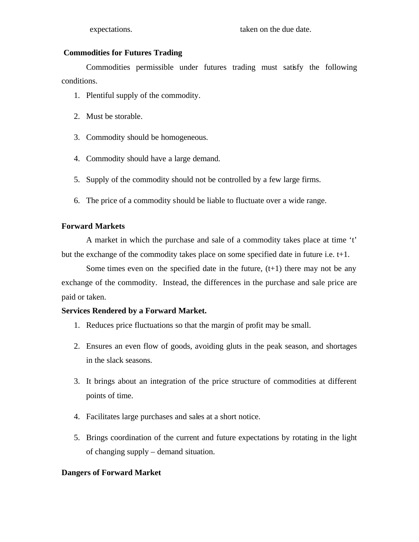expectations. taken on the due date.

# **Commodities for Futures Trading**

Commodities permissible under futures trading must satisfy the following conditions.

- 1. Plentiful supply of the commodity.
- 2. Must be storable.
- 3. Commodity should be homogeneous.
- 4. Commodity should have a large demand.
- 5. Supply of the commodity should not be controlled by a few large firms.
- 6. The price of a commodity should be liable to fluctuate over a wide range.

# **Forward Markets**

A market in which the purchase and sale of a commodity takes place at time 't' but the exchange of the commodity takes place on some specified date in future i.e. t+1.

Some times even on the specified date in the future,  $(t+1)$  there may not be any exchange of the commodity. Instead, the differences in the purchase and sale price are paid or taken.

# **Services Rendered by a Forward Market.**

- 1. Reduces price fluctuations so that the margin of profit may be small.
- 2. Ensures an even flow of goods, avoiding gluts in the peak season, and shortages in the slack seasons.
- 3. It brings about an integration of the price structure of commodities at different points of time.
- 4. Facilitates large purchases and sales at a short notice.
- 5. Brings coordination of the current and future expectations by rotating in the light of changing supply – demand situation.

# **Dangers of Forward Market**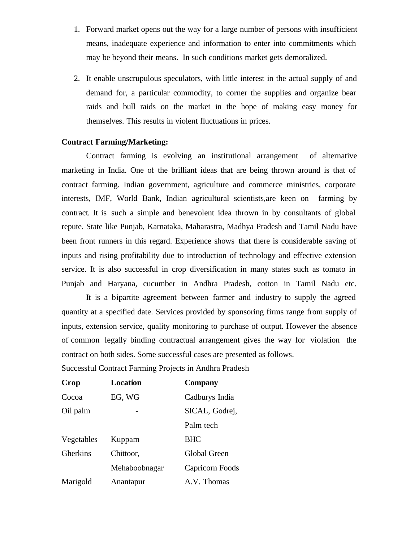- 1. Forward market opens out the way for a large number of persons with insufficient means, inadequate experience and information to enter into commitments which may be beyond their means. In such conditions market gets demoralized.
- 2. It enable unscrupulous speculators, with little interest in the actual supply of and demand for, a particular commodity, to corner the supplies and organize bear raids and bull raids on the market in the hope of making easy money for themselves. This results in violent fluctuations in prices.

# **Contract Farming/Marketing:**

Contract farming is evolving an institutional arrangement of alternative marketing in India. One of the brilliant ideas that are being thrown around is that of contract farming. Indian government, agriculture and commerce ministries, corporate interests, IMF, World Bank, Indian agricultural scientists,are keen on farming by contract. It is such a simple and benevolent idea thrown in by consultants of global repute. State like Punjab, Karnataka, Maharastra, Madhya Pradesh and Tamil Nadu have been front runners in this regard. Experience shows that there is considerable saving of inputs and rising profitability due to introduction of technology and effective extension service. It is also successful in crop diversification in many states such as tomato in Punjab and Haryana, cucumber in Andhra Pradesh, cotton in Tamil Nadu etc.

It is a bipartite agreement between farmer and industry to supply the agreed quantity at a specified date. Services provided by sponsoring firms range from supply of inputs, extension service, quality monitoring to purchase of output. However the absence of common legally binding contractual arrangement gives the way for violation the contract on both sides. Some successful cases are presented as follows.

| Successful Contract Farming Projects in Andhra Pradesh |  |  |  |
|--------------------------------------------------------|--|--|--|
|--------------------------------------------------------|--|--|--|

| Crop            | <b>Location</b> | <b>Company</b>  |
|-----------------|-----------------|-----------------|
| Cocoa           | EG, WG          | Cadburys India  |
| Oil palm        |                 | SICAL, Godrej,  |
|                 |                 | Palm tech       |
| Vegetables      | Kuppam          | <b>BHC</b>      |
| <b>Gherkins</b> | Chittoor,       | Global Green    |
|                 | Mehaboobnagar   | Capricorn Foods |
| Marigold        | Anantapur       | A.V. Thomas     |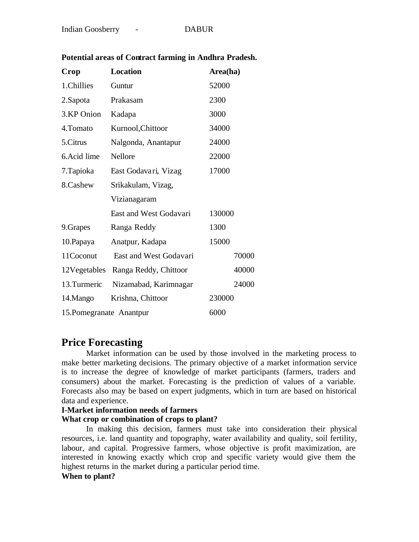| Indian Goosberry | <b>DABUR</b> |
|------------------|--------------|
|                  |              |

| Crop                                  | <b>Location</b>        | Area(ha) |
|---------------------------------------|------------------------|----------|
| 1.Chillies                            | Guntur                 | 52000    |
| 2.Sapota                              | Prakasam               | 2300     |
| 3.KP Onion                            | Kadapa                 | 3000     |
| 4.Tomato                              | Kurnool, Chittoor      | 34000    |
| 5.Citrus                              | Nalgonda, Anantapur    | 24000    |
| 6. Acid lime                          | Nellore                | 22000    |
| 7. Tapioka                            | East Godavari, Vizag   | 17000    |
| 8.Cashew                              | Srikakulam, Vizag,     |          |
|                                       | Vizianagaram           |          |
|                                       | East and West Godavari | 130000   |
| 9. Grapes                             | Ranga Reddy            | 1300     |
| 10. Papaya                            | Anatpur, Kadapa        | 15000    |
| 11Coconut                             | East and West Godavari | 70000    |
| 12Vegetables<br>Ranga Reddy, Chittoor |                        | 40000    |
| 13.Turmeric<br>Nizamabad, Karimnagar  |                        | 24000    |
| 14. Mango<br>Krishna, Chittoor        |                        | 230000   |
| 15. Pomegranate Anantpur              | 6000                   |          |

# **Potential areas of Contract farming in Andhra Pradesh.**

# **Price Forecasting**

Market information can be used by those involved in the marketing process to make better marketing decisions. The primary objective of a market information service is to increase the degree of knowledge of market participants (farmers, traders and consumers) about the market. Forecasting is the prediction of values of a variable. Forecasts also may be based on expert judgments, which in turn are based on historical data and experience.

# **I-Market information needs of farmers**

# **What crop or combination of crops to plant?**

In making this decision, farmers must take into consideration their physical resources, i.e. land quantity and topography, water availability and quality, soil fertility, labour, and capital. Progressive farmers, whose objective is profit maximization, are interested in knowing exactly which crop and specific variety would give them the highest returns in the market during a particular period time.

# **When to plant?**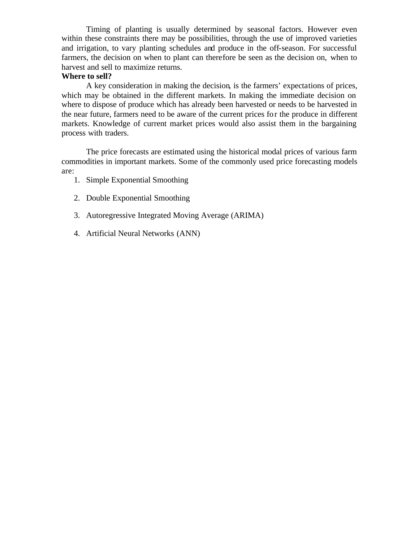Timing of planting is usually determined by seasonal factors. However even within these constraints there may be possibilities, through the use of improved varieties and irrigation, to vary planting schedules and produce in the off-season. For successful farmers, the decision on when to plant can therefore be seen as the decision on, when to harvest and sell to maximize returns.

# **Where to sell?**

A key consideration in making the decision, is the farmers' expectations of prices, which may be obtained in the different markets. In making the immediate decision on where to dispose of produce which has already been harvested or needs to be harvested in the near future, farmers need to be aware of the current prices for the produce in different markets. Knowledge of current market prices would also assist them in the bargaining process with traders.

The price forecasts are estimated using the historical modal prices of various farm commodities in important markets. Some of the commonly used price forecasting models are:

- 1. Simple Exponential Smoothing
- 2. Double Exponential Smoothing
- 3. Autoregressive Integrated Moving Average (ARIMA)
- 4. Artificial Neural Networks (ANN)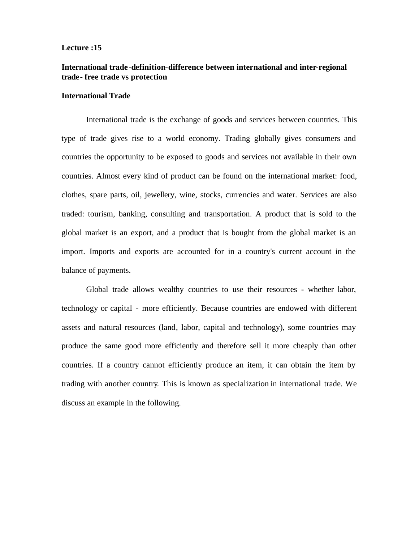### **Lecture :15**

# **International trade -definition-difference between international and inter-regional trade- free trade vs protection**

### **International Trade**

International trade is the exchange of goods and services between countries. This type of trade gives rise to a world economy. Trading globally gives consumers and countries the opportunity to be exposed to goods and services not available in their own countries. Almost every kind of product can be found on the international market: food, clothes, spare parts, oil, jewellery, wine, stocks, currencies and water. Services are also traded: tourism, banking, consulting and transportation. A product that is sold to the global market is an export, and a product that is bought from the global market is an import. Imports and exports are accounted for in a country's current account in the balance of payments.

Global trade allows wealthy countries to use their resources - whether labor, technology or capital - more efficiently. Because countries are endowed with different assets and natural resources (land, labor, capital and technology), some countries may produce the same good more efficiently and therefore sell it more cheaply than other countries. If a country cannot efficiently produce an item, it can obtain the item by trading with another country. This is known as specialization in international trade. We discuss an example in the following.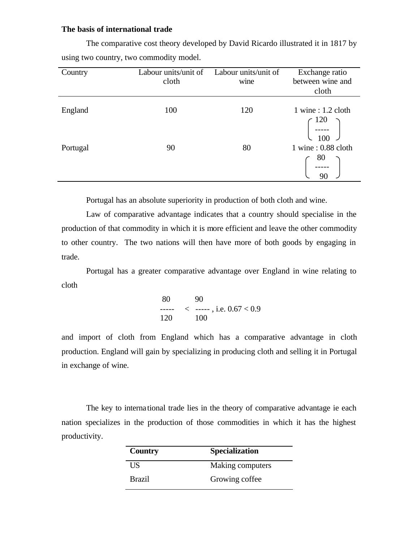#### **The basis of international trade**

| The comparative cost theory developed by David Ricardo illustrated it in 1817 by |  |
|----------------------------------------------------------------------------------|--|
| using two country, two commodity model.                                          |  |

| Country  | Labour units/unit of<br>cloth | Labour units/unit of<br>wine | Exchange ratio<br>between wine and<br>cloth |
|----------|-------------------------------|------------------------------|---------------------------------------------|
|          |                               |                              |                                             |
| England  | 100                           | 120                          | $1$ wine : $1.2$ cloth<br>120               |
| Portugal | 90                            | 80                           | 100<br>$1$ wine: $0.88$ cloth<br>80<br>90   |

Portugal has an absolute superiority in production of both cloth and wine.

Law of comparative advantage indicates that a country should specialise in the production of that commodity in which it is more efficient and leave the other commodity to other country. The two nations will then have more of both goods by engaging in trade.

Portugal has a greater comparative advantage over England in wine relating to cloth

80 90  
\n
$$
\frac{1}{20}
$$
  $\frac{90}{100}$ , i.e. 0.67 < 0.9

and import of cloth from England which has a comparative advantage in cloth production. England will gain by specializing in producing cloth and selling it in Portugal in exchange of wine.

The key to international trade lies in the theory of comparative advantage ie each nation specializes in the production of those commodities in which it has the highest productivity.

| Country | <b>Specialization</b> |
|---------|-----------------------|
| I IS    | Making computers      |
| Brazil  | Growing coffee        |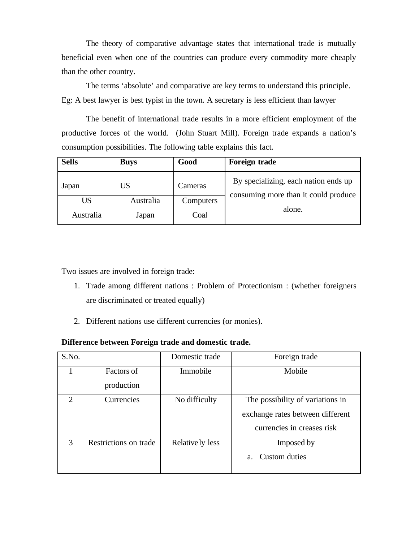The theory of comparative advantage states that international trade is mutually beneficial even when one of the countries can produce every commodity more cheaply than the other country.

The terms 'absolute' and comparative are key terms to understand this principle. Eg: A best lawyer is best typist in the town. A secretary is less efficient than lawyer

The benefit of international trade results in a more efficient employment of the productive forces of the world. (John Stuart Mill). Foreign trade expands a nation's consumption possibilities. The following table explains this fact.

| <b>Sells</b> | <b>Buys</b> | Good      | Foreign trade                                                                |
|--------------|-------------|-----------|------------------------------------------------------------------------------|
| Japan        | <b>US</b>   | Cameras   | By specializing, each nation ends up<br>consuming more than it could produce |
| US           | Australia   | Computers | alone.                                                                       |
| Australia    | Japan       | Coal      |                                                                              |

Two issues are involved in foreign trade:

- 1. Trade among different nations : Problem of Protectionism : (whether foreigners are discriminated or treated equally)
- 2. Different nations use different currencies (or monies).

### **Difference between Foreign trade and domestic trade.**

| S.No.                       |                       | Domestic trade   | Foreign trade                    |
|-----------------------------|-----------------------|------------------|----------------------------------|
|                             | Factors of            | Immobile         | Mobile                           |
|                             | production            |                  |                                  |
| $\mathcal{D}_{\mathcal{L}}$ | Currencies            | No difficulty    | The possibility of variations in |
|                             |                       |                  | exchange rates between different |
|                             |                       |                  | currencies in creases risk       |
| 3                           | Restrictions on trade | Relative ly less | Imposed by                       |
|                             |                       |                  | a. Custom duties                 |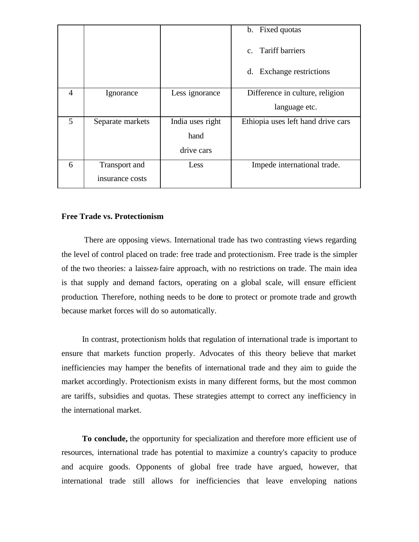|                |                      |                  | b. Fixed quotas                    |
|----------------|----------------------|------------------|------------------------------------|
|                |                      |                  | c. Tariff barriers                 |
|                |                      |                  | d. Exchange restrictions           |
| $\overline{4}$ | Ignorance            | Less ignorance   | Difference in culture, religion    |
|                |                      |                  | language etc.                      |
| 5              | Separate markets     | India uses right | Ethiopia uses left hand drive cars |
|                |                      | hand             |                                    |
|                |                      | drive cars       |                                    |
| 6              | <b>Transport</b> and | Less             | Impede international trade.        |
|                | insurance costs      |                  |                                    |

### **Free Trade vs. Protectionism**

 There are opposing views. International trade has two contrasting views regarding the level of control placed on trade: free trade and protectionism. Free trade is the simpler of the two theories: a laissez-faire approach, with no restrictions on trade. The main idea is that supply and demand factors, operating on a global scale, will ensure efficient production. Therefore, nothing needs to be done to protect or promote trade and growth because market forces will do so automatically.

 In contrast, protectionism holds that regulation of international trade is important to ensure that markets function properly. Advocates of this theory believe that market inefficiencies may hamper the benefits of international trade and they aim to guide the market accordingly. Protectionism exists in many different forms, but the most common are tariffs, subsidies and quotas. These strategies attempt to correct any inefficiency in the international market.

 **To conclude,** the opportunity for specialization and therefore more efficient use of resources, international trade has potential to maximize a country's capacity to produce and acquire goods. Opponents of global free trade have argued, however, that international trade still allows for inefficiencies that leave enveloping nations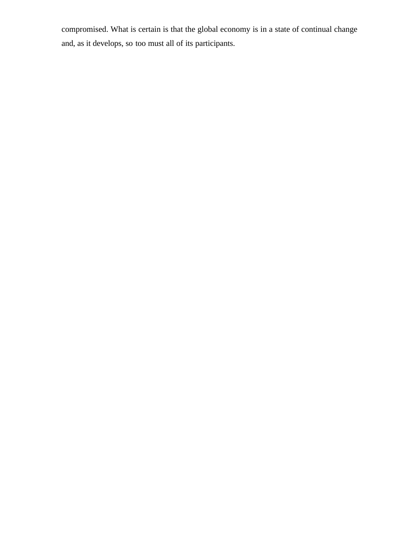compromised. What is certain is that the global economy is in a state of continual change and, as it develops, so too must all of its participants.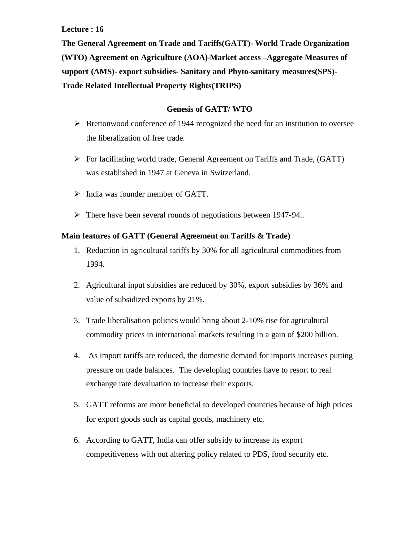# **Lecture : 16**

**The General Agreement on Trade and Tariffs(GATT)- World Trade Organization (WTO) Agreement on Agriculture (AOA)-Market access –Aggregate Measures of support (AMS)- export subsidies- Sanitary and Phyto-sanitary measures(SPS)- Trade Related Intellectual Property Rights(TRIPS)**

# **Genesis of GATT/ WTO**

- $\triangleright$  Brettonwood conference of 1944 recognized the need for an institution to oversee the liberalization of free trade.
- $\triangleright$  For facilitating world trade, General Agreement on Tariffs and Trade, (GATT) was established in 1947 at Geneva in Switzerland.
- $\triangleright$  India was founder member of GATT.
- $\triangleright$  There have been several rounds of negotiations between 1947-94..

# **Main features of GATT (General Agreement on Tariffs & Trade)**

- 1. Reduction in agricultural tariffs by 30% for all agricultural commodities from 1994.
- 2. Agricultural input subsidies are reduced by 30%, export subsidies by 36% and value of subsidized exports by 21%.
- 3. Trade liberalisation policies would bring about 2-10% rise for agricultural commodity prices in international markets resulting in a gain of \$200 billion.
- 4. As import tariffs are reduced, the domestic demand for imports increases putting pressure on trade balances. The developing countries have to resort to real exchange rate devaluation to increase their exports.
- 5. GATT reforms are more beneficial to developed countries because of high prices for export goods such as capital goods, machinery etc.
- 6. According to GATT, India can offer subsidy to increase its export competitiveness with out altering policy related to PDS, food security etc.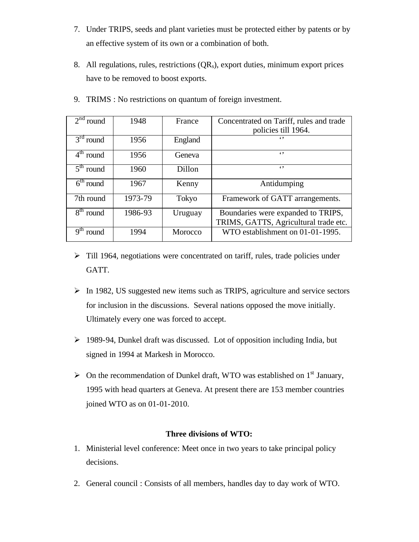- 7. Under TRIPS, seeds and plant varieties must be protected either by patents or by an effective system of its own or a combination of both.
- 8. All regulations, rules, restrictions (QRs), export duties, minimum export prices have to be removed to boost exports.

| $2nd$ round                      | 1948    | France  | Concentrated on Tariff, rules and trade |
|----------------------------------|---------|---------|-----------------------------------------|
|                                  |         |         | policies till 1964.                     |
| $3rd$ round                      | 1956    | England | $\epsilon$ ,                            |
| $4th$ round                      | 1956    | Geneva  | $\epsilon$                              |
| $\overline{5}^{\text{th}}$ round | 1960    | Dillon  | $\epsilon$ ,                            |
| $\overline{6}^{\text{th}}$ round | 1967    | Kenny   | Antidumping                             |
| 7th round                        | 1973-79 | Tokyo   | Framework of GATT arrangements.         |
| 8 <sup>th</sup><br>round         | 1986-93 | Uruguay | Boundaries were expanded to TRIPS,      |
|                                  |         |         | TRIMS, GATTS, Agricultural trade etc.   |
| round                            | 1994    | Morocco | WTO establishment on 01-01-1995.        |

9. TRIMS : No restrictions on quantum of foreign investment.

- $\triangleright$  Till 1964, negotiations were concentrated on tariff, rules, trade policies under GATT.
- $\triangleright$  In 1982, US suggested new items such as TRIPS, agriculture and service sectors for inclusion in the discussions. Several nations opposed the move initially. Ultimately every one was forced to accept.
- $\geq 1989-94$ , Dunkel draft was discussed. Lot of opposition including India, but signed in 1994 at Markesh in Morocco.
- $\triangleright$  On the recommendation of Dunkel draft, WTO was established on 1<sup>st</sup> January, 1995 with head quarters at Geneva. At present there are 153 member countries joined WTO as on 01-01-2010.

### **Three divisions of WTO:**

- 1. Ministerial level conference: Meet once in two years to take principal policy decisions.
- 2. General council : Consists of all members, handles day to day work of WTO.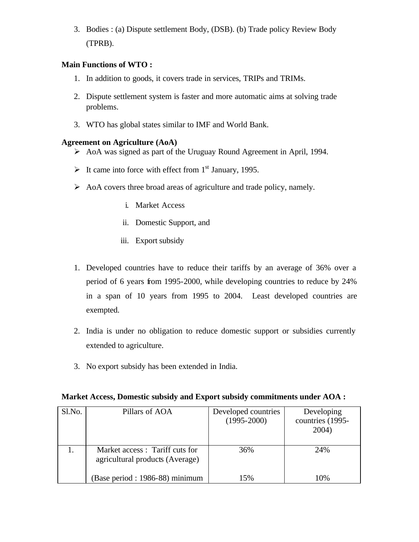3. Bodies : (a) Dispute settlement Body, (DSB). (b) Trade policy Review Body (TPRB).

# **Main Functions of WTO :**

- 1. In addition to goods, it covers trade in services, TRIPs and TRIMs.
- 2. Dispute settlement system is faster and more automatic aims at solving trade problems.
- 3. WTO has global states similar to IMF and World Bank.

# **Agreement on Agriculture (AoA)**

- ÿ AoA was signed as part of the Uruguay Round Agreement in April, 1994.
- $\triangleright$  It came into force with effect from 1<sup>st</sup> January, 1995.
- $\triangleright$  AoA covers three broad areas of agriculture and trade policy, namely.
	- i. Market Access
	- ii. Domestic Support, and
	- iii. Export subsidy
- 1. Developed countries have to reduce their tariffs by an average of 36% over a period of 6 years from 1995-2000, while developing countries to reduce by 24% in a span of 10 years from 1995 to 2004. Least developed countries are exempted.
- 2. India is under no obligation to reduce domestic support or subsidies currently extended to agriculture.
- 3. No export subsidy has been extended in India.

| Sl.No. | Pillars of AOA                                                    | Developed countries<br>$(1995 - 2000)$ | Developing<br>countries (1995-<br>2004) |  |  |
|--------|-------------------------------------------------------------------|----------------------------------------|-----------------------------------------|--|--|
|        | Market access: Tariff cuts for<br>agricultural products (Average) | 36%                                    | 24%                                     |  |  |
|        | (Base period : 1986-88) minimum                                   | 15%                                    | 10%                                     |  |  |

# **Market Access, Domestic subsidy and Export subsidy commitments under AOA :**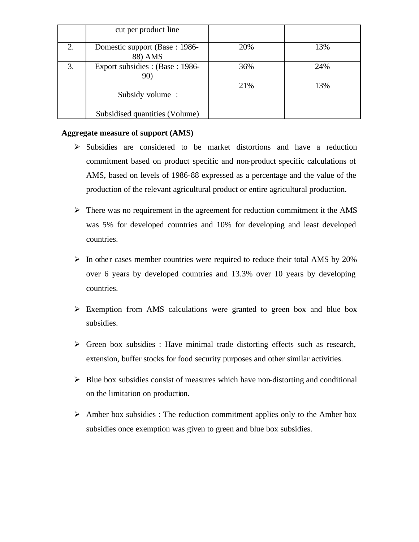|    | cut per product line                     |     |     |
|----|------------------------------------------|-----|-----|
| 2. | Domestic support (Base: 1986-<br>88) AMS | 20% | 13% |
| 3. | Export subsidies : (Base : 1986-<br>90)  | 36% | 24% |
|    | Subsidy volume:                          | 21% | 13% |
|    | Subsidised quantities (Volume)           |     |     |

# **Aggregate measure of support (AMS)**

- $\triangleright$  Subsidies are considered to be market distortions and have a reduction commitment based on product specific and non-product specific calculations of AMS, based on levels of 1986-88 expressed as a percentage and the value of the production of the relevant agricultural product or entire agricultural production.
- $\triangleright$  There was no requirement in the agreement for reduction commitment it the AMS was 5% for developed countries and 10% for developing and least developed countries.
- $\triangleright$  In other cases member countries were required to reduce their total AMS by 20% over 6 years by developed countries and 13.3% over 10 years by developing countries.
- $\triangleright$  Exemption from AMS calculations were granted to green box and blue box subsidies.
- $\triangleright$  Green box subsidies : Have minimal trade distorting effects such as research, extension, buffer stocks for food security purposes and other similar activities.
- $\triangleright$  Blue box subsidies consist of measures which have non-distorting and conditional on the limitation on production.
- $\triangleright$  Amber box subsidies : The reduction commitment applies only to the Amber box subsidies once exemption was given to green and blue box subsidies.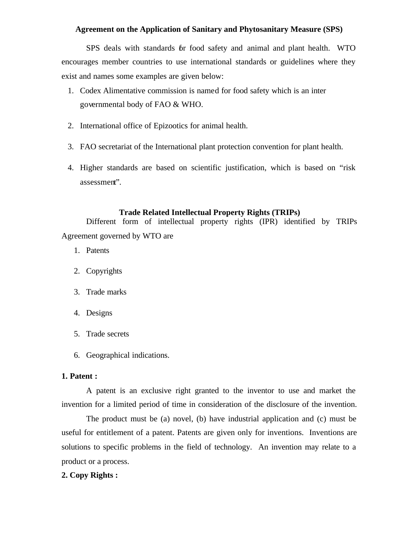### **Agreement on the Application of Sanitary and Phytosanitary Measure (SPS)**

SPS deals with standards for food safety and animal and plant health. WTO encourages member countries to use international standards or guidelines where they exist and names some examples are given below:

- 1. Codex Alimentative commission is named for food safety which is an inter governmental body of FAO & WHO.
- 2. International office of Epizootics for animal health.
- 3. FAO secretariat of the International plant protection convention for plant health.
- 4. Higher standards are based on scientific justification, which is based on "risk assessment".

### **Trade Related Intellectual Property Rights (TRIPs)**

Different form of intellectual property rights (IPR) identified by TRIPs Agreement governed by WTO are

- 1. Patents
- 2. Copyrights
- 3. Trade marks
- 4. Designs
- 5. Trade secrets
- 6. Geographical indications.

### **1. Patent :**

A patent is an exclusive right granted to the inventor to use and market the invention for a limited period of time in consideration of the disclosure of the invention.

The product must be (a) novel, (b) have industrial application and (c) must be useful for entitlement of a patent. Patents are given only for inventions. Inventions are solutions to specific problems in the field of technology. An invention may relate to a product or a process.

### **2. Copy Rights :**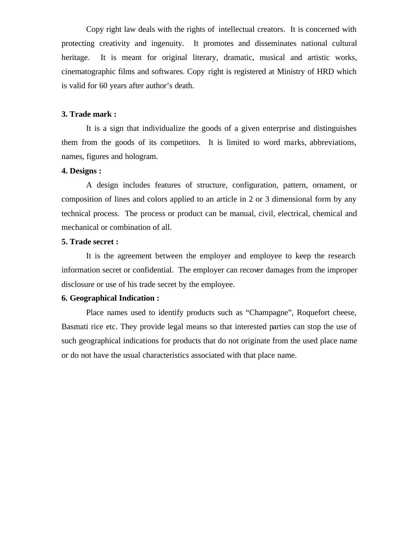Copy right law deals with the rights of intellectual creators. It is concerned with protecting creativity and ingenuity. It promotes and disseminates national cultural heritage. It is meant for original literary, dramatic, musical and artistic works, cinematographic films and softwares. Copy right is registered at Ministry of HRD which is valid for 60 years after author's death.

### **3. Trade mark :**

It is a sign that individualize the goods of a given enterprise and distinguishes them from the goods of its competitors. It is limited to word marks, abbreviations, names, figures and hologram.

# **4. Designs :**

A design includes features of structure, configuration, pattern, ornament, or composition of lines and colors applied to an article in 2 or 3 dimensional form by any technical process. The process or product can be manual, civil, electrical, chemical and mechanical or combination of all.

### **5. Trade secret :**

It is the agreement between the employer and employee to keep the research information secret or confidential. The employer can recover damages from the improper disclosure or use of his trade secret by the employee.

### **6. Geographical Indication :**

Place names used to identify products such as "Champagne", Roquefort cheese, Basmati rice etc. They provide legal means so that interested parties can stop the use of such geographical indications for products that do not originate from the used place name or do not have the usual characteristics associated with that place name.